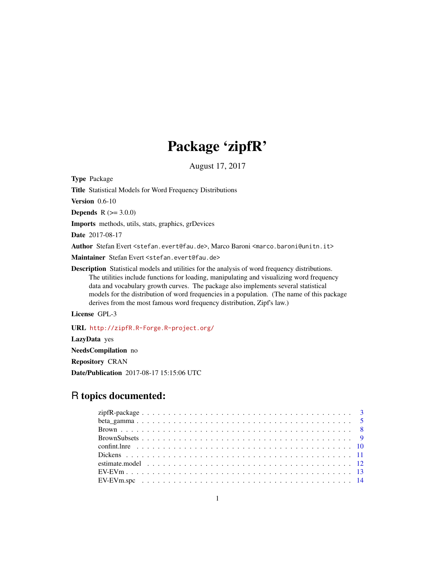# Package 'zipfR'

August 17, 2017

<span id="page-0-0"></span>Type Package

Title Statistical Models for Word Frequency Distributions

Version 0.6-10

**Depends**  $R$  ( $> = 3.0.0$ )

Imports methods, utils, stats, graphics, grDevices

Date 2017-08-17

Author Stefan Evert <stefan.evert@fau.de>, Marco Baroni <marco.baroni@unitn.it>

Maintainer Stefan Evert <stefan.evert@fau.de>

Description Statistical models and utilities for the analysis of word frequency distributions. The utilities include functions for loading, manipulating and visualizing word frequency data and vocabulary growth curves. The package also implements several statistical models for the distribution of word frequencies in a population. (The name of this package derives from the most famous word frequency distribution, Zipf's law.)

License GPL-3

URL <http://zipfR.R-Forge.R-project.org/>

LazyData yes

NeedsCompilation no

Repository CRAN

Date/Publication 2017-08-17 15:15:06 UTC

## R topics documented: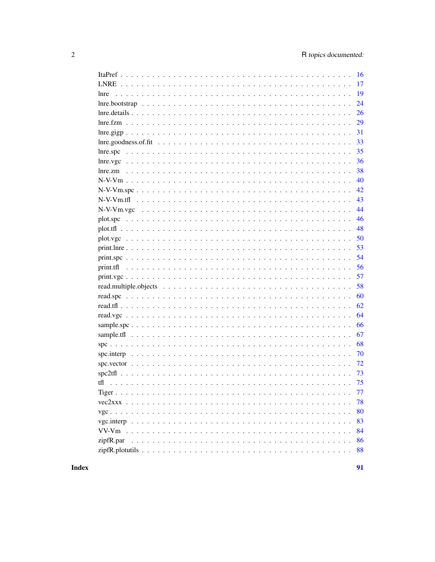| 16                      |
|-------------------------|
| 17                      |
| 19<br>lnre              |
| 24                      |
| 26                      |
| 29                      |
| 31                      |
| 33                      |
| 35<br>lnre.spc          |
| 36                      |
| 38                      |
| 40                      |
| 42                      |
| 43                      |
| 44                      |
| 46                      |
| 48                      |
| 50                      |
| 53                      |
| 54                      |
| 56                      |
| 57                      |
| 58                      |
| 60                      |
| 62                      |
| 64                      |
| 66                      |
| 67                      |
| 68<br>$spc$             |
| 70                      |
| 72                      |
| 73                      |
| 75                      |
| 77                      |
| 78                      |
| 80                      |
| 83                      |
| 84                      |
| zipfR.par<br>86         |
| 88<br>$zipfR.plotutils$ |

## **Index**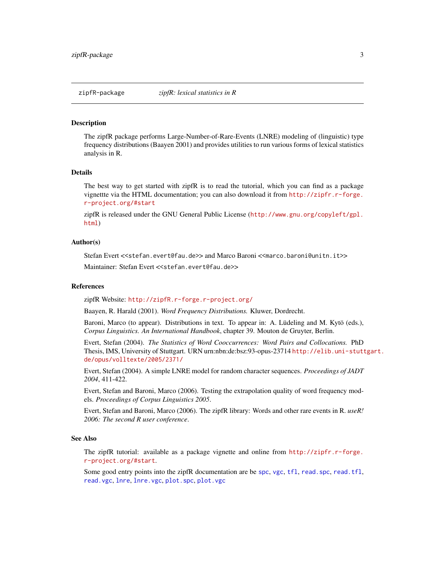<span id="page-2-1"></span><span id="page-2-0"></span>The zipfR package performs Large-Number-of-Rare-Events (LNRE) modeling of (linguistic) type frequency distributions (Baayen 2001) and provides utilities to run various forms of lexical statistics analysis in R.

## Details

The best way to get started with zipfR is to read the tutorial, which you can find as a package vignettte via the HTML documentation; you can also download it from [http://zipfr.r-forge.](http://zipfr.r-forge.r-project.org/#start) [r-project.org/#start](http://zipfr.r-forge.r-project.org/#start)

zipfR is released under the GNU General Public License ([http://www.gnu.org/copyleft/gpl.](http://www.gnu.org/copyleft/gpl.html) [html](http://www.gnu.org/copyleft/gpl.html))

## Author(s)

Stefan Evert <<stefan.evert@fau.de>> and Marco Baroni <<marco.baroni@unitn.it>>

Maintainer: Stefan Evert <<stefan.evert@fau.de>>

#### References

zipfR Website: <http://zipfR.r-forge.r-project.org/>

Baayen, R. Harald (2001). *Word Frequency Distributions.* Kluwer, Dordrecht.

Baroni, Marco (to appear). Distributions in text. To appear in: A. Lüdeling and M. Kytö (eds.), *Corpus Linguistics. An International Handbook*, chapter 39. Mouton de Gruyter, Berlin.

Evert, Stefan (2004). *The Statistics of Word Cooccurrences: Word Pairs and Collocations.* PhD Thesis, IMS, University of Stuttgart. URN urn:nbn:de:bsz:93-opus-23714 [http://elib.uni-stutt](http://elib.uni-stuttgart.de/opus/volltexte/2005/2371/)gart. [de/opus/volltexte/2005/2371/](http://elib.uni-stuttgart.de/opus/volltexte/2005/2371/)

Evert, Stefan (2004). A simple LNRE model for random character sequences. *Proceedings of JADT 2004*, 411-422.

Evert, Stefan and Baroni, Marco (2006). Testing the extrapolation quality of word frequency models. *Proceedings of Corpus Linguistics 2005*.

Evert, Stefan and Baroni, Marco (2006). The zipfR library: Words and other rare events in R. *useR! 2006: The second R user conference*.

#### See Also

The zipfR tutorial: available as a package vignette and online from [http://zipfr.r-forge.](http://zipfr.r-forge.r-project.org/#start) [r-project.org/#start](http://zipfr.r-forge.r-project.org/#start).

Some good entry points into the zipfR documentation are be [spc](#page-67-1), [vgc](#page-79-1), [tfl](#page-74-1), [read.spc](#page-59-1), [read.tfl](#page-61-1), [read.vgc](#page-63-1), [lnre](#page-18-1), [lnre.vgc](#page-35-1), [plot.spc](#page-45-1), [plot.vgc](#page-49-1)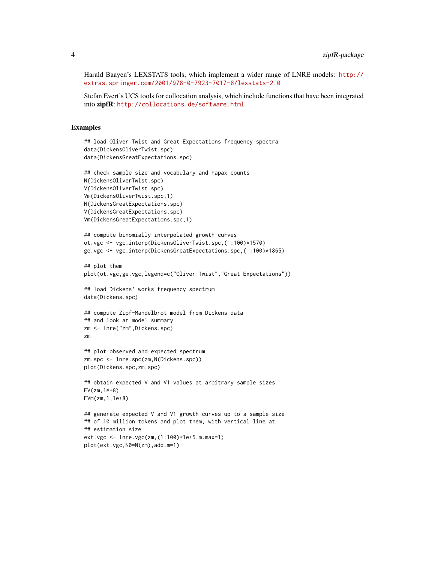Harald Baayen's LEXSTATS tools, which implement a wider range of LNRE models: [http://](http://extras.springer.com/2001/978-0-7923-7017-8/lexstats-2.0) [extras.springer.com/2001/978-0-7923-7017-8/lexstats-2.0](http://extras.springer.com/2001/978-0-7923-7017-8/lexstats-2.0)

Stefan Evert's UCS tools for collocation analysis, which include functions that have been integrated into zipfR: <http://collocations.de/software.html>

## Examples

```
## load Oliver Twist and Great Expectations frequency spectra
data(DickensOliverTwist.spc)
data(DickensGreatExpectations.spc)
## check sample size and vocabulary and hapax counts
N(DickensOliverTwist.spc)
V(DickensOliverTwist.spc)
Vm(DickensOliverTwist.spc,1)
N(DickensGreatExpectations.spc)
V(DickensGreatExpectations.spc)
Vm(DickensGreatExpectations.spc,1)
## compute binomially interpolated growth curves
ot.vgc <- vgc.interp(DickensOliverTwist.spc,(1:100)*1570)
ge.vgc <- vgc.interp(DickensGreatExpectations.spc,(1:100)*1865)
## plot them
plot(ot.vgc,ge.vgc,legend=c("Oliver Twist","Great Expectations"))
## load Dickens' works frequency spectrum
data(Dickens.spc)
## compute Zipf-Mandelbrot model from Dickens data
## and look at model summary
zm <- lnre("zm",Dickens.spc)
zm
## plot observed and expected spectrum
zm.spc <- lnre.spc(zm,N(Dickens.spc))
plot(Dickens.spc,zm.spc)
## obtain expected V and V1 values at arbitrary sample sizes
EV(zm,1e+8)
EVm(zm,1,1e+8)
## generate expected V and V1 growth curves up to a sample size
## of 10 million tokens and plot them, with vertical line at
## estimation size
ext.vgc <- lnre.vgc(zm,(1:100)*1e+5,m.max=1)
plot(ext.vgc,N0=N(zm),add.m=1)
```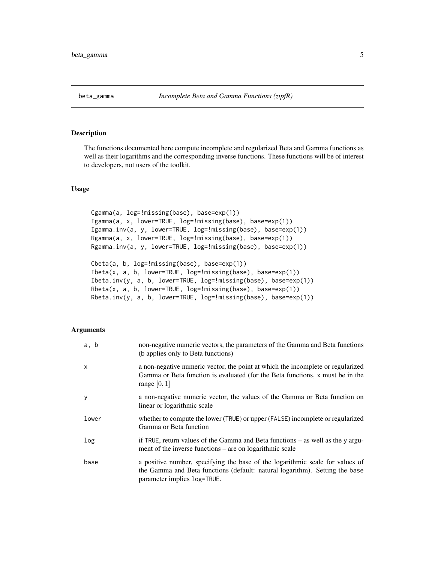<span id="page-4-0"></span>

The functions documented here compute incomplete and regularized Beta and Gamma functions as well as their logarithms and the corresponding inverse functions. These functions will be of interest to developers, not users of the toolkit.

## Usage

```
Cgamma(a, log=!missing(base), base=exp(1))
Igamma(a, x, lower=TRUE, log=!missing(base), base=exp(1))
Igamma.inv(a, y, lower=TRUE, log=!missing(base), base=exp(1))
Rgamma(a, x, lower=TRUE, log=!missing(base), base=exp(1))
Rgamma.inv(a, y, lower=TRUE, log=!missing(base), base=exp(1))
Cbeta(a, b, log=!missing(base), base=exp(1))
Ibeta(x, a, b, lower=TRUE, log=!missing(base), base=exp(1))
Ibeta.inv(y, a, b, lower=TRUE, log=!missing(base), base=exp(1))
Rbeta(x, a, b, lower=TRUE, log=!missing(base), base=exp(1))
```
Rbeta.inv(y, a, b, lower=TRUE, log=!missing(base), base=exp(1))

#### **Arguments**

| a, b  | non-negative numeric vectors, the parameters of the Gamma and Beta functions<br>(b applies only to Beta functions)                                                                          |
|-------|---------------------------------------------------------------------------------------------------------------------------------------------------------------------------------------------|
| X     | a non-negative numeric vector, the point at which the incomplete or regularized<br>Gamma or Beta function is evaluated (for the Beta functions, x must be in the<br>range $[0, 1]$          |
| У     | a non-negative numeric vector, the values of the Gamma or Beta function on<br>linear or logarithmic scale                                                                                   |
| lower | whether to compute the lower (TRUE) or upper (FALSE) incomplete or regularized<br>Gamma or Beta function                                                                                    |
| log   | if TRUE, return values of the Gamma and Beta functions $-$ as well as the y argu-<br>ment of the inverse functions – are on logarithmic scale                                               |
| base  | a positive number, specifying the base of the logarithmic scale for values of<br>the Gamma and Beta functions (default: natural logarithm). Setting the base<br>parameter implies log=TRUE. |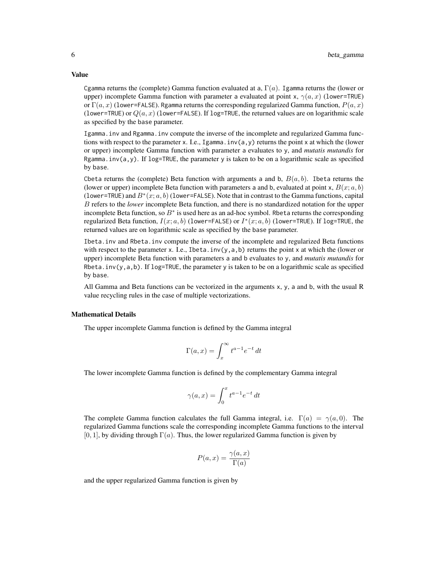Cgamma returns the (complete) Gamma function evaluated at a,  $\Gamma(a)$ . Igamma returns the (lower or upper) incomplete Gamma function with parameter a evaluated at point x,  $\gamma(a, x)$  (lower=TRUE) or  $\Gamma(a, x)$  (lower=FALSE). Rgamma returns the corresponding regularized Gamma function,  $P(a, x)$ (lower=TRUE) or  $Q(a, x)$  (lower=FALSE). If log=TRUE, the returned values are on logarithmic scale as specified by the base parameter.

Igamma.inv and Rgamma.inv compute the inverse of the incomplete and regularized Gamma functions with respect to the parameter x. I.e., Igamma.inv(a,y) returns the point x at which the (lower or upper) incomplete Gamma function with parameter a evaluates to y, and *mutatis mutandis* for Rgamma.inv(a,y). If  $log=TRUE$ , the parameter y is taken to be on a logarithmic scale as specified by base.

Cbeta returns the (complete) Beta function with arguments a and b,  $B(a, b)$ . Ibeta returns the (lower or upper) incomplete Beta function with parameters a and b, evaluated at point x,  $B(x; a, b)$ (lower=TRUE) and  $B^*(x; a, b)$  (lower=FALSE). Note that in contrast to the Gamma functions, capital B refers to the *lower* incomplete Beta function, and there is no standardized notation for the upper incomplete Beta function, so  $B^*$  is used here as an ad-hoc symbol. Rbeta returns the corresponding regularized Beta function,  $I(x; a, b)$  (lower=FALSE) or  $I^*(x; a, b)$  (lower=TRUE). If log=TRUE, the returned values are on logarithmic scale as specified by the base parameter.

Ibeta.inv and Rbeta.inv compute the inverse of the incomplete and regularized Beta functions with respect to the parameter x. I.e., Ibeta.inv( $y$ ,  $a$ ,  $b$ ) returns the point x at which the (lower or upper) incomplete Beta function with parameters a and b evaluates to y, and *mutatis mutandis* for Rbeta.inv(y,a,b). If log=TRUE, the parameter y is taken to be on a logarithmic scale as specified by base.

All Gamma and Beta functions can be vectorized in the arguments x, y, a and b, with the usual R value recycling rules in the case of multiple vectorizations.

## Mathematical Details

The upper incomplete Gamma function is defined by the Gamma integral

$$
\Gamma(a, x) = \int_x^{\infty} t^{a-1} e^{-t} dt
$$

The lower incomplete Gamma function is defined by the complementary Gamma integral

$$
\gamma(a,x) = \int_0^x t^{a-1} e^{-t} dt
$$

The complete Gamma function calculates the full Gamma integral, i.e.  $\Gamma(a) = \gamma(a, 0)$ . The regularized Gamma functions scale the corresponding incomplete Gamma functions to the interval  $[0, 1]$ , by dividing through  $\Gamma(a)$ . Thus, the lower regularized Gamma function is given by

$$
P(a,x) = \frac{\gamma(a,x)}{\Gamma(a)}
$$

and the upper regularized Gamma function is given by

## Value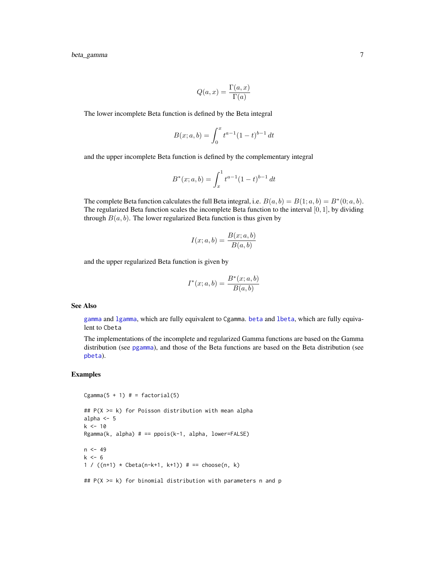$$
Q(a, x) = \frac{\Gamma(a, x)}{\Gamma(a)}
$$

The lower incomplete Beta function is defined by the Beta integral

$$
B(x;a,b) = \int_0^x t^{a-1} (1-t)^{b-1} dt
$$

and the upper incomplete Beta function is defined by the complementary integral

$$
B^*(x;a,b) = \int_x^1 t^{a-1} (1-t)^{b-1} dt
$$

The complete Beta function calculates the full Beta integral, i.e.  $B(a, b) = B(1; a, b) = B^*(0; a, b)$ . The regularized Beta function scales the incomplete Beta function to the interval  $[0, 1]$ , by dividing through  $B(a, b)$ . The lower regularized Beta function is thus given by

$$
I(x;a,b) = \frac{B(x;a,b)}{B(a,b)}
$$

and the upper regularized Beta function is given by

$$
I^*(x; a, b) = \frac{B^*(x; a, b)}{B(a, b)}
$$

### See Also

[gamma](#page-0-0) and [lgamma](#page-0-0), which are fully equivalent to Cgamma. [beta](#page-0-0) and [lbeta](#page-0-0), which are fully equivalent to Cbeta

The implementations of the incomplete and regularized Gamma functions are based on the Gamma distribution (see [pgamma](#page-0-0)), and those of the Beta functions are based on the Beta distribution (see [pbeta](#page-0-0)).

## Examples

```
Cgamma(5 + 1) # = factorial(5)
## P(X >= k) for Poisson distribution with mean alpha
alpha <-5k < -10Rgamma(k, alpha) # == ppois(k-1, alpha, lower=FALSE)n < -49k < -61 / ((n+1) * \text{Cbeta}(n-k+1, k+1)) # == \text{choose}(n, k)
```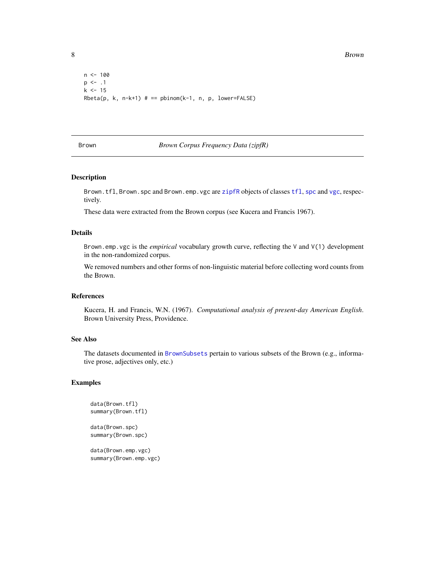```
n < - 100p \le -1k < -15Rbeta(p, k, n-k+1) # == pbinom(k-1, n, p, lower=FALSE)
```
## <span id="page-7-1"></span>Brown *Brown Corpus Frequency Data (zipfR)*

### Description

Brown.tfl, Brown.spc and Brown.emp.vgc are [zipfR](#page-2-1) objects of classes [tfl](#page-74-1), [spc](#page-67-1) and [vgc](#page-79-1), respectively.

These data were extracted from the Brown corpus (see Kucera and Francis 1967).

## Details

Brown.emp.vgc is the *empirical* vocabulary growth curve, reflecting the V and V(1) development in the non-randomized corpus.

We removed numbers and other forms of non-linguistic material before collecting word counts from the Brown.

## References

Kucera, H. and Francis, W.N. (1967). *Computational analysis of present-day American English*. Brown University Press, Providence.

## See Also

The datasets documented in [BrownSubsets](#page-8-1) pertain to various subsets of the Brown (e.g., informative prose, adjectives only, etc.)

## Examples

```
data(Brown.tfl)
summary(Brown.tfl)
data(Brown.spc)
summary(Brown.spc)
```
data(Brown.emp.vgc) summary(Brown.emp.vgc)

<span id="page-7-0"></span>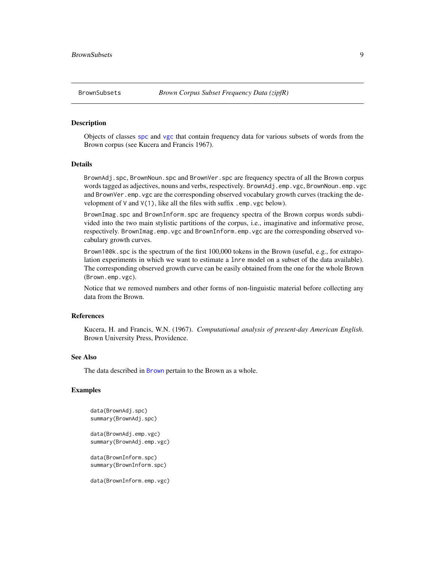<span id="page-8-1"></span><span id="page-8-0"></span>

Objects of classes [spc](#page-67-1) and [vgc](#page-79-1) that contain frequency data for various subsets of words from the Brown corpus (see Kucera and Francis 1967).

#### Details

BrownAdj.spc, BrownNoun.spc and BrownVer.spc are frequency spectra of all the Brown corpus words tagged as adjectives, nouns and verbs, respectively. BrownAdj.emp.vgc, BrownNoun.emp.vgc and BrownVer.emp.vgc are the corresponding observed vocabulary growth curves (tracking the development of  $V$  and  $V(1)$ , like all the files with suffix . emp. vgc below).

BrownImag.spc and BrownInform.spc are frequency spectra of the Brown corpus words subdivided into the two main stylistic partitions of the corpus, i.e., imaginative and informative prose, respectively. BrownImag.emp.vgc and BrownInform.emp.vgc are the corresponding observed vocabulary growth curves.

Brown100k.spc is the spectrum of the first 100,000 tokens in the Brown (useful, e.g., for extrapolation experiments in which we want to estimate a lnre model on a subset of the data available). The corresponding observed growth curve can be easily obtained from the one for the whole Brown (Brown.emp.vgc).

Notice that we removed numbers and other forms of non-linguistic material before collecting any data from the Brown.

## References

Kucera, H. and Francis, W.N. (1967). *Computational analysis of present-day American English*. Brown University Press, Providence.

#### See Also

The data described in [Brown](#page-7-1) pertain to the Brown as a whole.

## Examples

```
data(BrownAdj.spc)
summary(BrownAdj.spc)
```
data(BrownAdj.emp.vgc) summary(BrownAdj.emp.vgc)

data(BrownInform.spc) summary(BrownInform.spc)

data(BrownInform.emp.vgc)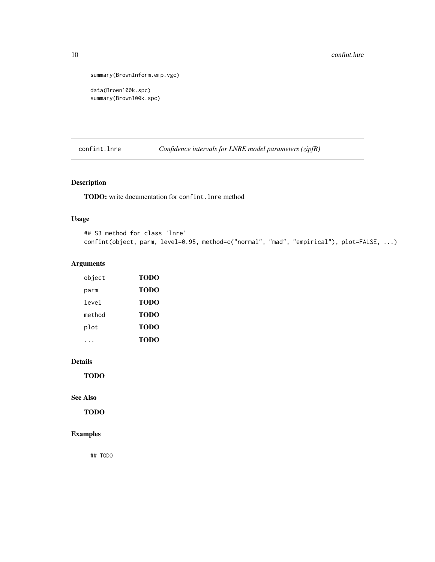```
summary(BrownInform.emp.vgc)
```

```
data(Brown100k.spc)
summary(Brown100k.spc)
```
<span id="page-9-1"></span>confint.lnre *Confidence intervals for LNRE model parameters (zipfR)*

## Description

TODO: write documentation for confint.lnre method

## Usage

```
## S3 method for class 'lnre'
confint(object, parm, level=0.95, method=c("normal", "mad", "empirical"), plot=FALSE, ...)
```
## Arguments

| object | <b>TODO</b> |
|--------|-------------|
| parm   | TODO        |
| level  | TODO        |
| method | <b>TODO</b> |
| plot   | <b>TODO</b> |
|        | TODO        |

## Details

TODO

## See Also

TODO

## Examples

## TODO

<span id="page-9-0"></span>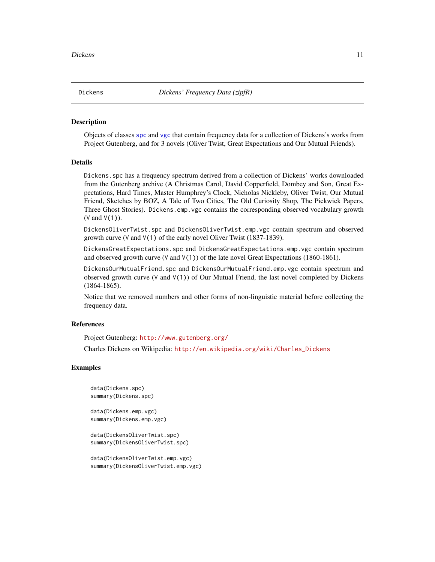<span id="page-10-0"></span>Dickens *Dickens' Frequency Data (zipfR)*

## **Description**

Objects of classes [spc](#page-67-1) and [vgc](#page-79-1) that contain frequency data for a collection of Dickens's works from Project Gutenberg, and for 3 novels (Oliver Twist, Great Expectations and Our Mutual Friends).

## Details

Dickens.spc has a frequency spectrum derived from a collection of Dickens' works downloaded from the Gutenberg archive (A Christmas Carol, David Copperfield, Dombey and Son, Great Expectations, Hard Times, Master Humphrey's Clock, Nicholas Nickleby, Oliver Twist, Our Mutual Friend, Sketches by BOZ, A Tale of Two Cities, The Old Curiosity Shop, The Pickwick Papers, Three Ghost Stories). Dickens.emp.vgc contains the corresponding observed vocabulary growth (V and V(1)).

DickensOliverTwist.spc and DickensOliverTwist.emp.vgc contain spectrum and observed growth curve (V and V(1) of the early novel Oliver Twist (1837-1839).

DickensGreatExpectations.spc and DickensGreatExpectations.emp.vgc contain spectrum and observed growth curve (V and  $V(1)$ ) of the late novel Great Expectations (1860-1861).

DickensOurMutualFriend.spc and DickensOurMutualFriend.emp.vgc contain spectrum and observed growth curve (V and  $V(1)$ ) of Our Mutual Friend, the last novel completed by Dickens (1864-1865).

Notice that we removed numbers and other forms of non-linguistic material before collecting the frequency data.

## References

Project Gutenberg: <http://www.gutenberg.org/>

Charles Dickens on Wikipedia: [http://en.wikipedia.org/wiki/Charles\\_Dickens](http://en.wikipedia.org/wiki/Charles_Dickens)

## Examples

```
data(Dickens.spc)
summary(Dickens.spc)
```
data(Dickens.emp.vgc) summary(Dickens.emp.vgc)

data(DickensOliverTwist.spc) summary(DickensOliverTwist.spc)

```
data(DickensOliverTwist.emp.vgc)
summary(DickensOliverTwist.emp.vgc)
```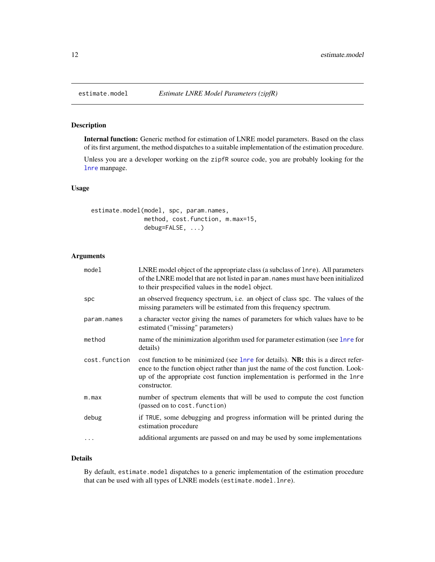Internal function: Generic method for estimation of LNRE model parameters. Based on the class of its first argument, the method dispatches to a suitable implementation of the estimation procedure.

Unless you are a developer working on the zipfR source code, you are probably looking for the [lnre](#page-18-1) manpage.

## Usage

estimate.model(model, spc, param.names, method, cost.function, m.max=15, debug=FALSE, ...)

#### Arguments

| model         | LNRE model object of the appropriate class (a subclass of lnre). All parameters<br>of the LNRE model that are not listed in param, names must have been initialized<br>to their prespecified values in the model object.                                              |
|---------------|-----------------------------------------------------------------------------------------------------------------------------------------------------------------------------------------------------------------------------------------------------------------------|
| spc           | an observed frequency spectrum, i.e. an object of class spc. The values of the<br>missing parameters will be estimated from this frequency spectrum.                                                                                                                  |
| param.names   | a character vector giving the names of parameters for which values have to be<br>estimated ("missing" parameters)                                                                                                                                                     |
| method        | name of the minimization algorithm used for parameter estimation (see lnre for<br>details)                                                                                                                                                                            |
| cost.function | cost function to be minimized (see lnre for details). NB: this is a direct refer-<br>ence to the function object rather than just the name of the cost function. Look-<br>up of the appropriate cost function implementation is performed in the 1nre<br>constructor. |
| m.max         | number of spectrum elements that will be used to compute the cost function<br>(passed on to cost. function)                                                                                                                                                           |
| debug         | if TRUE, some debugging and progress information will be printed during the<br>estimation procedure                                                                                                                                                                   |
|               | additional arguments are passed on and may be used by some implementations                                                                                                                                                                                            |

## Details

By default, estimate.model dispatches to a generic implementation of the estimation procedure that can be used with all types of LNRE models (estimate.model.lnre).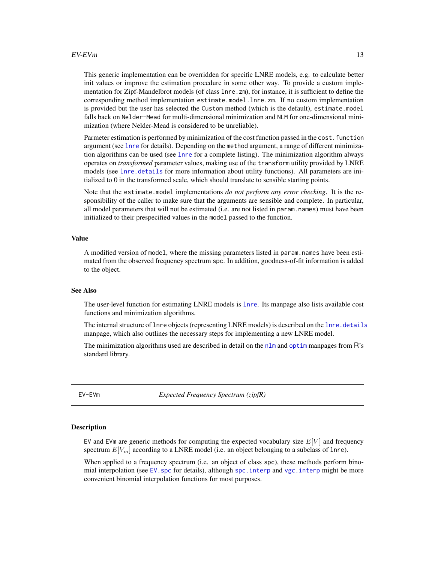#### <span id="page-12-0"></span> $EV$ -EVm and  $\frac{13}{2}$

This generic implementation can be overridden for specific LNRE models, e.g. to calculate better init values or improve the estimation procedure in some other way. To provide a custom implementation for Zipf-Mandelbrot models (of class lnre.zm), for instance, it is sufficient to define the corresponding method implementation estimate.model.lnre.zm. If no custom implementation is provided but the user has selected the Custom method (which is the default), estimate.model falls back on Nelder-Mead for multi-dimensional minimization and NLM for one-dimensional minimization (where Nelder-Mead is considered to be unreliable).

Parmeter estimation is performed by minimization of the cost function passed in the cost. function argument (see [lnre](#page-18-1) for details). Depending on the method argument, a range of different minimization algorithms can be used (see [lnre](#page-18-1) for a complete listing). The minimization algorithm always operates on *transformed* parameter values, making use of the transform utility provided by LNRE models (see [lnre.details](#page-25-1) for more information about utility functions). All parameters are initialized to 0 in the transformed scale, which should translate to sensible starting points.

Note that the estimate.model implementations *do not perform any error checking*. It is the responsibility of the caller to make sure that the arguments are sensible and complete. In particular, all model parameters that will not be estimated (i.e. are not listed in param.names) must have been initialized to their prespecified values in the model passed to the function.

## Value

A modified version of model, where the missing parameters listed in param.names have been estimated from the observed frequency spectrum spc. In addition, goodness-of-fit information is added to the object.

## See Also

The user-level function for estimating LNRE models is [lnre](#page-18-1). Its manpage also lists available cost functions and minimization algorithms.

The internal structure of lnre objects (representing LNRE models) is described on the lnre. details manpage, which also outlines the necessary steps for implementing a new LNRE model.

The minimization algorithms used are described in detail on the  $n \ln m$  and [optim](#page-0-0) manpages from  $\mathsf{R}$ 's standard library.

EV-EVm *Expected Frequency Spectrum (zipfR)*

## <span id="page-12-1"></span>**Description**

EV and EVm are generic methods for computing the expected vocabulary size  $E[V]$  and frequency spectrum  $E[V_m]$  according to a LNRE model (i.e. an object belonging to a subclass of lnre).

When applied to a frequency spectrum (i.e. an object of class spc), these methods perform binomial interpolation (see EV, spc for details), although spc, interp and vgc, interp might be more convenient binomial interpolation functions for most purposes.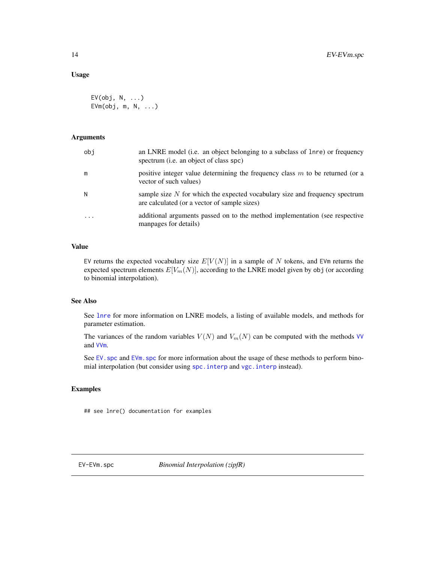## <span id="page-13-0"></span>Usage

```
EV(obj, N, ...)
EVm(obj, m, N, ...)
```
## Arguments

| obi       | an LNRE model (i.e. an object belonging to a subclass of lnre) or frequency<br>spectrum (i.e. an object of class spc)         |
|-----------|-------------------------------------------------------------------------------------------------------------------------------|
| m         | positive integer value determining the frequency class $m$ to be returned (or a<br>vector of such values)                     |
| N         | sample size $N$ for which the expected vocabulary size and frequency spectrum<br>are calculated (or a vector of sample sizes) |
| $\ddotsc$ | additional arguments passed on to the method implementation (see respective<br>manpages for details)                          |

## Value

EV returns the expected vocabulary size  $E[V(N)]$  in a sample of N tokens, and EVm returns the expected spectrum elements  $E[V_m(N)]$ , according to the LNRE model given by obj (or according to binomial interpolation).

## See Also

See [lnre](#page-18-1) for more information on LNRE models, a listing of available models, and methods for parameter estimation.

The variances of the random variables  $V(N)$  and  $V_m(N)$  can be computed with the methods [VV](#page-83-1) and [VVm](#page-83-1).

See EV. spc and EVm. spc for more information about the usage of these methods to perform binomial interpolation (but consider using [spc.interp](#page-69-1) and [vgc.interp](#page-82-1) instead).

## Examples

## see lnre() documentation for examples

<span id="page-13-1"></span>

EV-EVm.spc *Binomial Interpolation (zipfR)*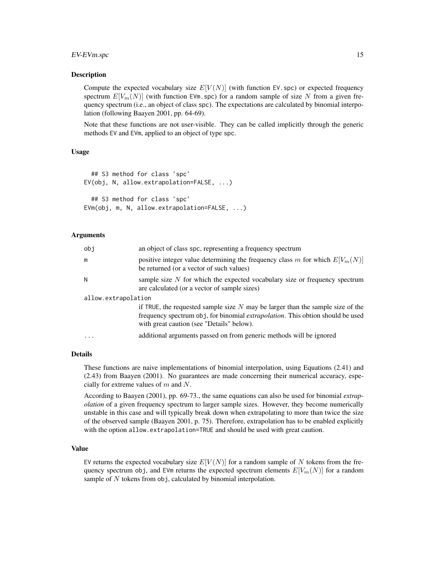## EV-EVm.spc 15

## Description

Compute the expected vocabulary size  $E[V(N)]$  (with function EV, spc) or expected frequency spectrum  $E[V_m(N)]$  (with function EVm.spc) for a random sample of size N from a given frequency spectrum (i.e., an object of class spc). The expectations are calculated by binomial interpolation (following Baayen 2001, pp. 64-69).

Note that these functions are not user-visible. They can be called implicitly through the generic methods EV and EVm, applied to an object of type spc.

## Usage

```
## S3 method for class 'spc'
EV(obj, N, allow.extrapolation=FALSE, ...)
  ## S3 method for class 'spc'
```

```
EVm(obj, m, N, allow.extrapolation=FALSE, ...)
```
## Arguments

| obi                 | an object of class spc, representing a frequency spectrum                                                                                                                                                               |  |  |  |  |
|---------------------|-------------------------------------------------------------------------------------------------------------------------------------------------------------------------------------------------------------------------|--|--|--|--|
| m                   | positive integer value determining the frequency class m for which $E[V_m(N)]$<br>be returned (or a vector of such values)                                                                                              |  |  |  |  |
| N                   | sample size $N$ for which the expected vocabulary size or frequency spectrum<br>are calculated (or a vector of sample sizes)                                                                                            |  |  |  |  |
| allow.extrapolation |                                                                                                                                                                                                                         |  |  |  |  |
|                     | if TRUE, the requested sample size $N$ may be larger than the sample size of the<br>frequency spectrum obj, for binomial <i>extrapolation</i> . This obtion should be used<br>with great caution (see "Details" below). |  |  |  |  |
| $\cdots$            | additional arguments passed on from generic methods will be ignored                                                                                                                                                     |  |  |  |  |

## Details

These functions are naive implementations of binomial interpolation, using Equations (2.41) and (2.43) from Baayen (2001). No guarantees are made concerning their numerical accuracy, especially for extreme values of m and N.

According to Baayen (2001), pp. 69-73., the same equations can also be used for binomial *extrapolation* of a given frequency spectrum to larger sample sizes. However, they become numerically unstable in this case and will typically break down when extrapolating to more than twice the size of the observed sample (Baayen 2001, p. 75). Therefore, extrapolation has to be enabled explicitly with the option allow.extrapolation=TRUE and should be used with great caution.

## Value

EV returns the expected vocabulary size  $E[V(N)]$  for a random sample of N tokens from the frequency spectrum obj, and EVm returns the expected spectrum elements  $E[V_m(N)]$  for a random sample of  $N$  tokens from obj, calculated by binomial interpolation.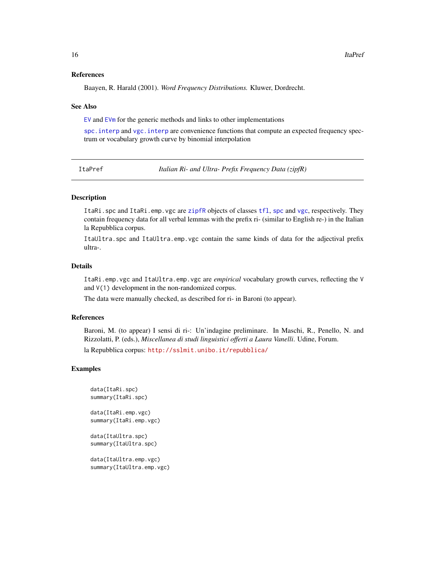## References

Baayen, R. Harald (2001). *Word Frequency Distributions.* Kluwer, Dordrecht.

#### See Also

[EV](#page-12-1) and [EVm](#page-12-1) for the generic methods and links to other implementations

[spc.interp](#page-69-1) and [vgc.interp](#page-82-1) are convenience functions that compute an expected frequency spectrum or vocabulary growth curve by binomial interpolation

ItaPref *Italian Ri- and Ultra- Prefix Frequency Data (zipfR)*

## Description

ItaRi.spc and ItaRi.emp.vgc are [zipfR](#page-2-1) objects of classes [tfl](#page-74-1), [spc](#page-67-1) and [vgc](#page-79-1), respectively. They contain frequency data for all verbal lemmas with the prefix ri- (similar to English re-) in the Italian la Repubblica corpus.

ItaUltra.spc and ItaUltra.emp.vgc contain the same kinds of data for the adjectival prefix ultra-.

#### Details

ItaRi.emp.vgc and ItaUltra.emp.vgc are *empirical* vocabulary growth curves, reflecting the V and V(1) development in the non-randomized corpus.

The data were manually checked, as described for ri- in Baroni (to appear).

## References

Baroni, M. (to appear) I sensi di ri-: Un'indagine preliminare. In Maschi, R., Penello, N. and Rizzolatti, P. (eds.), *Miscellanea di studi linguistici offerti a Laura Vanelli*. Udine, Forum.

la Repubblica corpus: <http://sslmit.unibo.it/repubblica/>

## Examples

```
data(ItaRi.spc)
summary(ItaRi.spc)
```
data(ItaRi.emp.vgc) summary(ItaRi.emp.vgc)

data(ItaUltra.spc) summary(ItaUltra.spc)

data(ItaUltra.emp.vgc) summary(ItaUltra.emp.vgc)

<span id="page-15-0"></span>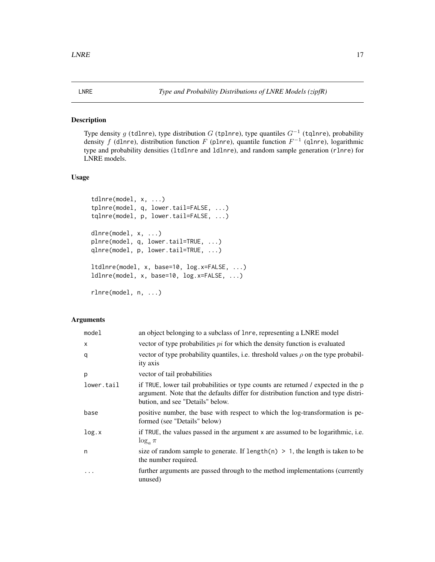<span id="page-16-1"></span><span id="page-16-0"></span>Type density g (tdlnre), type distribution G (tplnre), type quantiles  $G^{-1}$  (tqlnre), probability density f (dlnre), distribution function F (plnre), quantile function  $F^{-1}$  (qlnre), logarithmic type and probability densities (ltdlnre and ldlnre), and random sample generation (rlnre) for LNRE models.

## Usage

```
tdlnre(model, x, ...)
tplnre(model, q, lower.tail=FALSE, ...)
tqlnre(model, p, lower.tail=FALSE, ...)
dlnre(model, x, ...)
plnre(model, q, lower.tail=TRUE, ...)
qlnre(model, p, lower.tail=TRUE, ...)
ltdlnre(model, x, base=10, log.x=FALSE, ...)
ldlnre(model, x, base=10, log.x=FALSE, ...)
```
rlnre(model, n, ...)

## Arguments

| model      | an object belonging to a subclass of lnre, representing a LNRE model                                                                                                                                        |
|------------|-------------------------------------------------------------------------------------------------------------------------------------------------------------------------------------------------------------|
| $\times$   | vector of type probabilities $pi$ for which the density function is evaluated                                                                                                                               |
| q          | vector of type probability quantiles, i.e. threshold values $\rho$ on the type probabil-<br>ity axis                                                                                                        |
| p          | vector of tail probabilities                                                                                                                                                                                |
| lower.tail | if TRUE, lower tail probabilities or type counts are returned / expected in the p<br>argument. Note that the defaults differ for distribution function and type distri-<br>bution, and see "Details" below. |
| base       | positive number, the base with respect to which the log-transformation is pe-<br>formed (see "Details" below)                                                                                               |
| log.x      | if TRUE, the values passed in the argument x are assumed to be logarithmic, i.e.<br>$\log_a \pi$                                                                                                            |
| n          | size of random sample to generate. If length(n) $> 1$ , the length is taken to be<br>the number required.                                                                                                   |
| $\cdots$   | further arguments are passed through to the method implementations (currently<br>unused)                                                                                                                    |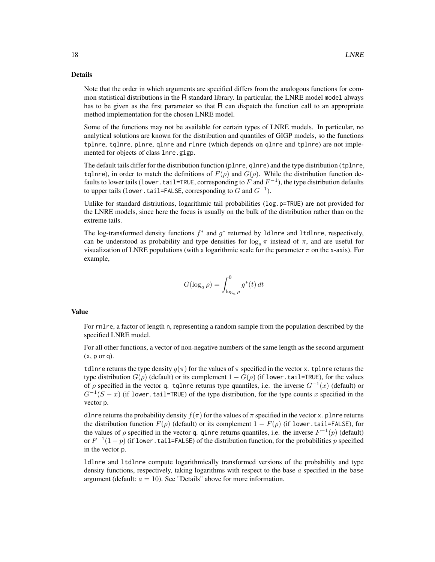## Details

Note that the order in which arguments are specified differs from the analogous functions for common statistical distributions in the R standard library. In particular, the LNRE model model always has to be given as the first parameter so that R can dispatch the function call to an appropriate method implementation for the chosen LNRE model.

Some of the functions may not be available for certain types of LNRE models. In particular, no analytical solutions are known for the distribution and quantiles of GIGP models, so the functions tplnre, tqlnre, plnre, qlnre and rlnre (which depends on qlnre and tplnre) are not implemented for objects of class lnre.gigp.

The default tails differ for the distribution function (plnre, qlnre) and the type distribution (tplnre, tqlnre), in order to match the definitions of  $F(\rho)$  and  $G(\rho)$ . While the distribution function defaults to lower tails (lower . tail=TRUE, corresponding to  $F$  and  $F^{-1}$ ), the type distribution defaults to upper tails (lower.tail=FALSE, corresponding to  $G$  and  $G^{-1}$ ).

Unlike for standard distriutions, logarithmic tail probabilities (log.p=TRUE) are not provided for the LNRE models, since here the focus is usually on the bulk of the distribution rather than on the extreme tails.

The log-transformed density functions  $f^*$  and  $g^*$  returned by 1dlnre and 1tdlnre, respectively, can be understood as probability and type densities for  $log_a \pi$  instead of  $\pi$ , and are useful for visualization of LNRE populations (with a logarithmic scale for the parameter  $\pi$  on the x-axis). For example,

$$
G(\log_a \rho) = \int_{\log_a \rho}^0 g^*(t) dt
$$

## Value

For rnlre, a factor of length n, representing a random sample from the population described by the specified LNRE model.

For all other functions, a vector of non-negative numbers of the same length as the second argument  $(x, p \text{ or } q)$ .

tdlnre returns the type density  $q(\pi)$  for the values of  $\pi$  specified in the vector x. tplnre returns the type distribution  $G(\rho)$  (default) or its complement  $1 - G(\rho)$  (if lower.tail=TRUE), for the values of  $\rho$  specified in the vector q. tqlnre returns type quantiles, i.e. the inverse  $G^{-1}(x)$  (default) or  $G^{-1}(S-x)$  (if lower.tail=TRUE) of the type distribution, for the type counts x specified in the vector p.

dlnre returns the probability density  $f(\pi)$  for the values of  $\pi$  specified in the vector x. plnre returns the distribution function  $F(\rho)$  (default) or its complement  $1 - F(\rho)$  (if lower.tail=FALSE), for the values of  $\rho$  specified in the vector q. qlnre returns quantiles, i.e. the inverse  $F^{-1}(p)$  (default) or  $F^{-1}(1-p)$  (if lower.tail=FALSE) of the distribution function, for the probabilities p specified in the vector p.

ldlnre and ltdlnre compute logarithmically transformed versions of the probability and type density functions, respectively, taking logarithms with respect to the base  $\alpha$  specified in the base argument (default:  $a = 10$ ). See "Details" above for more information.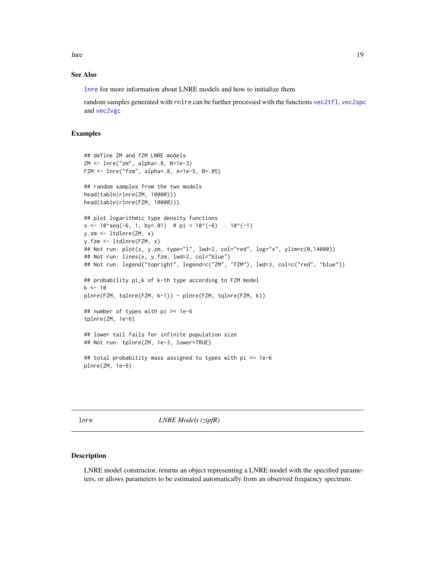<span id="page-18-0"></span>lnre transmission i 19

## See Also

[lnre](#page-18-1) for more information about LNRE models and how to initialize them

random samples generated with rnlre can be further processed with the functions [vec2tfl](#page-77-1), [vec2spc](#page-77-1) and [vec2vgc](#page-77-1)

## Examples

```
## define ZM and fZM LNRE models
ZM <- lnre("zm", alpha=.8, B=1e-3)
FZM <- lnre("fzm", alpha=.8, A=1e-5, B=.05)
## random samples from the two models
head(table(rlnre(ZM, 10000)))
head(table(rlnre(FZM, 10000)))
## plot logarithmic type density functions
x \le -10 seq(-6, 1, by=.01) # pi = 10^(-6) .. 10^(-1)
y.zm <- ltdlnre(ZM, x)
y.fzm <- ltdlnre(FZM, x)
## Not run: plot(x, y.zm, type="l", lwd=2, col="red", log="x", ylim=c(0,14000))
## Not run: lines(x, y.fzm, lwd=2, col="blue")
## Not run: legend("topright", legend=c("ZM", "fZM"), lwd=3, col=c("red", "blue"))
## probability pi_k of k-th type according to FZM model
k < -10plnre(FZM, tqlnre(FZM, k-1)) - plnre(FZM, tqlnre(FZM, k))
## number of types with pi >= 1e-6
tplnre(ZM, 1e-6)
## lower tail fails for infinite population size
## Not run: tplnre(ZM, 1e-3, lower=TRUE)
## total probability mass assigned to types with pi <= 1e-6
plnre(ZM, 1e-6)
```
<span id="page-18-1"></span>lnre *LNRE Models (zipfR)*

## Description

LNRE model constructor, returns an object representing a LNRE model with the specified parameters, or allows parameters to be estimated automatically from an observed frequency spectrum.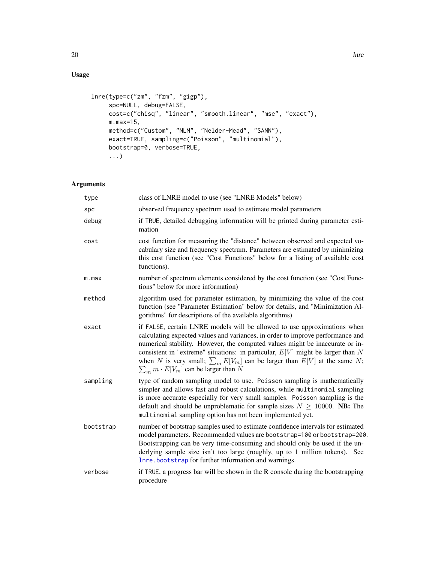## Usage

```
lnre(type=c("zm", "fzm", "gigp"),
     spc=NULL, debug=FALSE,
    cost=c("chisq", "linear", "smooth.linear", "mse", "exact"),
    m.max=15,
    method=c("Custom", "NLM", "Nelder-Mead", "SANN"),
     exact=TRUE, sampling=c("Poisson", "multinomial"),
     bootstrap=0, verbose=TRUE,
     ...)
```
## Arguments

| type      | class of LNRE model to use (see "LNRE Models" below)                                                                                                                                                                                                                                                                                                                                                                                                               |
|-----------|--------------------------------------------------------------------------------------------------------------------------------------------------------------------------------------------------------------------------------------------------------------------------------------------------------------------------------------------------------------------------------------------------------------------------------------------------------------------|
| spc       | observed frequency spectrum used to estimate model parameters                                                                                                                                                                                                                                                                                                                                                                                                      |
| debug     | if TRUE, detailed debugging information will be printed during parameter esti-<br>mation                                                                                                                                                                                                                                                                                                                                                                           |
| cost      | cost function for measuring the "distance" between observed and expected vo-<br>cabulary size and frequency spectrum. Parameters are estimated by minimizing<br>this cost function (see "Cost Functions" below for a listing of available cost<br>functions).                                                                                                                                                                                                      |
| m.max     | number of spectrum elements considered by the cost function (see "Cost Func-<br>tions" below for more information)                                                                                                                                                                                                                                                                                                                                                 |
| method    | algorithm used for parameter estimation, by minimizing the value of the cost<br>function (see "Parameter Estimation" below for details, and "Minimization Al-<br>gorithms" for descriptions of the available algorithms)                                                                                                                                                                                                                                           |
| exact     | if FALSE, certain LNRE models will be allowed to use approximations when<br>calculating expected values and variances, in order to improve performance and<br>numerical stability. However, the computed values might be inaccurate or in-<br>consistent in "extreme" situations: in particular, $E[V]$ might be larger than N<br>when N is very small; $\sum_{m} E[V_m]$ can be larger than $E[V]$ at the same N;<br>$\sum_m m \cdot E[V_m]$ can be larger than N |
| sampling  | type of random sampling model to use. Poisson sampling is mathematically<br>simpler and allows fast and robust calculations, while multinomial sampling<br>is more accurate especially for very small samples. Poisson sampling is the<br>default and should be unproblematic for sample sizes $N \ge 10000$ . NB: The<br>multinomial sampling option has not been implemented yet.                                                                                |
| bootstrap | number of bootstrap samples used to estimate confidence intervals for estimated<br>model parameters. Recommended values are bootstrap=100 or bootstrap=200.<br>Bootstrapping can be very time-consuming and should only be used if the un-<br>derlying sample size isn't too large (roughly, up to 1 million tokens). See<br>Inre.bootstrap for further information and warnings.                                                                                  |
| verbose   | if TRUE, a progress bar will be shown in the R console during the bootstrapping<br>procedure                                                                                                                                                                                                                                                                                                                                                                       |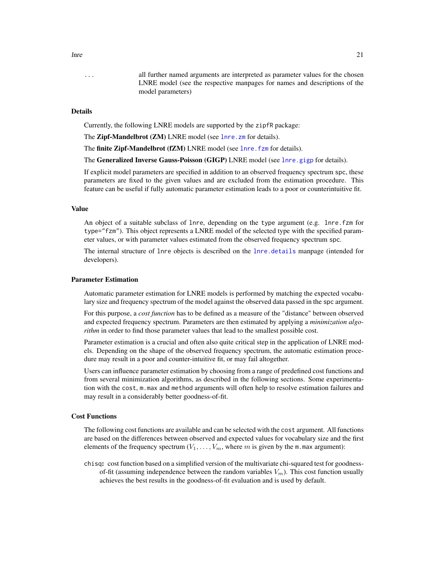... all further named arguments are interpreted as parameter values for the chosen LNRE model (see the respective manpages for names and descriptions of the model parameters)

#### Details

Currently, the following LNRE models are supported by the zipfR package:

The Zipf-Mandelbrot (ZM) LNRE model (see lnre. zm for details).

The finite Zipf-Mandelbrot (fZM) LNRE model (see lnre. fzm for details).

The Generalized Inverse Gauss-Poisson (GIGP) LNRE model (see [lnre.gigp](#page-30-1) for details).

If explicit model parameters are specified in addition to an observed frequency spectrum spc, these parameters are fixed to the given values and are excluded from the estimation procedure. This feature can be useful if fully automatic parameter estimation leads to a poor or counterintuitive fit.

#### Value

An object of a suitable subclass of lnre, depending on the type argument (e.g. lnre.fzm for type="fzm"). This object represents a LNRE model of the selected type with the specified parameter values, or with parameter values estimated from the observed frequency spectrum spc.

The internal structure of lnre objects is described on the [lnre.details](#page-25-1) manpage (intended for developers).

#### Parameter Estimation

Automatic parameter estimation for LNRE models is performed by matching the expected vocabulary size and frequency spectrum of the model against the observed data passed in the spc argument.

For this purpose, a *cost function* has to be defined as a measure of the "distance" between observed and expected frequency spectrum. Parameters are then estimated by applying a *minimization algorithm* in order to find those parameter values that lead to the smallest possible cost.

Parameter estimation is a crucial and often also quite critical step in the application of LNRE models. Depending on the shape of the observed frequency spectrum, the automatic estimation procedure may result in a poor and counter-intuitive fit, or may fail altogether.

Users can influence parameter estimation by choosing from a range of predefined cost functions and from several minimization algorithms, as described in the following sections. Some experimentation with the cost, m.max and method arguments will often help to resolve estimation failures and may result in a considerably better goodness-of-fit.

## Cost Functions

The following cost functions are available and can be selected with the cost argument. All functions are based on the differences between observed and expected values for vocabulary size and the first elements of the frequency spectrum  $(V_1, \ldots, V_m)$ , where m is given by the m.max argument):

chisq: cost function based on a simplified version of the multivariate chi-squared test for goodnessof-fit (assuming independence between the random variables  $V_m$ ). This cost function usually achieves the best results in the goodness-of-fit evaluation and is used by default.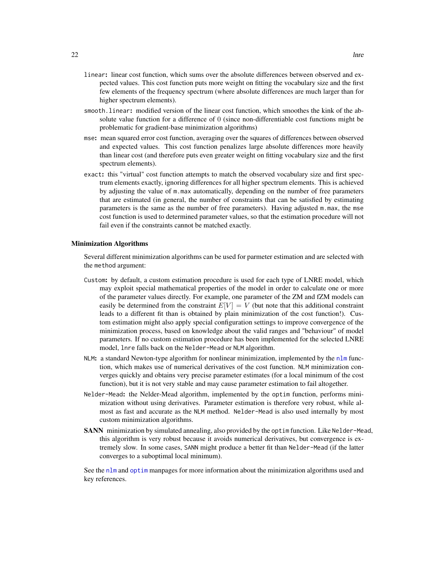- linear: linear cost function, which sums over the absolute differences between observed and expected values. This cost function puts more weight on fitting the vocabulary size and the first few elements of the frequency spectrum (where absolute differences are much larger than for higher spectrum elements).
- smooth.linear: modified version of the linear cost function, which smoothes the kink of the absolute value function for a difference of 0 (since non-differentiable cost functions might be problematic for gradient-base minimization algorithms)
- mse: mean squared error cost function, averaging over the squares of differences between observed and expected values. This cost function penalizes large absolute differences more heavily than linear cost (and therefore puts even greater weight on fitting vocabulary size and the first spectrum elements).
- exact: this "virtual" cost function attempts to match the observed vocabulary size and first spectrum elements exactly, ignoring differences for all higher spectrum elements. This is achieved by adjusting the value of m.max automatically, depending on the number of free parameters that are estimated (in general, the number of constraints that can be satisfied by estimating parameters is the same as the number of free parameters). Having adjusted m.max, the mse cost function is used to determined parameter values, so that the estimation procedure will not fail even if the constraints cannot be matched exactly.

#### Minimization Algorithms

Several different minimization algorithms can be used for parmeter estimation and are selected with the method argument:

- Custom: by default, a custom estimation procedure is used for each type of LNRE model, which may exploit special mathematical properties of the model in order to calculate one or more of the parameter values directly. For example, one parameter of the ZM and fZM models can easily be determined from the constraint  $E[V] = V$  (but note that this additional constraint leads to a different fit than is obtained by plain minimization of the cost function!). Custom estimation might also apply special configuration settings to improve convergence of the minimization process, based on knowledge about the valid ranges and "behaviour" of model parameters. If no custom estimation procedure has been implemented for the selected LNRE model, lnre falls back on the Nelder-Mead or NLM algorithm.
- NLM: a standard Newton-type algorithm for nonlinear minimization, implemented by the [nlm](#page-0-0) function, which makes use of numerical derivatives of the cost function. NLM minimization converges quickly and obtains very precise parameter estimates (for a local minimum of the cost function), but it is not very stable and may cause parameter estimation to fail altogether.
- Nelder-Mead: the Nelder-Mead algorithm, implemented by the optim function, performs minimization without using derivatives. Parameter estimation is therefore very robust, while almost as fast and accurate as the NLM method. Nelder-Mead is also used internally by most custom minimization algorithms.
- SANN minimization by simulated annealing, also provided by the optim function. Like Nelder-Mead, this algorithm is very robust because it avoids numerical derivatives, but convergence is extremely slow. In some cases, SANN might produce a better fit than Nelder-Mead (if the latter converges to a suboptimal local minimum).

See the [nlm](#page-0-0) and [optim](#page-0-0) manpages for more information about the minimization algorithms used and key references.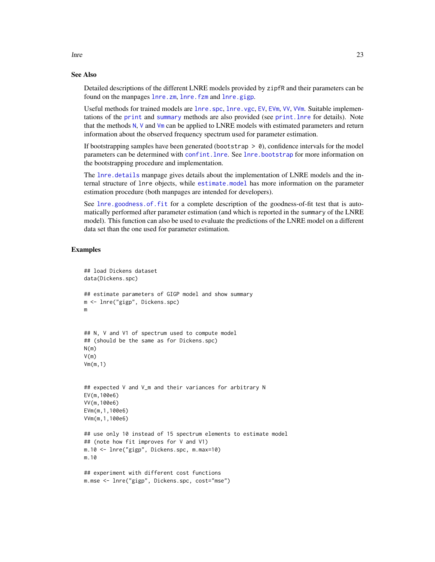## See Also

Detailed descriptions of the different LNRE models provided by zipfR and their parameters can be found on the manpages [lnre.zm](#page-37-1), [lnre.fzm](#page-28-1) and [lnre.gigp](#page-30-1).

Useful methods for trained models are [lnre.spc](#page-34-1), [lnre.vgc](#page-35-1), [EV](#page-12-1), [EVm](#page-12-1), [VV](#page-83-1), [VVm](#page-83-1). Suitable implementations of the [print](#page-0-0) and [summary](#page-0-0) methods are also provided (see [print.lnre](#page-52-1) for details). Note that the methods [N](#page-39-1), [V](#page-39-1) and [Vm](#page-39-1) can be applied to LNRE models with estimated parameters and return information about the observed frequency spectrum used for parameter estimation.

If bootstrapping samples have been generated (bootstrap  $> 0$ ), confidence intervals for the model parameters can be determined with [confint.lnre](#page-9-1). See [lnre.bootstrap](#page-23-1) for more information on the bootstrapping procedure and implementation.

The [lnre.details](#page-25-1) manpage gives details about the implementation of LNRE models and the internal structure of lnre objects, while [estimate.model](#page-11-1) has more information on the parameter estimation procedure (both manpages are intended for developers).

See [lnre.goodness.of.fit](#page-32-1) for a complete description of the goodness-of-fit test that is automatically performed after parameter estimation (and which is reported in the summary of the LNRE model). This function can also be used to evaluate the predictions of the LNRE model on a different data set than the one used for parameter estimation.

## Examples

```
## load Dickens dataset
data(Dickens.spc)
## estimate parameters of GIGP model and show summary
m <- lnre("gigp", Dickens.spc)
m
## N, V and V1 of spectrum used to compute model
## (should be the same as for Dickens.spc)
N(m)V(m)Vm(m,1)
## expected V and V_m and their variances for arbitrary N
EV(m,100e6)
VV(m,100e6)
EVm(m,1,100e6)
VVm(m,1,100e6)
## use only 10 instead of 15 spectrum elements to estimate model
## (note how fit improves for V and V1)
m.10 <- lnre("gigp", Dickens.spc, m.max=10)
m.10
## experiment with different cost functions
m.mse <- lnre("gigp", Dickens.spc, cost="mse")
```
lnre and 23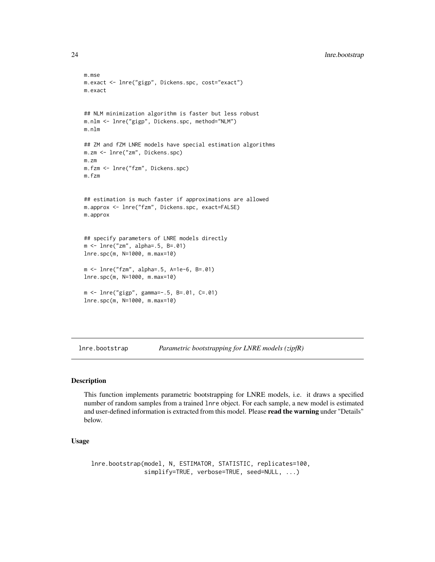```
m.mse
m.exact <- lnre("gigp", Dickens.spc, cost="exact")
m.exact
## NLM minimization algorithm is faster but less robust
m.nlm <- lnre("gigp", Dickens.spc, method="NLM")
m.nlm
## ZM and fZM LNRE models have special estimation algorithms
m.zm <- lnre("zm", Dickens.spc)
m.zm
m.fzm <- lnre("fzm", Dickens.spc)
m.fzm
## estimation is much faster if approximations are allowed
m.approx <- lnre("fzm", Dickens.spc, exact=FALSE)
m.approx
## specify parameters of LNRE models directly
m <- lnre("zm", alpha=.5, B=.01)
lnre.spc(m, N=1000, m.max=10)
m <- lnre("fzm", alpha=.5, A=1e-6, B=.01)
lnre.spc(m, N=1000, m.max=10)
m <- lnre("gigp", gamma=-.5, B=.01, C=.01)
lnre.spc(m, N=1000, m.max=10)
```
<span id="page-23-1"></span>lnre.bootstrap *Parametric bootstrapping for LNRE models (zipfR)*

## Description

This function implements parametric bootstrapping for LNRE models, i.e. it draws a specified number of random samples from a trained lnre object. For each sample, a new model is estimated and user-defined information is extracted from this model. Please read the warning under "Details" below.

## Usage

lnre.bootstrap(model, N, ESTIMATOR, STATISTIC, replicates=100, simplify=TRUE, verbose=TRUE, seed=NULL, ...)

<span id="page-23-0"></span>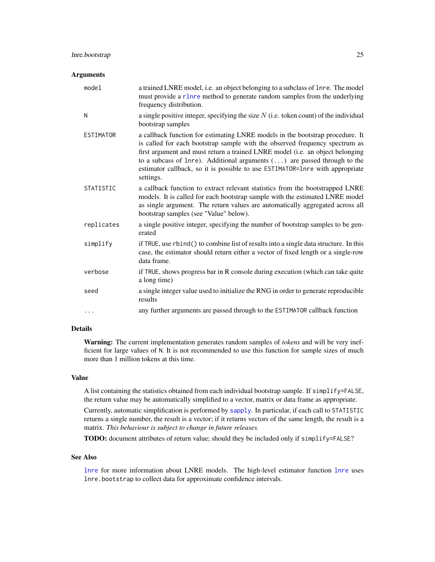#### **Arguments**

| model            | a trained LNRE model, i.e. an object belonging to a subclass of lnre. The model<br>must provide a r1nre method to generate random samples from the underlying<br>frequency distribution.                                                                                                                                                                                                                                       |
|------------------|--------------------------------------------------------------------------------------------------------------------------------------------------------------------------------------------------------------------------------------------------------------------------------------------------------------------------------------------------------------------------------------------------------------------------------|
| N                | a single positive integer, specifying the size $N$ (i.e. token count) of the individual<br>bootstrap samples                                                                                                                                                                                                                                                                                                                   |
| <b>ESTIMATOR</b> | a callback function for estimating LNRE models in the bootstrap procedure. It<br>is called for each bootstrap sample with the observed frequency spectrum as<br>first argument and must return a trained LNRE model (i.e. an object belonging<br>to a subcass of lnre). Additional arguments $(\ldots)$ are passed through to the<br>estimator callback, so it is possible to use ESTIMATOR=1nre with appropriate<br>settings. |
| <b>STATISTIC</b> | a callback function to extract relevant statistics from the bootstrapped LNRE<br>models. It is called for each bootstrap sample with the estimated LNRE model<br>as single argument. The return values are automatically aggregated across all<br>bootstrap samples (see "Value" below).                                                                                                                                       |
| replicates       | a single positive integer, specifying the number of bootstrap samples to be gen-<br>erated                                                                                                                                                                                                                                                                                                                                     |
| simplify         | if TRUE, use rbind() to combine list of results into a single data structure. In this<br>case, the estimator should return either a vector of fixed length or a single-row<br>data frame.                                                                                                                                                                                                                                      |
| verbose          | if TRUE, shows progress bar in R console during execution (which can take quite<br>a long time)                                                                                                                                                                                                                                                                                                                                |
| seed             | a single integer value used to initialize the RNG in order to generate reproducible<br>results                                                                                                                                                                                                                                                                                                                                 |
| .                | any further arguments are passed through to the ESTIMATOR callback function                                                                                                                                                                                                                                                                                                                                                    |

## Details

Warning: The current implementation generates random samples of *tokens* and will be very inefficient for large values of N. It is not recommended to use this function for sample sizes of much more than 1 million tokens at this time.

#### Value

A list containing the statistics obtained from each individual bootstrap sample. If simplify=FALSE, the return value may be automatically simplified to a vector, matrix or data frame as appropriate.

Currently, automatic simplification is performed by [sapply](#page-0-0). In particular, if each call to STATISTIC returns a single number, the result is a vector; if it returns vectors of the same length, the result is a matrix. *This behaviour is subject to change in future releases.*

TODO: document attributes of return value; should they be included only if simplify=FALSE?

## See Also

[lnre](#page-18-1) for more information about LNRE models. The high-level estimator function [lnre](#page-18-1) uses lnre.bootstrap to collect data for approximate confidence intervals.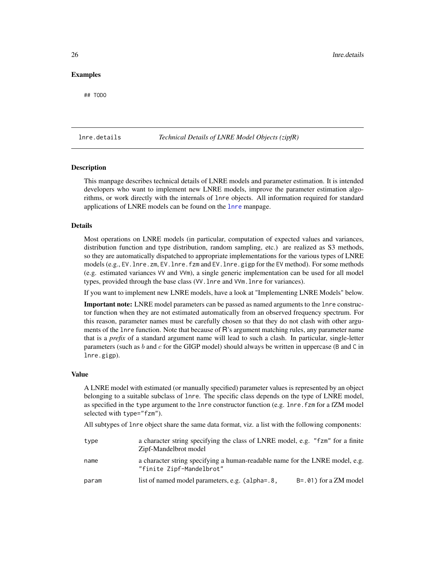## <span id="page-25-0"></span>Examples

## TODO

## <span id="page-25-1"></span>lnre.details *Technical Details of LNRE Model Objects (zipfR)*

## **Description**

This manpage describes technical details of LNRE models and parameter estimation. It is intended developers who want to implement new LNRE models, improve the parameter estimation algorithms, or work directly with the internals of lnre objects. All information required for standard applications of LNRE models can be found on the [lnre](#page-18-1) manpage.

#### Details

Most operations on LNRE models (in particular, computation of expected values and variances, distribution function and type distribution, random sampling, etc.) are realized as S3 methods, so they are automatically dispatched to appropriate implementations for the various types of LNRE models (e.g., EV.lnre.zm, EV.lnre.fzm and EV.lnre.gigp for the EV method). For some methods (e.g. estimated variances VV and VVm), a single generic implementation can be used for all model types, provided through the base class (VV.lnre and VVm.lnre for variances).

If you want to implement new LNRE models, have a look at "Implementing LNRE Models" below.

Important note: LNRE model parameters can be passed as named arguments to the lnre constructor function when they are not estimated automatically from an observed frequency spectrum. For this reason, parameter names must be carefully chosen so that they do not clash with other arguments of the lnre function. Note that because of R's argument matching rules, any parameter name that is a *prefix* of a standard argument name will lead to such a clash. In particular, single-letter parameters (such as  $b$  and  $c$  for the GIGP model) should always be written in uppercase (B and C in lnre.gigp).

#### Value

A LNRE model with estimated (or manually specified) parameter values is represented by an object belonging to a suitable subclass of lnre. The specific class depends on the type of LNRE model, as specified in the type argument to the lnre constructor function (e.g. lnre.fzm for a fZM model selected with type="fzm").

All subtypes of lnre object share the same data format, viz. a list with the following components:

| type  | a character string specifying the class of LNRE model, e.g. "fzm" for a finite<br>Zipf-Mandelbrot model  |                            |
|-------|----------------------------------------------------------------------------------------------------------|----------------------------|
| name  | a character string specifying a human-readable name for the LNRE model, e.g.<br>"finite Zipf-Mandelbrot" |                            |
| param | list of named model parameters, e.g. (alpha=.8,                                                          | $B = .01$ ) for a ZM model |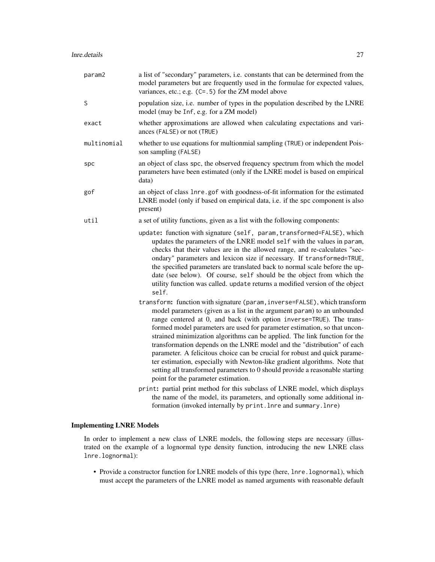| param2      | a list of "secondary" parameters, i.e. constants that can be determined from the<br>model parameters but are frequently used in the formulae for expected values,<br>variances, etc.; e.g. $(C= .5)$ for the ZM model above                                                                                                                                                                                                                                                                                                                                                                                                                                                                                                                             |
|-------------|---------------------------------------------------------------------------------------------------------------------------------------------------------------------------------------------------------------------------------------------------------------------------------------------------------------------------------------------------------------------------------------------------------------------------------------------------------------------------------------------------------------------------------------------------------------------------------------------------------------------------------------------------------------------------------------------------------------------------------------------------------|
| S           | population size, i.e. number of types in the population described by the LNRE<br>model (may be Inf, e.g. for a ZM model)                                                                                                                                                                                                                                                                                                                                                                                                                                                                                                                                                                                                                                |
| exact       | whether approximations are allowed when calculating expectations and vari-<br>ances (FALSE) or not (TRUE)                                                                                                                                                                                                                                                                                                                                                                                                                                                                                                                                                                                                                                               |
| multinomial | whether to use equations for multionmial sampling (TRUE) or independent Pois-<br>son sampling (FALSE)                                                                                                                                                                                                                                                                                                                                                                                                                                                                                                                                                                                                                                                   |
| spc         | an object of class spc, the observed frequency spectrum from which the model<br>parameters have been estimated (only if the LNRE model is based on empirical<br>data)                                                                                                                                                                                                                                                                                                                                                                                                                                                                                                                                                                                   |
| gof         | an object of class 1nre.gof with goodness-of-fit information for the estimated<br>LNRE model (only if based on empirical data, i.e. if the spc component is also<br>present)                                                                                                                                                                                                                                                                                                                                                                                                                                                                                                                                                                            |
| util        | a set of utility functions, given as a list with the following components:                                                                                                                                                                                                                                                                                                                                                                                                                                                                                                                                                                                                                                                                              |
|             | update: function with signature (self, param, transformed=FALSE), which<br>updates the parameters of the LNRE model self with the values in param,<br>checks that their values are in the allowed range, and re-calculates "sec-<br>ondary" parameters and lexicon size if necessary. If transformed=TRUE,<br>the specified parameters are translated back to normal scale before the up-<br>date (see below). Of course, self should be the object from which the<br>utility function was called. update returns a modified version of the object<br>self.                                                                                                                                                                                             |
|             | transform: function with signature (param, inverse=FALSE), which transform<br>model parameters (given as a list in the argument param) to an unbounded<br>range centered at 0, and back (with option inverse=TRUE). The trans-<br>formed model parameters are used for parameter estimation, so that uncon-<br>strained minimization algorithms can be applied. The link function for the<br>transformation depends on the LNRE model and the "distribution" of each<br>parameter. A felicitous choice can be crucial for robust and quick parame-<br>ter estimation, especially with Newton-like gradient algorithms. Note that<br>setting all transformed parameters to 0 should provide a reasonable starting<br>point for the parameter estimation. |
|             | print: partial print method for this subclass of LNRE model, which displays<br>the name of the model, its parameters, and optionally some additional in-<br>formation (invoked internally by print. lnre and summary. lnre)                                                                                                                                                                                                                                                                                                                                                                                                                                                                                                                             |

## Implementing LNRE Models

In order to implement a new class of LNRE models, the following steps are necessary (illustrated on the example of a lognormal type density function, introducing the new LNRE class lnre.lognormal):

• Provide a constructor function for LNRE models of this type (here, lnre.lognormal), which must accept the parameters of the LNRE model as named arguments with reasonable default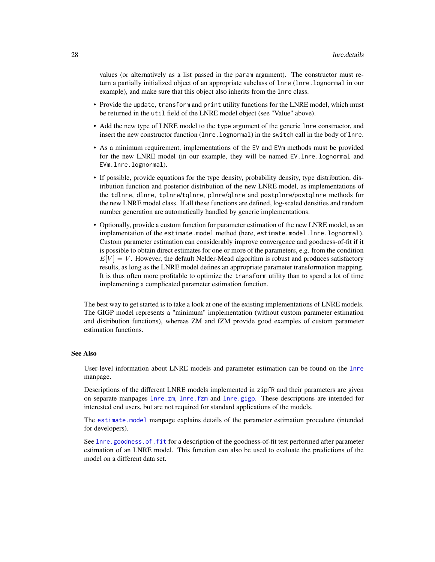values (or alternatively as a list passed in the param argument). The constructor must return a partially initialized object of an appropriate subclass of lnre (lnre.lognormal in our example), and make sure that this object also inherits from the lnre class.

- Provide the update, transform and print utility functions for the LNRE model, which must be returned in the util field of the LNRE model object (see "Value" above).
- Add the new type of LNRE model to the type argument of the generic lnre constructor, and insert the new constructor function (lnre.lognormal) in the switch call in the body of lnre.
- As a minimum requirement, implementations of the EV and EVm methods must be provided for the new LNRE model (in our example, they will be named EV.lnre.lognormal and EVm.lnre.lognormal).
- If possible, provide equations for the type density, probability density, type distribution, distribution function and posterior distribution of the new LNRE model, as implementations of the tdlnre, dlnre, tplnre/tqlnre, plnre/qlnre and postplnre/postqlnre methods for the new LNRE model class. If all these functions are defined, log-scaled densities and random number generation are automatically handled by generic implementations.
- Optionally, provide a custom function for parameter estimation of the new LNRE model, as an implementation of the estimate.model method (here, estimate.model.lnre.lognormal). Custom parameter estimation can considerably improve convergence and goodness-of-fit if it is possible to obtain direct estimates for one or more of the parameters, e.g. from the condition  $E[V] = V$ . However, the default Nelder-Mead algorithm is robust and produces satisfactory results, as long as the LNRE model defines an appropriate parameter transformation mapping. It is thus often more profitable to optimize the transform utility than to spend a lot of time implementing a complicated parameter estimation function.

The best way to get started is to take a look at one of the existing implementations of LNRE models. The GIGP model represents a "minimum" implementation (without custom parameter estimation and distribution functions), whereas ZM and fZM provide good examples of custom parameter estimation functions.

#### See Also

User-level information about LNRE models and parameter estimation can be found on the [lnre](#page-18-1) manpage.

Descriptions of the different LNRE models implemented in zipfR and their parameters are given on separate manpages [lnre.zm](#page-37-1), [lnre.fzm](#page-28-1) and [lnre.gigp](#page-30-1). These descriptions are intended for interested end users, but are not required for standard applications of the models.

The [estimate.model](#page-11-1) manpage explains details of the parameter estimation procedure (intended for developers).

See [lnre.goodness.of.fit](#page-32-1) for a description of the goodness-of-fit test performed after parameter estimation of an LNRE model. This function can also be used to evaluate the predictions of the model on a different data set.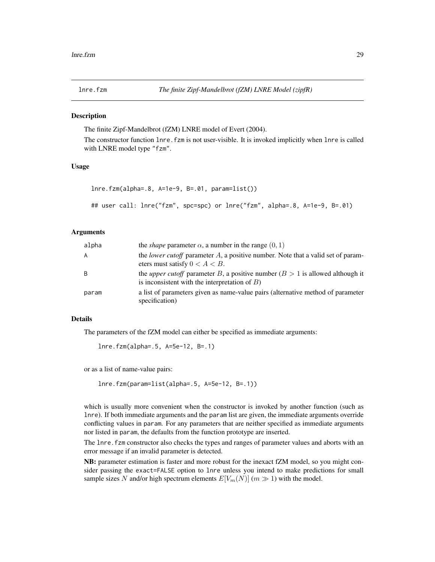<span id="page-28-1"></span><span id="page-28-0"></span>

The finite Zipf-Mandelbrot (fZM) LNRE model of Evert (2004).

The constructor function lnre.fzm is not user-visible. It is invoked implicitly when lnre is called with LNRE model type "fzm".

#### Usage

```
lnre.fzm(alpha=.8, A=1e-9, B=.01, param=list())
## user call: lnre("fzm", spc=spc) or lnre("fzm", alpha=.8, A=1e-9, B=.01)
```
## Arguments

| alpha | the <i>shape</i> parameter $\alpha$ , a number in the range $(0, 1)$                                                                       |
|-------|--------------------------------------------------------------------------------------------------------------------------------------------|
| A     | the <i>lower cutoff</i> parameter $A$ , a positive number. Note that a valid set of param-<br>eters must satisfy $0 < A < B$ .             |
| -B    | the <i>upper cutoff</i> parameter B, a positive number $(B > 1$ is allowed although it<br>is inconsistent with the interpretation of $B$ ) |
| param | a list of parameters given as name-value pairs (alternative method of parameter<br>specification)                                          |

#### Details

The parameters of the fZM model can either be specified as immediate arguments:

lnre.fzm(alpha=.5, A=5e-12, B=.1)

or as a list of name-value pairs:

```
lnre.fzm(param=list(alpha=.5, A=5e-12, B=.1))
```
which is usually more convenient when the constructor is invoked by another function (such as lnre). If both immediate arguments and the param list are given, the immediate arguments override conflicting values in param. For any parameters that are neither specified as immediate arguments nor listed in param, the defaults from the function prototype are inserted.

The lnre. fzm constructor also checks the types and ranges of parameter values and aborts with an error message if an invalid parameter is detected.

NB: parameter estimation is faster and more robust for the inexact fZM model, so you might consider passing the exact=FALSE option to lnre unless you intend to make predictions for small sample sizes N and/or high spectrum elements  $E[V_m(N)]$  ( $m \gg 1$ ) with the model.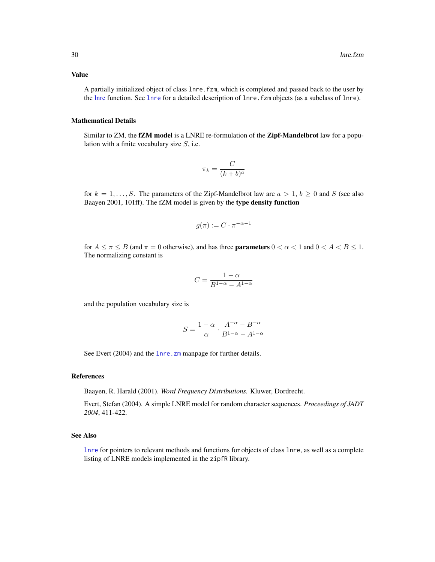## Value

A partially initialized object of class lnre.fzm, which is completed and passed back to the user by the [lnre](#page-18-1) function. See [lnre](#page-18-1) for a detailed description of lnre.fzm objects (as a subclass of lnre).

## Mathematical Details

Similar to ZM, the fZM model is a LNRE re-formulation of the Zipf-Mandelbrot law for a population with a finite vocabulary size  $S$ , i.e.

$$
\pi_k = \frac{C}{(k+b)^a}
$$

for  $k = 1, ..., S$ . The parameters of the Zipf-Mandelbrot law are  $a > 1, b \ge 0$  and S (see also Baayen 2001, 101ff). The fZM model is given by the type density function

$$
g(\pi) := C \cdot \pi^{-\alpha - 1}
$$

for  $A \leq \pi \leq B$  (and  $\pi = 0$  otherwise), and has three **parameters**  $0 \lt \alpha \lt 1$  and  $0 \lt A \lt B \lt 1$ . The normalizing constant is

$$
C=\frac{1-\alpha}{B^{1-\alpha}-A^{1-\alpha}}
$$

and the population vocabulary size is

$$
S=\frac{1-\alpha}{\alpha}\cdot\frac{A^{-\alpha}-B^{-\alpha}}{B^{1-\alpha}-A^{1-\alpha}}
$$

See Evert (2004) and the lnre. zm manpage for further details.

#### References

Baayen, R. Harald (2001). *Word Frequency Distributions.* Kluwer, Dordrecht.

Evert, Stefan (2004). A simple LNRE model for random character sequences. *Proceedings of JADT 2004*, 411-422.

#### See Also

[lnre](#page-18-1) for pointers to relevant methods and functions for objects of class lnre, as well as a complete listing of LNRE models implemented in the zipfR library.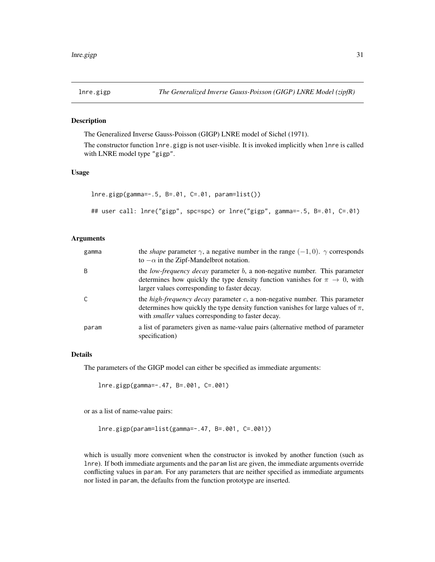<span id="page-30-1"></span><span id="page-30-0"></span>

The Generalized Inverse Gauss-Poisson (GIGP) LNRE model of Sichel (1971).

The constructor function lnre.gigp is not user-visible. It is invoked implicitly when lnre is called with LNRE model type "gigp".

## Usage

```
lnre.gigp(gamma=-.5, B=.01, C=.01, param=list())
## user call: lnre("gigp", spc=spc) or lnre("gigp", gamma=-.5, B=.01, C=.01)
```
## Arguments

| gamma | the <i>shape</i> parameter $\gamma$ , a negative number in the range $(-1,0)$ . $\gamma$ corresponds<br>to $-\alpha$ in the Zipf-Mandelbrot notation.                                                                                       |
|-------|---------------------------------------------------------------------------------------------------------------------------------------------------------------------------------------------------------------------------------------------|
| B     | the <i>low-frequency decay</i> parameter $b$ , a non-negative number. This parameter<br>determines how quickly the type density function vanishes for $\pi \to 0$ , with<br>larger values corresponding to faster decay.                    |
|       | the <i>high-frequency decay</i> parameter $c$ , a non-negative number. This parameter<br>determines how quickly the type density function vanishes for large values of $\pi$ ,<br>with <i>smaller</i> values corresponding to faster decay. |
| param | a list of parameters given as name-value pairs (alternative method of parameter<br>specification)                                                                                                                                           |

#### Details

The parameters of the GIGP model can either be specified as immediate arguments:

lnre.gigp(gamma=-.47, B=.001, C=.001)

or as a list of name-value pairs:

lnre.gigp(param=list(gamma=-.47, B=.001, C=.001))

which is usually more convenient when the constructor is invoked by another function (such as lnre). If both immediate arguments and the param list are given, the immediate arguments override conflicting values in param. For any parameters that are neither specified as immediate arguments nor listed in param, the defaults from the function prototype are inserted.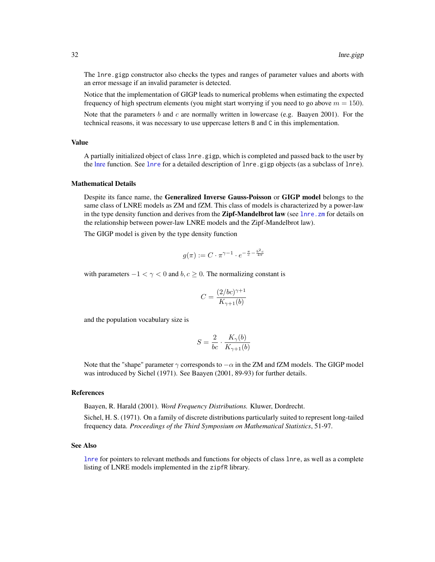The lnre.gigp constructor also checks the types and ranges of parameter values and aborts with an error message if an invalid parameter is detected.

Notice that the implementation of GIGP leads to numerical problems when estimating the expected frequency of high spectrum elements (you might start worrying if you need to go above  $m = 150$ ).

Note that the parameters  $b$  and  $c$  are normally written in lowercase (e.g. Baayen 2001). For the technical reasons, it was necessary to use uppercase letters B and C in this implementation.

## Value

A partially initialized object of class lnre.gigp, which is completed and passed back to the user by the [lnre](#page-18-1) function. See lnre for a detailed description of lnre.gigp objects (as a subclass of lnre).

#### Mathematical Details

Despite its fance name, the Generalized Inverse Gauss-Poisson or GIGP model belongs to the same class of LNRE models as ZM and fZM. This class of models is characterized by a power-law in the type density function and derives from the Zipf-Mandelbrot law (see lnre. zm for details on the relationship between power-law LNRE models and the Zipf-Mandelbrot law).

The GIGP model is given by the type density function

$$
g(\pi) := C \cdot \pi^{\gamma - 1} \cdot e^{-\frac{\pi}{c} - \frac{b^2 c}{4\pi}}
$$

with parameters  $-1 < \gamma < 0$  and  $b, c \ge 0$ . The normalizing constant is

$$
C = \frac{(2/bc)^{\gamma + 1}}{K_{\gamma + 1}(b)}
$$

and the population vocabulary size is

$$
S = \frac{2}{bc} \cdot \frac{K_{\gamma}(b)}{K_{\gamma+1}(b)}
$$

Note that the "shape" parameter  $\gamma$  corresponds to  $-\alpha$  in the ZM and fZM models. The GIGP model was introduced by Sichel (1971). See Baayen (2001, 89-93) for further details.

#### References

Baayen, R. Harald (2001). *Word Frequency Distributions.* Kluwer, Dordrecht.

Sichel, H. S. (1971). On a family of discrete distributions particularly suited to represent long-tailed frequency data. *Proceedings of the Third Symposium on Mathematical Statistics*, 51-97.

#### See Also

[lnre](#page-18-1) for pointers to relevant methods and functions for objects of class lnre, as well as a complete listing of LNRE models implemented in the zipfR library.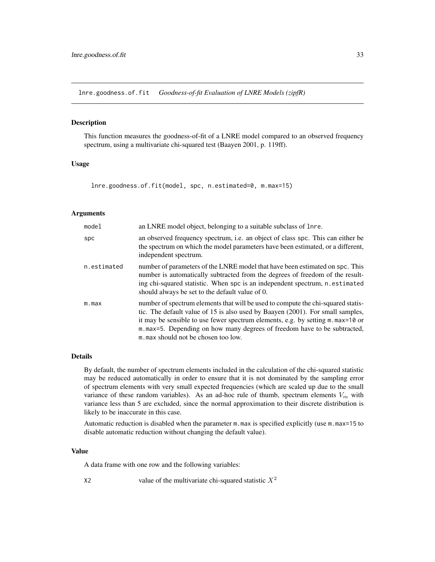<span id="page-32-1"></span><span id="page-32-0"></span>lnre.goodness.of.fit *Goodness-of-fit Evaluation of LNRE Models (zipfR)*

#### Description

This function measures the goodness-of-fit of a LNRE model compared to an observed frequency spectrum, using a multivariate chi-squared test (Baayen 2001, p. 119ff).

## Usage

lnre.goodness.of.fit(model, spc, n.estimated=0, m.max=15)

## Arguments

| model       | an LNRE model object, belonging to a suitable subclass of lnre.                                                                                                                                                                                                                                                                                                                |
|-------------|--------------------------------------------------------------------------------------------------------------------------------------------------------------------------------------------------------------------------------------------------------------------------------------------------------------------------------------------------------------------------------|
| spc         | an observed frequency spectrum, i.e. an object of class spc. This can either be<br>the spectrum on which the model parameters have been estimated, or a different,<br>independent spectrum.                                                                                                                                                                                    |
| n.estimated | number of parameters of the LNRE model that have been estimated on spc. This<br>number is automatically subtracted from the degrees of freedom of the result-<br>ing chi-squared statistic. When spc is an independent spectrum, n. estimated<br>should always be set to the default value of 0.                                                                               |
| m.max       | number of spectrum elements that will be used to compute the chi-squared statis-<br>tic. The default value of 15 is also used by Baayen (2001). For small samples,<br>it may be sensible to use fewer spectrum elements, e.g. by setting $m$ . $max=10$ or<br>m.max=5. Depending on how many degrees of freedom have to be subtracted,<br>m, max should not be chosen too low. |

## Details

By default, the number of spectrum elements included in the calculation of the chi-squared statistic may be reduced automatically in order to ensure that it is not dominated by the sampling error of spectrum elements with very small expected frequencies (which are scaled up due to the small variance of these random variables). As an ad-hoc rule of thumb, spectrum elements  $V_m$  with variance less than 5 are excluded, since the normal approximation to their discrete distribution is likely to be inaccurate in this case.

Automatic reduction is disabled when the parameter m.max is specified explicitly (use m.max=15 to disable automatic reduction without changing the default value).

#### Value

A data frame with one row and the following variables:

X2 value of the multivariate chi-squared statistic  $X^2$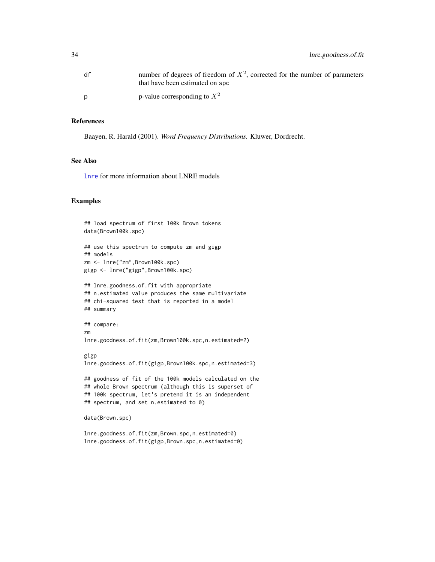| df | number of degrees of freedom of $X^2$ , corrected for the number of parameters<br>that have been estimated on spc |
|----|-------------------------------------------------------------------------------------------------------------------|
|    | p-value corresponding to $X^2$                                                                                    |

## References

Baayen, R. Harald (2001). *Word Frequency Distributions.* Kluwer, Dordrecht.

#### See Also

[lnre](#page-18-1) for more information about LNRE models

## Examples

```
## load spectrum of first 100k Brown tokens
data(Brown100k.spc)
## use this spectrum to compute zm and gigp
## models
zm <- lnre("zm",Brown100k.spc)
gigp <- lnre("gigp",Brown100k.spc)
## lnre.goodness.of.fit with appropriate
## n.estimated value produces the same multivariate
## chi-squared test that is reported in a model
## summary
## compare:
zm
lnre.goodness.of.fit(zm,Brown100k.spc,n.estimated=2)
gigp
lnre.goodness.of.fit(gigp,Brown100k.spc,n.estimated=3)
## goodness of fit of the 100k models calculated on the
## whole Brown spectrum (although this is superset of
## 100k spectrum, let's pretend it is an independent
## spectrum, and set n.estimated to 0)
```

```
data(Brown.spc)
```
lnre.goodness.of.fit(zm,Brown.spc,n.estimated=0) lnre.goodness.of.fit(gigp,Brown.spc,n.estimated=0)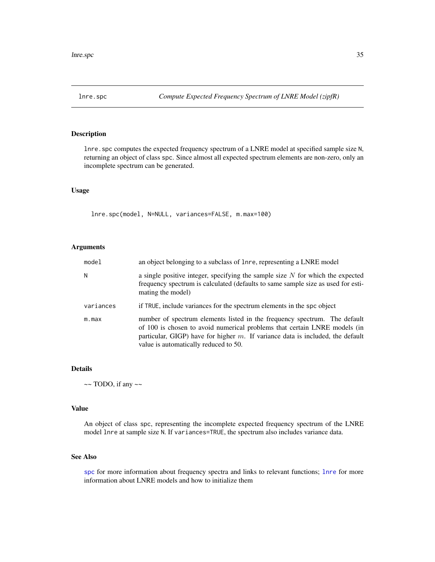<span id="page-34-1"></span><span id="page-34-0"></span>

lnre. spc computes the expected frequency spectrum of a LNRE model at specified sample size N, returning an object of class spc. Since almost all expected spectrum elements are non-zero, only an incomplete spectrum can be generated.

## Usage

lnre.spc(model, N=NULL, variances=FALSE, m.max=100)

## Arguments

| model     | an object belonging to a subclass of lnre, representing a LNRE model                                                                                                                                                                                                                 |
|-----------|--------------------------------------------------------------------------------------------------------------------------------------------------------------------------------------------------------------------------------------------------------------------------------------|
| N         | a single positive integer, specifying the sample size $N$ for which the expected<br>frequency spectrum is calculated (defaults to same sample size as used for esti-<br>mating the model)                                                                                            |
| variances | if TRUE, include variances for the spectrum elements in the spc object                                                                                                                                                                                                               |
| m.max     | number of spectrum elements listed in the frequency spectrum. The default<br>of 100 is chosen to avoid numerical problems that certain LNRE models (in<br>particular, GIGP) have for higher $m$ . If variance data is included, the default<br>value is automatically reduced to 50. |

#### Details

 $\sim$  TODO, if any  $\sim$ 

## Value

An object of class spc, representing the incomplete expected frequency spectrum of the LNRE model lnre at sample size N. If variances=TRUE, the spectrum also includes variance data.

## See Also

[spc](#page-67-1) for more information about frequency spectra and links to relevant functions; [lnre](#page-18-1) for more information about LNRE models and how to initialize them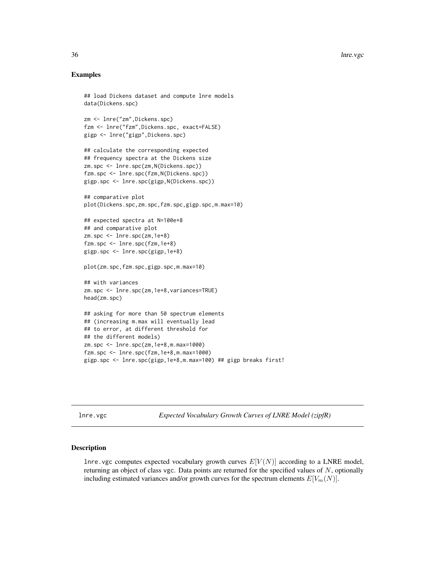## Examples

```
## load Dickens dataset and compute lnre models
data(Dickens.spc)
```

```
zm <- lnre("zm",Dickens.spc)
fzm <- lnre("fzm",Dickens.spc, exact=FALSE)
gigp <- lnre("gigp",Dickens.spc)
```

```
## calculate the corresponding expected
## frequency spectra at the Dickens size
zm.spc <- lnre.spc(zm,N(Dickens.spc))
fzm.spc <- lnre.spc(fzm,N(Dickens.spc))
gigp.spc <- lnre.spc(gigp,N(Dickens.spc))
```

```
## comparative plot
plot(Dickens.spc,zm.spc,fzm.spc,gigp.spc,m.max=10)
```

```
## expected spectra at N=100e+8
## and comparative plot
zm.spc <- lnre.spc(zm,1e+8)
fzm.spc <- lnre.spc(fzm,1e+8)
gigp.spc <- lnre.spc(gigp,1e+8)
```
plot(zm.spc,fzm.spc,gigp.spc,m.max=10)

```
## with variances
zm.spc <- lnre.spc(zm,1e+8,variances=TRUE)
head(zm.spc)
```

```
## asking for more than 50 spectrum elements
## (increasing m.max will eventually lead
## to error, at different threshold for
## the different models)
zm.spc <- lnre.spc(zm,1e+8,m.max=1000)
fzm.spc <- lnre.spc(fzm,1e+8,m.max=1000)
gigp.spc <- lnre.spc(gigp,1e+8,m.max=100) ## gigp breaks first!
```
<span id="page-35-1"></span>lnre.vgc *Expected Vocabulary Growth Curves of LNRE Model (zipfR)*

#### Description

lnre.vgc computes expected vocabulary growth curves  $E[V(N)]$  according to a LNRE model, returning an object of class vgc. Data points are returned for the specified values of N, optionally including estimated variances and/or growth curves for the spectrum elements  $E[V_m(N)]$ .

<span id="page-35-0"></span>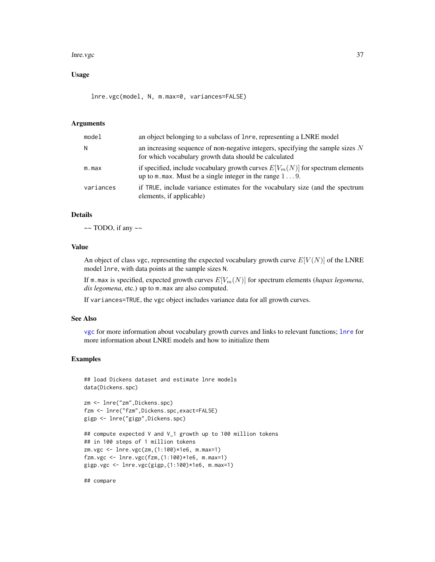#### lnre.vgc 37

# Usage

lnre.vgc(model, N, m.max=0, variances=FALSE)

### Arguments

| model     | an object belonging to a subclass of lnre, representing a LNRE model                                                                                   |
|-----------|--------------------------------------------------------------------------------------------------------------------------------------------------------|
| N         | an increasing sequence of non-negative integers, specifying the sample sizes $N$<br>for which vocabulary growth data should be calculated              |
| m.max     | if specified, include vocabulary growth curves $E[V_m(N)]$ for spectrum elements<br>up to $m$ max. Must be a single integer in the range $1 \dots 9$ . |
| variances | if TRUE, include variance estimates for the vocabulary size (and the spectrum<br>elements, if applicable)                                              |

# Details

 $\sim$  TODO, if any  $\sim$ 

# Value

An object of class vgc, representing the expected vocabulary growth curve  $E[V(N)]$  of the LNRE model lnre, with data points at the sample sizes N.

If m.max is specified, expected growth curves  $E[V_m(N)]$  for spectrum elements (*hapax legomena*, *dis legomena*, etc.) up to m.max are also computed.

If variances=TRUE, the vgc object includes variance data for all growth curves.

### See Also

[vgc](#page-79-0) for more information about vocabulary growth curves and links to relevant functions; [lnre](#page-18-0) for more information about LNRE models and how to initialize them

# Examples

```
## load Dickens dataset and estimate lnre models
data(Dickens.spc)
```

```
zm <- lnre("zm",Dickens.spc)
fzm <- lnre("fzm",Dickens.spc,exact=FALSE)
gigp <- lnre("gigp",Dickens.spc)
```

```
## compute expected V and V_1 growth up to 100 million tokens
## in 100 steps of 1 million tokens
zm.vgc <- lnre.vgc(zm,(1:100)*1e6, m.max=1)
fzm.vgc <- lnre.vgc(fzm,(1:100)*1e6, m.max=1)
gigp.vgc <- lnre.vgc(gigp,(1:100)*1e6, m.max=1)
```
## compare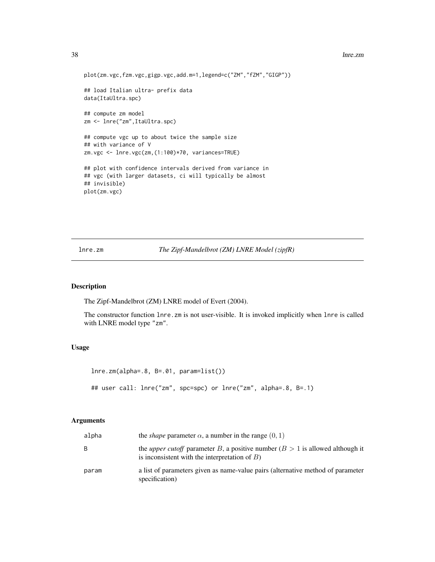```
plot(zm.vgc,fzm.vgc,gigp.vgc,add.m=1,legend=c("ZM","fZM","GIGP"))
## load Italian ultra- prefix data
data(ItaUltra.spc)
## compute zm model
zm <- lnre("zm",ItaUltra.spc)
## compute vgc up to about twice the sample size
## with variance of V
zm.vgc <- lnre.vgc(zm,(1:100)*70, variances=TRUE)
## plot with confidence intervals derived from variance in
## vgc (with larger datasets, ci will typically be almost
## invisible)
plot(zm.vgc)
```
lnre.zm *The Zipf-Mandelbrot (ZM) LNRE Model (zipfR)*

#### Description

The Zipf-Mandelbrot (ZM) LNRE model of Evert (2004).

The constructor function lnre.zm is not user-visible. It is invoked implicitly when lnre is called with LNRE model type "zm".

# Usage

```
lnre.zm(alpha=.8, B=.01, param=list())
## user call: lnre("zm", spc=spc) or lnre("zm", alpha=.8, B=.1)
```
#### Arguments

| alpha | the <i>shape</i> parameter $\alpha$ , a number in the range $(0, 1)$                                                                       |
|-------|--------------------------------------------------------------------------------------------------------------------------------------------|
| B.    | the <i>upper cutoff</i> parameter B, a positive number $(B > 1$ is allowed although it<br>is inconsistent with the interpretation of $B$ ) |
| param | a list of parameters given as name-value pairs (alternative method of parameter<br>specification)                                          |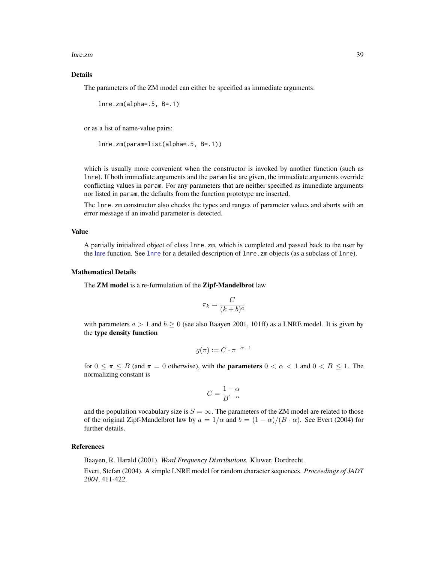lnre.zm 39

# Details

The parameters of the ZM model can either be specified as immediate arguments:

```
lnre.zm(alpha=.5, B=.1)
```
or as a list of name-value pairs:

```
lnre.zm(param=list(alpha=.5, B=.1))
```
which is usually more convenient when the constructor is invoked by another function (such as lnre). If both immediate arguments and the param list are given, the immediate arguments override conflicting values in param. For any parameters that are neither specified as immediate arguments nor listed in param, the defaults from the function prototype are inserted.

The lnre.zm constructor also checks the types and ranges of parameter values and aborts with an error message if an invalid parameter is detected.

#### Value

A partially initialized object of class lnre.zm, which is completed and passed back to the user by the [lnre](#page-18-0) function. See [lnre](#page-18-0) for a detailed description of lnre.zm objects (as a subclass of lnre).

#### Mathematical Details

The **ZM** model is a re-formulation of the **Zipf-Mandelbrot** law

$$
\pi_k = \frac{C}{(k+b)^a}
$$

with parameters  $a > 1$  and  $b \ge 0$  (see also Baayen 2001, 101ff) as a LNRE model. It is given by the type density function

$$
g(\pi) := C \cdot \pi^{-\alpha - 1}
$$

for  $0 \leq \pi \leq B$  (and  $\pi = 0$  otherwise), with the **parameters**  $0 < \alpha < 1$  and  $0 < B \leq 1$ . The normalizing constant is

$$
C=\frac{1-\alpha}{B^{1-\alpha}}
$$

and the population vocabulary size is  $S = \infty$ . The parameters of the ZM model are related to those of the original Zipf-Mandelbrot law by  $a = 1/\alpha$  and  $b = (1 - \alpha)/(B \cdot \alpha)$ . See Evert (2004) for further details.

### References

Baayen, R. Harald (2001). *Word Frequency Distributions.* Kluwer, Dordrecht.

Evert, Stefan (2004). A simple LNRE model for random character sequences. *Proceedings of JADT 2004*, 411-422.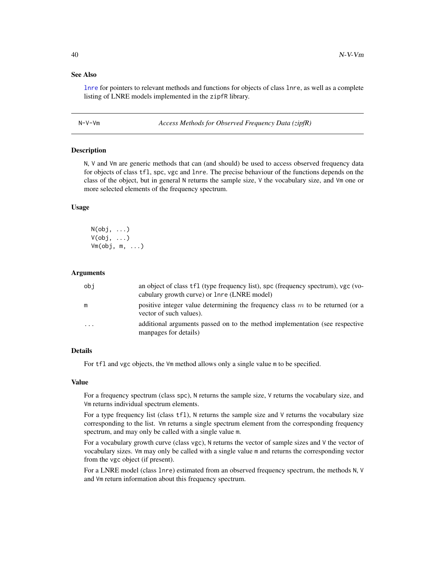# See Also

[lnre](#page-18-0) for pointers to relevant methods and functions for objects of class lnre, as well as a complete listing of LNRE models implemented in the zipfR library.

N-V-Vm *Access Methods for Observed Frequency Data (zipfR)*

#### <span id="page-39-0"></span>Description

N, V and Vm are generic methods that can (and should) be used to access observed frequency data for objects of class tfl, spc, vgc and lnre. The precise behaviour of the functions depends on the class of the object, but in general N returns the sample size, V the vocabulary size, and Vm one or more selected elements of the frequency spectrum.

### Usage

 $N(obj, \ldots)$  $V(obj, \ldots)$ Vm(obj, m, ...)

#### Arguments

| obj       | an object of class tfl (type frequency list), spc (frequency spectrum), vgc (vo-<br>cabulary growth curve) or 1nre (LNRE model) |
|-----------|---------------------------------------------------------------------------------------------------------------------------------|
| m         | positive integer value determining the frequency class $m$ to be returned (or a<br>vector of such values).                      |
| $\ddotsc$ | additional arguments passed on to the method implementation (see respective<br>manpages for details)                            |

# Details

For tfl and vgc objects, the Vm method allows only a single value m to be specified.

## Value

For a frequency spectrum (class spc), N returns the sample size, V returns the vocabulary size, and Vm returns individual spectrum elements.

For a type frequency list (class tf1), N returns the sample size and V returns the vocabulary size corresponding to the list. Vm returns a single spectrum element from the corresponding frequency spectrum, and may only be called with a single value m.

For a vocabulary growth curve (class vgc), N returns the vector of sample sizes and V the vector of vocabulary sizes. Vm may only be called with a single value m and returns the corresponding vector from the vgc object (if present).

For a LNRE model (class lnre) estimated from an observed frequency spectrum, the methods N, V and Vm return information about this frequency spectrum.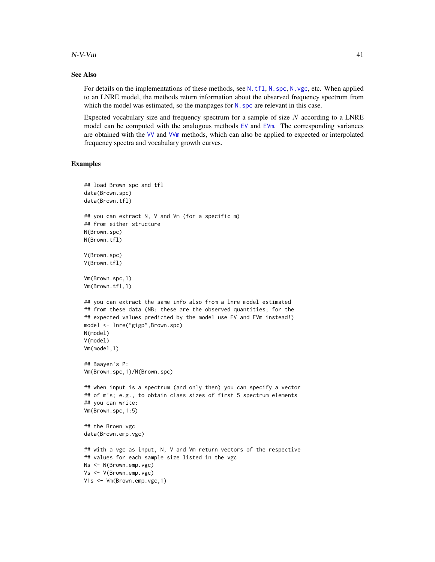### $N-V-m$  41

# See Also

For details on the implementations of these methods, see [N.tfl](#page-42-0), [N.spc](#page-41-0), [N.vgc](#page-43-0), etc. When applied to an LNRE model, the methods return information about the observed frequency spectrum from which the model was estimated, so the manpages for N. spc are relevant in this case.

Expected vocabulary size and frequency spectrum for a sample of size  $N$  according to a LNRE model can be computed with the analogous methods  $EV$  and  $EV$ m. The corresponding variances are obtained with the [VV](#page-83-0) and [VVm](#page-83-0) methods, which can also be applied to expected or interpolated frequency spectra and vocabulary growth curves.

# Examples

```
## load Brown spc and tfl
data(Brown.spc)
data(Brown.tfl)
## you can extract N, V and Vm (for a specific m)
## from either structure
N(Brown.spc)
N(Brown.tfl)
V(Brown.spc)
V(Brown.tfl)
Vm(Brown.spc,1)
Vm(Brown.tfl,1)
## you can extract the same info also from a lnre model estimated
## from these data (NB: these are the observed quantities; for the
## expected values predicted by the model use EV and EVm instead!)
model <- lnre("gigp",Brown.spc)
N(model)
V(model)
Vm(model,1)
## Baayen's P:
Vm(Brown.spc,1)/N(Brown.spc)
## when input is a spectrum (and only then) you can specify a vector
## of m's; e.g., to obtain class sizes of first 5 spectrum elements
## you can write:
Vm(Brown.spc,1:5)
## the Brown vgc
data(Brown.emp.vgc)
## with a vgc as input, N, V and Vm return vectors of the respective
## values for each sample size listed in the vgc
Ns <- N(Brown.emp.vgc)
Vs <- V(Brown.emp.vgc)
V1s <- Vm(Brown.emp.vgc,1)
```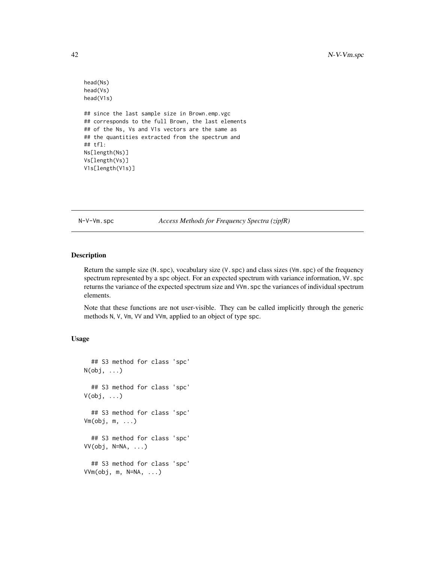```
head(Ns)
head(Vs)
head(V1s)
## since the last sample size in Brown.emp.vgc
## corresponds to the full Brown, the last elements
## of the Ns, Vs and V1s vectors are the same as
## the quantities extracted from the spectrum and
## tfl:
Ns[length(Ns)]
Vs[length(Vs)]
V1s[length(V1s)]
```
N-V-Vm.spc *Access Methods for Frequency Spectra (zipfR)*

# <span id="page-41-0"></span>Description

Return the sample size  $(N, spc)$ , vocabulary size  $(V, spc)$  and class sizes  $(Vm, spc)$  of the frequency spectrum represented by a spc object. For an expected spectrum with variance information, VV. spc returns the variance of the expected spectrum size and VVm.spc the variances of individual spectrum elements.

Note that these functions are not user-visible. They can be called implicitly through the generic methods N, V, Vm, VV and VVm, applied to an object of type spc.

# Usage

```
## S3 method for class 'spc'
N(obj, \ldots)## S3 method for class 'spc'
V(obj, ...)
  ## S3 method for class 'spc'
Vm(obj, m, ...)
  ## S3 method for class 'spc'
VV(\text{obj}, \text{N=NA}, \ldots)## S3 method for class 'spc'
VVm(obj, m, N=NA, ...)
```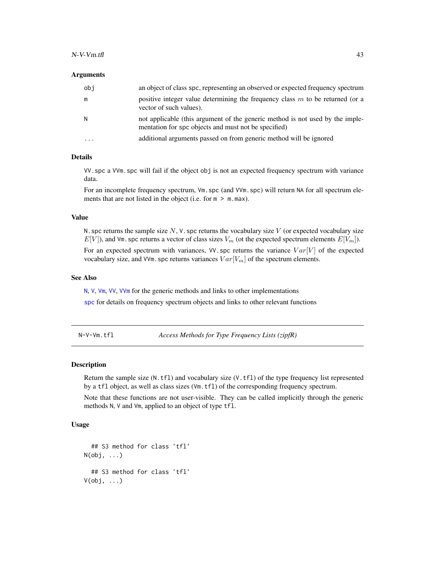### Arguments

| obi      | an object of class spc, representing an observed or expected frequency spectrum                                                       |
|----------|---------------------------------------------------------------------------------------------------------------------------------------|
| m        | positive integer value determining the frequency class $m$ to be returned (or a<br>vector of such values).                            |
| N        | not applicable (this argument of the generic method is not used by the imple-<br>mentation for spc objects and must not be specified) |
| $\cdots$ | additional arguments passed on from generic method will be ignored                                                                    |

# Details

VV.spc a VVm.spc will fail if the object obj is not an expected frequency spectrum with variance data.

For an incomplete frequency spectrum,  $Vm.$  spc (and VVm.spc) will return NA for all spectrum elements that are not listed in the object (i.e. for  $m > m$ .max).

#### Value

N. spc returns the sample size  $N$ , V. spc returns the vocabulary size  $V$  (or expected vocabulary size  $E[V]$ , and Vm. spc returns a vector of class sizes  $V_m$  (ot the expected spectrum elements  $E[V_m]$ ).

For an expected spectrum with variances, VV.spc returns the variance  $Var[V]$  of the expected vocabulary size, and VVm. spc returns variances  $Var[V_m]$  of the spectrum elements.

## See Also

[N](#page-39-0), [V](#page-39-0), [Vm](#page-39-0), [VV](#page-83-0), [VVm](#page-83-0) for the generic methods and links to other implementations

[spc](#page-67-0) for details on frequency spectrum objects and links to other relevant functions

N-V-Vm.tfl *Access Methods for Type Frequency Lists (zipfR)*

## <span id="page-42-0"></span>Description

Return the sample size  $(N.tf1)$  and vocabulary size  $(V.tf1)$  of the type frequency list represented by a tfl object, as well as class sizes (Vm.tfl) of the corresponding frequency spectrum.

Note that these functions are not user-visible. They can be called implicitly through the generic methods N, V and Vm, applied to an object of type tfl.

### Usage

```
## S3 method for class 'tfl'
N(obj, \ldots)## S3 method for class 'tfl'
V(obj, \ldots)
```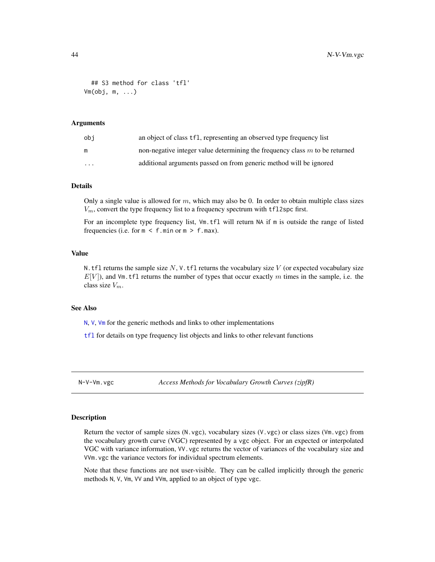```
## S3 method for class 'tfl'
Vm(obj, m, ...)
```
## Arguments

| obi      | an object of class tf1, representing an observed type frequency list          |
|----------|-------------------------------------------------------------------------------|
| m        | non-negative integer value determining the frequency class $m$ to be returned |
| $\cdots$ | additional arguments passed on from generic method will be ignored            |

# **Details**

Only a single value is allowed for  $m$ , which may also be 0. In order to obtain multiple class sizes  $V_m$ , convert the type frequency list to a frequency spectrum with tfl2spc first.

For an incomplete type frequency list, Vm.tfl will return NA if m is outside the range of listed frequencies (i.e. for  $m < f$ .min or  $m > f$ .max).

## Value

N.tfl returns the sample size  $N$ , V.tfl returns the vocabulary size V (or expected vocabulary size  $E[V]$ ), and Vm.tfl returns the number of types that occur exactly m times in the sample, i.e. the class size  $V_m$ .

## See Also

[N](#page-39-0), [V](#page-39-0), [Vm](#page-39-0) for the generic methods and links to other implementations

[tfl](#page-74-0) for details on type frequency list objects and links to other relevant functions

N-V-Vm.vgc *Access Methods for Vocabulary Growth Curves (zipfR)*

### <span id="page-43-0"></span>Description

Return the vector of sample sizes (N.vgc), vocabulary sizes (V.vgc) or class sizes (Vm.vgc) from the vocabulary growth curve (VGC) represented by a vgc object. For an expected or interpolated VGC with variance information, VV.vgc returns the vector of variances of the vocabulary size and VVm.vgc the variance vectors for individual spectrum elements.

Note that these functions are not user-visible. They can be called implicitly through the generic methods N, V, Vm, VV and VVm, applied to an object of type vgc.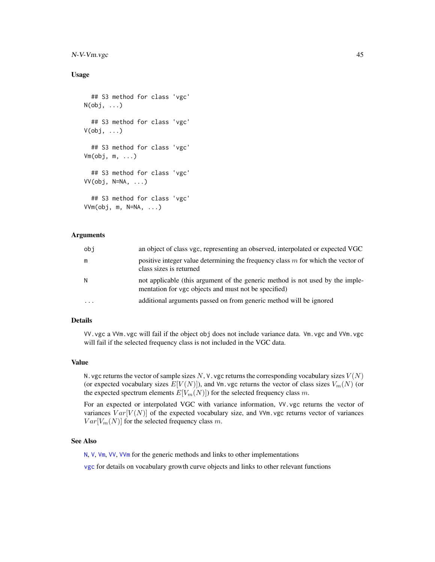# N-V-Vm.vgc 45

## Usage

```
## S3 method for class 'vgc'
N(obj, \ldots)## S3 method for class 'vgc'
V(obj, \ldots)## S3 method for class 'vgc'
Vm(obj, m, ...)
  ## S3 method for class 'vgc'
VV(obj, N=NA, ...)
  ## S3 method for class 'vgc'
VVm(obj, m, N=NA, ...)
```
# Arguments

| obi       | an object of class vgc, representing an observed, interpolated or expected VGC                                                        |
|-----------|---------------------------------------------------------------------------------------------------------------------------------------|
| m         | positive integer value determining the frequency class $m$ for which the vector of<br>class sizes is returned                         |
| N.        | not applicable (this argument of the generic method is not used by the imple-<br>mentation for vgc objects and must not be specified) |
| $\ddotsc$ | additional arguments passed on from generic method will be ignored                                                                    |

# Details

VV.vgc a VVm.vgc will fail if the object obj does not include variance data. Vm.vgc and VVm.vgc will fail if the selected frequency class is not included in the VGC data.

# Value

N. vgc returns the vector of sample sizes N, V. vgc returns the corresponding vocabulary sizes  $V(N)$ (or expected vocabulary sizes  $E[V(N)]$ ), and Vm. vgc returns the vector of class sizes  $V_m(N)$  (or the expected spectrum elements  $E[V_m(N)]$  for the selected frequency class m.

For an expected or interpolated VGC with variance information, VV.vgc returns the vector of variances  $Var[V(N)]$  of the expected vocabulary size, and VVm. vgc returns vector of variances  $Var[V_m(N)]$  for the selected frequency class m.

# See Also

[N](#page-39-0), [V](#page-39-0), [Vm](#page-39-0), [VV](#page-83-0), [VVm](#page-83-0) for the generic methods and links to other implementations

[vgc](#page-79-0) for details on vocabulary growth curve objects and links to other relevant functions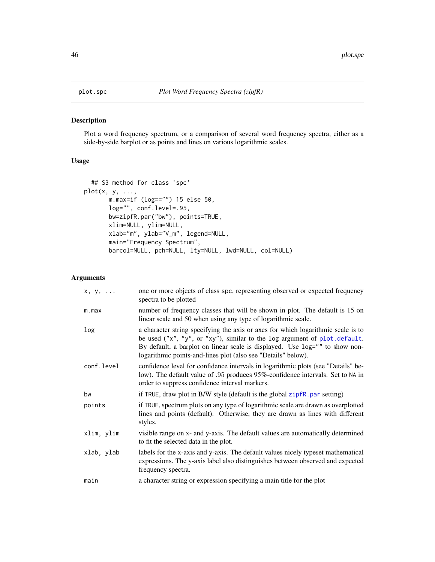<span id="page-45-0"></span>

# Description

Plot a word frequency spectrum, or a comparison of several word frequency spectra, either as a side-by-side barplot or as points and lines on various logarithmic scales.

# Usage

```
## S3 method for class 'spc'
plot(x, y, \ldots,m.max=if (log=="") 15 else 50,
       log="", conf.level=.95,
       bw=zipfR.par("bw"), points=TRUE,
       xlim=NULL, ylim=NULL,
       xlab="m", ylab="V_m", legend=NULL,
       main="Frequency Spectrum",
       barcol=NULL, pch=NULL, lty=NULL, lwd=NULL, col=NULL)
```
## Arguments

| x, y,      | one or more objects of class spc, representing observed or expected frequency<br>spectra to be plotted                                                                                                                                                                                                        |
|------------|---------------------------------------------------------------------------------------------------------------------------------------------------------------------------------------------------------------------------------------------------------------------------------------------------------------|
| m.max      | number of frequency classes that will be shown in plot. The default is 15 on<br>linear scale and 50 when using any type of logarithmic scale.                                                                                                                                                                 |
| log        | a character string specifying the axis or axes for which logarithmic scale is to<br>be used ("x", "y", or "xy"), similar to the log argument of plot.default.<br>By default, a barplot on linear scale is displayed. Use log="" to show non-<br>logarithmic points-and-lines plot (also see "Details" below). |
| conf.level | confidence level for confidence intervals in logarithmic plots (see "Details" be-<br>low). The default value of .95 produces 95%-confidence intervals. Set to NA in<br>order to suppress confidence interval markers.                                                                                         |
| bw         | if TRUE, draw plot in B/W style (default is the global zipfR. par setting)                                                                                                                                                                                                                                    |
| points     | if TRUE, spectrum plots on any type of logarithmic scale are drawn as overplotted<br>lines and points (default). Otherwise, they are drawn as lines with different<br>styles.                                                                                                                                 |
| xlim, ylim | visible range on x- and y-axis. The default values are automatically determined<br>to fit the selected data in the plot.                                                                                                                                                                                      |
| xlab, ylab | labels for the x-axis and y-axis. The default values nicely typeset mathematical<br>expressions. The y-axis label also distinguishes between observed and expected<br>frequency spectra.                                                                                                                      |
| main       | a character string or expression specifying a main title for the plot                                                                                                                                                                                                                                         |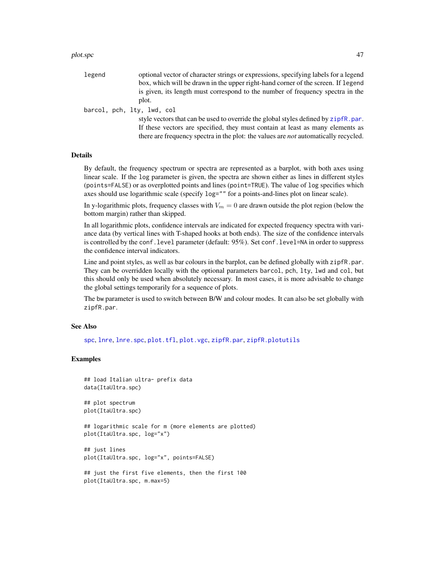#### plot.spc  $\sim$  47

| legend | optional vector of character strings or expressions, specifying labels for a legend        |
|--------|--------------------------------------------------------------------------------------------|
|        | box, which will be drawn in the upper right-hand corner of the screen. If legend           |
|        | is given, its length must correspond to the number of frequency spectra in the             |
|        | plot.                                                                                      |
|        | barcol, pch, lty, lwd, col                                                                 |
|        | style vectors that can be used to override the global styles defined by zipfR, par.        |
|        | If these vectors are specified, they must contain at least as many elements as             |
|        | there are frequency spectra in the plot: the values are <i>not</i> automatically recycled. |

#### Details

By default, the frequency spectrum or spectra are represented as a barplot, with both axes using linear scale. If the log parameter is given, the spectra are shown either as lines in different styles (points=FALSE) or as overplotted points and lines (point=TRUE). The value of log specifies which axes should use logarithmic scale (specify log="" for a points-and-lines plot on linear scale).

In y-logarithmic plots, frequency classes with  $V_m = 0$  are drawn outside the plot region (below the bottom margin) rather than skipped.

In all logarithmic plots, confidence intervals are indicated for expected frequency spectra with variance data (by vertical lines with T-shaped hooks at both ends). The size of the confidence intervals is controlled by the conf.level parameter (default: 95%). Set conf.level=NA in order to suppress the confidence interval indicators.

Line and point styles, as well as bar colours in the barplot, can be defined globally with zipfR.par. They can be overridden locally with the optional parameters barcol, pch, lty, lwd and col, but this should only be used when absolutely necessary. In most cases, it is more advisable to change the global settings temporarily for a sequence of plots.

The bw parameter is used to switch between B/W and colour modes. It can also be set globally with zipfR.par.

### See Also

[spc](#page-67-0), [lnre](#page-18-0), [lnre.spc](#page-34-0), [plot.tfl](#page-47-0), [plot.vgc](#page-49-0), [zipfR.par](#page-85-0), [zipfR.plotutils](#page-87-0)

## Examples

```
## load Italian ultra- prefix data
data(ItaUltra.spc)
```
## plot spectrum plot(ItaUltra.spc)

## logarithmic scale for m (more elements are plotted) plot(ItaUltra.spc, log="x")

```
## just lines
plot(ItaUltra.spc, log="x", points=FALSE)
```

```
## just the first five elements, then the first 100
plot(ItaUltra.spc, m.max=5)
```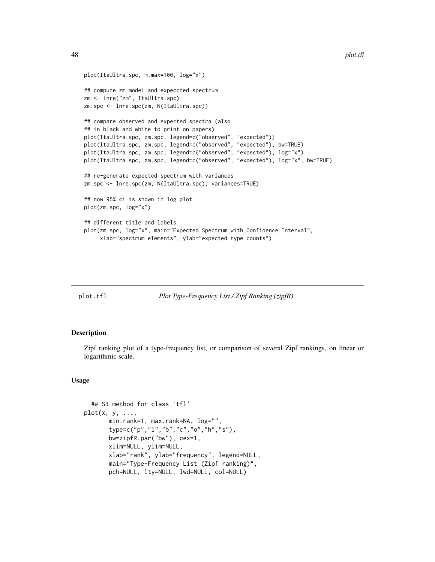```
plot(ItaUltra.spc, m.max=100, log="x")
## compute zm model and expeccted spectrum
zm <- lnre("zm", ItaUltra.spc)
zm.spc <- lnre.spc(zm, N(ItaUltra.spc))
## compare observed and expected spectra (also
## in black and white to print on papers)
plot(ItaUltra.spc, zm.spc, legend=c("observed", "expected"))
plot(ItaUltra.spc, zm.spc, legend=c("observed", "expected"), bw=TRUE)
plot(ItaUltra.spc, zm.spc, legend=c("observed", "expected"), log="x")
plot(ItaUltra.spc, zm.spc, legend=c("observed", "expected"), log="x", bw=TRUE)
## re-generate expected spectrum with variances
zm.spc <- lnre.spc(zm, N(ItaUltra.spc), variances=TRUE)
## now 95% ci is shown in log plot
plot(zm.spc, log="x")
## different title and labels
plot(zm.spc, log="x", main="Expected Spectrum with Confidence Interval",
     xlab="spectrum elements", ylab="expected type counts")
```
<span id="page-47-0"></span>

### plot.tfl *Plot Type-Frequency List / Zipf Ranking (zipfR)*

#### **Description**

Zipf ranking plot of a type-frequency list, or comparison of several Zipf rankings, on linear or logarithmic scale.

#### Usage

```
## S3 method for class 'tfl'
plot(x, y, \ldots,min.rank=1, max.rank=NA, log="",
       type=c("p","l","b","c","o","h","s"),
       bw=zipfR.par("bw"), cex=1,
       xlim=NULL, ylim=NULL,
       xlab="rank", ylab="frequency", legend=NULL,
       main="Type-Frequency List (Zipf ranking)",
       pch=NULL, lty=NULL, lwd=NULL, col=NULL)
```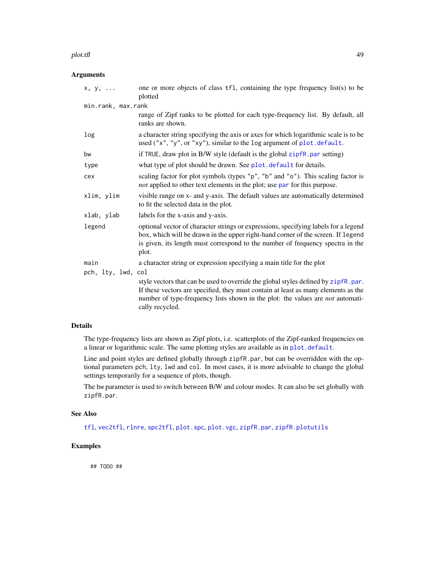#### plot.tfl the contract of the contract of the contract of the contract of the contract of the contract of the contract of the contract of the contract of the contract of the contract of the contract of the contract of the c

# Arguments

| $x, y, \ldots$     | one or more objects of class tfl, containing the type frequency list(s) to be<br>plotted                                                                                                                                                                                             |
|--------------------|--------------------------------------------------------------------------------------------------------------------------------------------------------------------------------------------------------------------------------------------------------------------------------------|
| min.rank, max.rank |                                                                                                                                                                                                                                                                                      |
|                    | range of Zipf ranks to be plotted for each type-frequency list. By default, all<br>ranks are shown.                                                                                                                                                                                  |
| log                | a character string specifying the axis or axes for which logarithmic scale is to be<br>used ("x", "y", or "xy"), similar to the log argument of plot.default.                                                                                                                        |
| bw                 | if TRUE, draw plot in B/W style (default is the global zipfR. par setting)                                                                                                                                                                                                           |
| type               | what type of plot should be drawn. See plot. default for details.                                                                                                                                                                                                                    |
| cex                | scaling factor for plot symbols (types "p", "b" and "o"). This scaling factor is<br>not applied to other text elements in the plot; use par for this purpose.                                                                                                                        |
| xlim, ylim         | visible range on x- and y-axis. The default values are automatically determined<br>to fit the selected data in the plot.                                                                                                                                                             |
| xlab, ylab         | labels for the x-axis and y-axis.                                                                                                                                                                                                                                                    |
| legend             | optional vector of character strings or expressions, specifying labels for a legend<br>box, which will be drawn in the upper right-hand corner of the screen. If legend<br>is given, its length must correspond to the number of frequency spectra in the<br>plot.                   |
| main               | a character string or expression specifying a main title for the plot                                                                                                                                                                                                                |
| pch, lty, lwd, col |                                                                                                                                                                                                                                                                                      |
|                    | style vectors that can be used to override the global styles defined by zipfR.par.<br>If these vectors are specified, they must contain at least as many elements as the<br>number of type-frequency lists shown in the plot: the values are <i>not</i> automati-<br>cally recycled. |

## Details

The type-frequency lists are shown as Zipf plots, i.e. scatterplots of the Zipf-ranked frequencies on a linear or logarithmic scale. The same plotting styles are available as in [plot.default](#page-0-0).

Line and point styles are defined globally through zipfR.par, but can be overridden with the optional parameters pch, lty, lwd and col. In most cases, it is more advisable to change the global settings temporarily for a sequence of plots, though.

The bw parameter is used to switch between B/W and colour modes. It can also be set globally with zipfR.par.

## See Also

[tfl](#page-74-0), [vec2tfl](#page-77-0), [rlnre](#page-16-0), [spc2tfl](#page-72-0), [plot.spc](#page-45-0), [plot.vgc](#page-49-0), [zipfR.par](#page-85-0), [zipfR.plotutils](#page-87-0)

# Examples

## TODO ##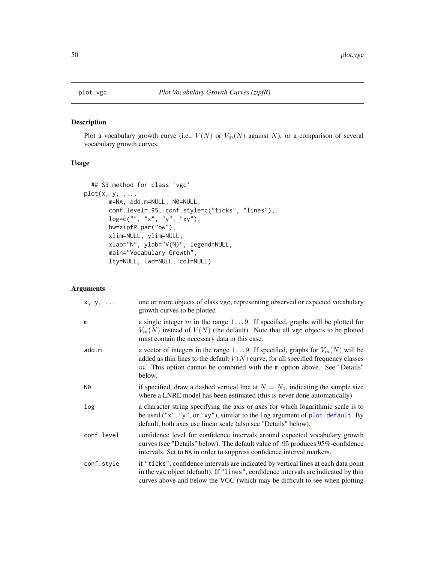# Description

Plot a vocabulary growth curve (i.e.,  $V(N)$  or  $V_m(N)$  against N), or a comparison of several vocabulary growth curves.

# Usage

```
## S3 method for class 'vgc'
plot(x, y, ...,
       m=NA, add.m=NULL, N0=NULL,
       conf.level=.95, conf.style=c("ticks", "lines"),
       log=c("", "x", "y", "xy"),
       bw=zipfR.par("bw"),
       xlim=NULL, ylim=NULL,
       xlab="N", ylab="V(N)", legend=NULL,
       main="Vocabulary Growth",
       lty=NULL, lwd=NULL, col=NULL)
```
# Arguments

| $x, y, \ldots$ | one or more objects of class vgc, representing observed or expected vocabulary<br>growth curves to be plotted                                                                                                                                                    |
|----------------|------------------------------------------------------------------------------------------------------------------------------------------------------------------------------------------------------------------------------------------------------------------|
| m              | a single integer m in the range $1 \dots 9$ . If specified, graphs will be plotted for<br>$V_m(N)$ instead of $V(N)$ (the default). Note that all vgc objects to be plotted<br>must contain the necessary data in this case.                                     |
| add.m          | a vector of integers in the range 19. If specified, graphs for $V_m(N)$ will be<br>added as thin lines to the default $V(N)$ curve, for all specified frequency classes<br>$m$ . This option cannot be combined with the m option above. See "Details"<br>below. |
| N0             | if specified, draw a dashed vertical line at $N = N_0$ , indicating the sample size<br>where a LNRE model has been estimated (this is never done automatically)                                                                                                  |
| log            | a character string specifying the axis or axes for which logarithmic scale is to<br>be used ("x", "y", or "xy"), similar to the log argument of $plot. default. By$<br>default, both axes use linear scale (also see "Details" below).                           |
| conf.level     | confidence level for confidence intervals around expected vocabulary growth<br>curves (see "Details" below). The default value of .95 produces 95%-confidence<br>intervals. Set to NA in order to suppress confidence interval markers.                          |
| conf.style     | if "ticks", confidence intervals are indicated by vertical lines at each data point<br>in the vgc object (default). If "lines", confidence intervals are indicated by thin<br>curves above and below the VGC (which may be difficult to see when plotting        |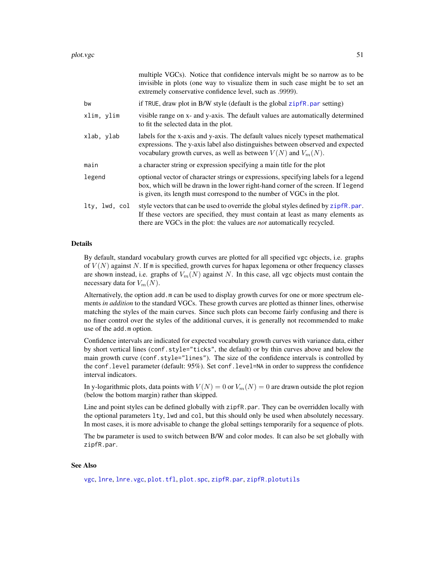| if TRUE, draw plot in B/W style (default is the global $zipfr, par$ setting)<br>bw<br>xlim, ylim<br>to fit the selected data in the plot.<br>xlab, ylab<br>vocabulary growth curves, as well as between $V(N)$ and $V_m(N)$ .<br>a character string or expression specifying a main title for the plot<br>main<br>legend<br>is given, its length must correspond to the number of VGCs in the plot.<br>lty, lwd, col<br>there are VGCs in the plot: the values are <i>not</i> automatically recycled. | multiple VGCs). Notice that confidence intervals might be so narrow as to be<br>invisible in plots (one way to visualize them in such case might be to set an<br>extremely conservative confidence level, such as .9999). |
|-------------------------------------------------------------------------------------------------------------------------------------------------------------------------------------------------------------------------------------------------------------------------------------------------------------------------------------------------------------------------------------------------------------------------------------------------------------------------------------------------------|---------------------------------------------------------------------------------------------------------------------------------------------------------------------------------------------------------------------------|
|                                                                                                                                                                                                                                                                                                                                                                                                                                                                                                       |                                                                                                                                                                                                                           |
|                                                                                                                                                                                                                                                                                                                                                                                                                                                                                                       | visible range on x- and y-axis. The default values are automatically determined                                                                                                                                           |
|                                                                                                                                                                                                                                                                                                                                                                                                                                                                                                       | labels for the x-axis and y-axis. The default values nicely typeset mathematical<br>expressions. The y-axis label also distinguishes between observed and expected                                                        |
|                                                                                                                                                                                                                                                                                                                                                                                                                                                                                                       |                                                                                                                                                                                                                           |
|                                                                                                                                                                                                                                                                                                                                                                                                                                                                                                       | optional vector of character strings or expressions, specifying labels for a legend<br>box, which will be drawn in the lower right-hand corner of the screen. If legend                                                   |
|                                                                                                                                                                                                                                                                                                                                                                                                                                                                                                       | style vectors that can be used to override the global styles defined by zipfR.par.<br>If these vectors are specified, they must contain at least as many elements as                                                      |

#### Details

By default, standard vocabulary growth curves are plotted for all specified vgc objects, i.e. graphs of  $V(N)$  against N. If m is specified, growth curves for hapax legomena or other frequency classes are shown instead, i.e. graphs of  $V_m(N)$  against N. In this case, all vgc objects must contain the necessary data for  $V_m(N)$ .

Alternatively, the option add.m can be used to display growth curves for one or more spectrum elements *in addition* to the standard VGCs. These growth curves are plotted as thinner lines, otherwise matching the styles of the main curves. Since such plots can become fairly confusing and there is no finer control over the styles of the additional curves, it is generally not recommended to make use of the add.m option.

Confidence intervals are indicated for expected vocabulary growth curves with variance data, either by short vertical lines (conf.style="ticks", the default) or by thin curves above and below the main growth curve (conf.style="lines"). The size of the confidence intervals is controlled by the conf.level parameter (default: 95%). Set conf.level=NA in order to suppress the confidence interval indicators.

In y-logarithmic plots, data points with  $V(N) = 0$  or  $V_m(N) = 0$  are drawn outside the plot region (below the bottom margin) rather than skipped.

Line and point styles can be defined globally with zipfR.par. They can be overridden locally with the optional parameters lty, lwd and col, but this should only be used when absolutely necessary. In most cases, it is more advisable to change the global settings temporarily for a sequence of plots.

The bw parameter is used to switch between B/W and color modes. It can also be set globally with zipfR.par.

### See Also

[vgc](#page-79-0), [lnre](#page-18-0), [lnre.vgc](#page-35-0), [plot.tfl](#page-47-0), [plot.spc](#page-45-0), [zipfR.par](#page-85-0), [zipfR.plotutils](#page-87-0)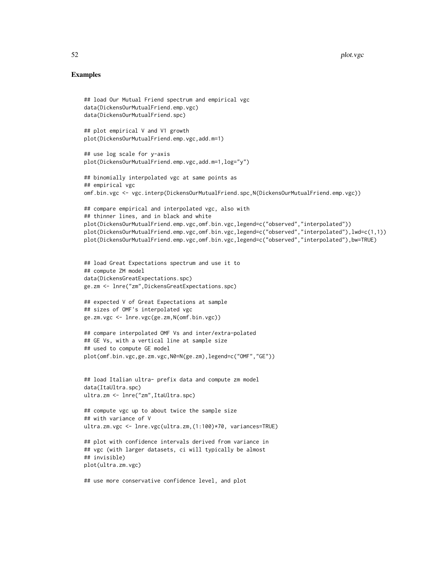## Examples

```
## load Our Mutual Friend spectrum and empirical vgc
data(DickensOurMutualFriend.emp.vgc)
data(DickensOurMutualFriend.spc)
## plot empirical V and V1 growth
plot(DickensOurMutualFriend.emp.vgc,add.m=1)
## use log scale for y-axis
plot(DickensOurMutualFriend.emp.vgc,add.m=1,log="y")
## binomially interpolated vgc at same points as
## empirical vgc
omf.bin.vgc <- vgc.interp(DickensOurMutualFriend.spc,N(DickensOurMutualFriend.emp.vgc))
## compare empirical and interpolated vgc, also with
## thinner lines, and in black and white
plot(DickensOurMutualFriend.emp.vgc,omf.bin.vgc,legend=c("observed","interpolated"))
plot(DickensOurMutualFriend.emp.vgc,omf.bin.vgc,legend=c("observed","interpolated"),lwd=c(1,1))
plot(DickensOurMutualFriend.emp.vgc,omf.bin.vgc,legend=c("observed","interpolated"),bw=TRUE)
## load Great Expectations spectrum and use it to
## compute ZM model
data(DickensGreatExpectations.spc)
ge.zm <- lnre("zm",DickensGreatExpectations.spc)
## expected V of Great Expectations at sample
## sizes of OMF's interpolated vgc
ge.zm.vgc <- lnre.vgc(ge.zm,N(omf.bin.vgc))
## compare interpolated OMF Vs and inter/extra-polated
## GE Vs, with a vertical line at sample size
## used to compute GE model
plot(omf.bin.vgc,ge.zm.vgc,N0=N(ge.zm),legend=c("OMF","GE"))
## load Italian ultra- prefix data and compute zm model
data(ItaUltra.spc)
ultra.zm <- lnre("zm",ItaUltra.spc)
## compute vgc up to about twice the sample size
## with variance of V
ultra.zm.vgc <- lnre.vgc(ultra.zm,(1:100)*70, variances=TRUE)
## plot with confidence intervals derived from variance in
## vgc (with larger datasets, ci will typically be almost
## invisible)
plot(ultra.zm.vgc)
```
## use more conservative confidence level, and plot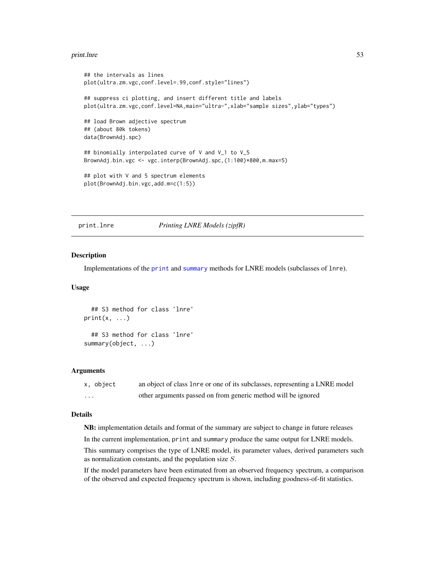#### print.lnre 53

```
## the intervals as lines
plot(ultra.zm.vgc,conf.level=.99,conf.style="lines")
## suppress ci plotting, and insert different title and labels
plot(ultra.zm.vgc,conf.level=NA,main="ultra-",xlab="sample sizes",ylab="types")
## load Brown adjective spectrum
## (about 80k tokens)
data(BrownAdj.spc)
## binomially interpolated curve of V and V_1 to V_5
BrownAdj.bin.vgc <- vgc.interp(BrownAdj.spc,(1:100)*800,m.max=5)
## plot with V and 5 spectrum elements
plot(BrownAdj.bin.vgc,add.m=c(1:5))
```
print.lnre *Printing LNRE Models (zipfR)*

#### Description

Implementations of the [print](#page-0-0) and [summary](#page-0-0) methods for LNRE models (subclasses of lnre).

### Usage

```
## S3 method for class 'lnre'
print(x, \ldots)## S3 method for class 'lnre'
summary(object, ...)
```
#### Arguments

| x, object               | an object of class lnre or one of its subclasses, representing a LNRE model |
|-------------------------|-----------------------------------------------------------------------------|
| $\cdot$ $\cdot$ $\cdot$ | other arguments passed on from generic method will be ignored               |

## Details

NB: implementation details and format of the summary are subject to change in future releases

In the current implementation, print and summary produce the same output for LNRE models.

This summary comprises the type of LNRE model, its parameter values, derived parameters such as normalization constants, and the population size S.

If the model parameters have been estimated from an observed frequency spectrum, a comparison of the observed and expected frequency spectrum is shown, including goodness-of-fit statistics.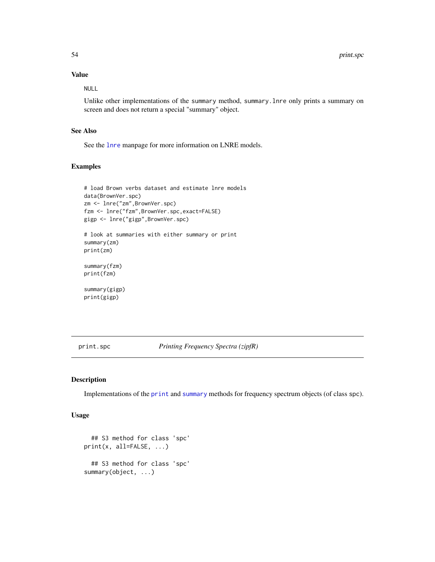# Value

NULL

Unlike other implementations of the summary method, summary.lnre only prints a summary on screen and does not return a special "summary" object.

### See Also

See the [lnre](#page-18-0) manpage for more information on LNRE models.

## Examples

```
# load Brown verbs dataset and estimate lnre models
data(BrownVer.spc)
zm <- lnre("zm",BrownVer.spc)
fzm <- lnre("fzm",BrownVer.spc,exact=FALSE)
gigp <- lnre("gigp",BrownVer.spc)
# look at summaries with either summary or print
summary(zm)
print(zm)
summary(fzm)
print(fzm)
summary(gigp)
print(gigp)
```
<span id="page-53-0"></span>print.spc *Printing Frequency Spectra (zipfR)*

# <span id="page-53-1"></span>Description

Implementations of the [print](#page-0-0) and [summary](#page-0-0) methods for frequency spectrum objects (of class spc).

#### Usage

```
## S3 method for class 'spc'
print(x, all=FALSE, ...)
 ## S3 method for class 'spc'
summary(object, ...)
```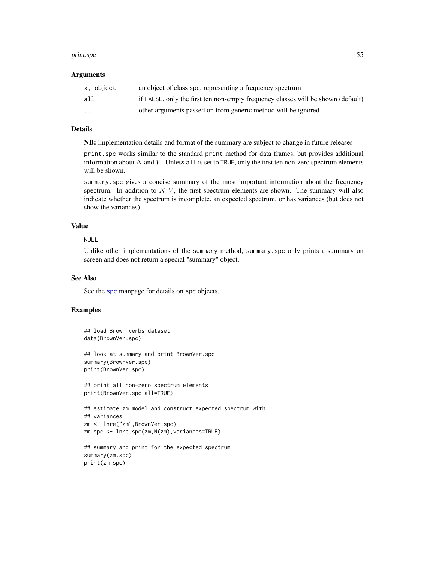#### print.spc 55

#### Arguments

| x. object               | an object of class spc, representing a frequency spectrum                        |
|-------------------------|----------------------------------------------------------------------------------|
| all                     | if FALSE, only the first ten non-empty frequency classes will be shown (default) |
| $\cdot$ $\cdot$ $\cdot$ | other arguments passed on from generic method will be ignored                    |

### Details

NB: implementation details and format of the summary are subject to change in future releases

print.spc works similar to the standard print method for data frames, but provides additional information about  $N$  and  $V$ . Unless all is set to TRUE, only the first ten non-zero spectrum elements will be shown.

summary.spc gives a concise summary of the most important information about the frequency spectrum. In addition to  $N$  V, the first spectrum elements are shown. The summary will also indicate whether the spectrum is incomplete, an expected spectrum, or has variances (but does not show the variances).

## Value

## NULL

Unlike other implementations of the summary method, summary.spc only prints a summary on screen and does not return a special "summary" object.

# See Also

See the [spc](#page-67-0) manpage for details on spc objects.

### Examples

```
## load Brown verbs dataset
data(BrownVer.spc)
## look at summary and print BrownVer.spc
summary(BrownVer.spc)
print(BrownVer.spc)
## print all non-zero spectrum elements
print(BrownVer.spc,all=TRUE)
## estimate zm model and construct expected spectrum with
## variances
zm <- lnre("zm",BrownVer.spc)
zm.spc <- lnre.spc(zm,N(zm),variances=TRUE)
## summary and print for the expected spectrum
summary(zm.spc)
```
print(zm.spc)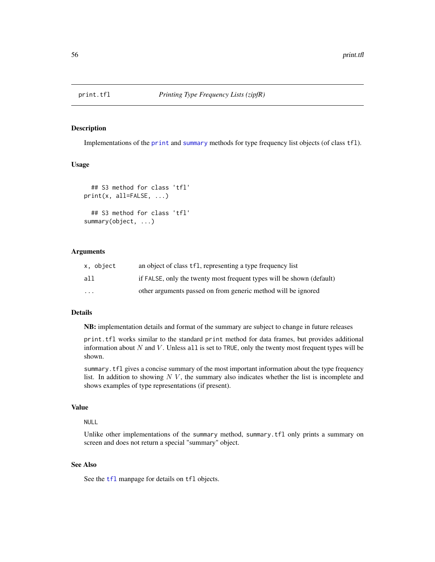# Description

Implementations of the [print](#page-0-0) and [summary](#page-0-0) methods for type frequency list objects (of class tfl).

### Usage

```
## S3 method for class 'tfl'
print(x, all=FALSE, ...)
  ## S3 method for class 'tfl'
summary(object, ...)
```
### Arguments

| x, object | an object of class tfl, representing a type frequency list            |
|-----------|-----------------------------------------------------------------------|
| a11       | if FALSE, only the twenty most frequent types will be shown (default) |
| $\cdot$   | other arguments passed on from generic method will be ignored         |

# Details

NB: implementation details and format of the summary are subject to change in future releases

print.tfl works similar to the standard print method for data frames, but provides additional information about  $N$  and  $V$ . Unless all is set to TRUE, only the twenty most frequent types will be shown.

summary.tfl gives a concise summary of the most important information about the type frequency list. In addition to showing  $N V$ , the summary also indicates whether the list is incomplete and shows examples of type representations (if present).

## Value

# NULL

Unlike other implementations of the summary method, summary.tfl only prints a summary on screen and does not return a special "summary" object.

# See Also

See the [tfl](#page-74-0) manpage for details on tfl objects.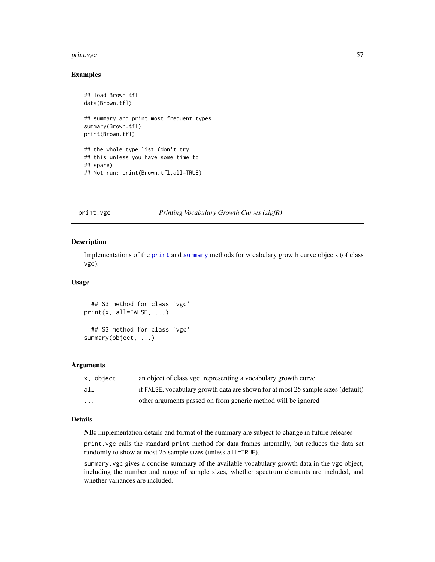#### print.vgc 57

### Examples

```
## load Brown tfl
data(Brown.tfl)
## summary and print most frequent types
summary(Brown.tfl)
print(Brown.tfl)
## the whole type list (don't try
## this unless you have some time to
## spare)
## Not run: print(Brown.tfl,all=TRUE)
```
# print.vgc *Printing Vocabulary Growth Curves (zipfR)*

#### Description

Implementations of the [print](#page-0-0) and [summary](#page-0-0) methods for vocabulary growth curve objects (of class vgc).

#### Usage

```
## S3 method for class 'vgc'
print(x, all=FALSE, ...)
  ## S3 method for class 'vgc'
```
summary(object, ...)

## Arguments

| x. object               | an object of class vgc, representing a vocabulary growth curve                   |
|-------------------------|----------------------------------------------------------------------------------|
| all                     | if FALSE, vocabulary growth data are shown for at most 25 sample sizes (default) |
| $\cdot$ $\cdot$ $\cdot$ | other arguments passed on from generic method will be ignored                    |

# Details

NB: implementation details and format of the summary are subject to change in future releases

print.vgc calls the standard print method for data frames internally, but reduces the data set randomly to show at most 25 sample sizes (unless all=TRUE).

summary.vgc gives a concise summary of the available vocabulary growth data in the vgc object, including the number and range of sample sizes, whether spectrum elements are included, and whether variances are included.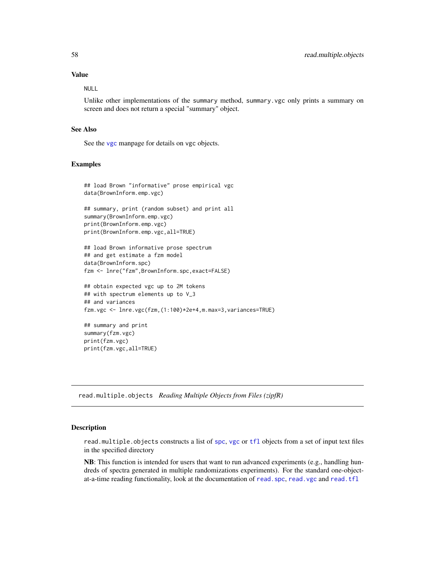# Value

NULL

Unlike other implementations of the summary method, summary.vgc only prints a summary on screen and does not return a special "summary" object.

## See Also

See the [vgc](#page-79-0) manpage for details on vgc objects.

### Examples

```
## load Brown "informative" prose empirical vgc
data(BrownInform.emp.vgc)
```

```
## summary, print (random subset) and print all
summary(BrownInform.emp.vgc)
print(BrownInform.emp.vgc)
print(BrownInform.emp.vgc,all=TRUE)
```

```
## load Brown informative prose spectrum
## and get estimate a fzm model
data(BrownInform.spc)
fzm <- lnre("fzm",BrownInform.spc,exact=FALSE)
```

```
## obtain expected vgc up to 2M tokens
## with spectrum elements up to V_3
## and variances
fzm.vgc <- lnre.vgc(fzm,(1:100)*2e+4,m.max=3,variances=TRUE)
```

```
## summary and print
summary(fzm.vgc)
print(fzm.vgc)
print(fzm.vgc,all=TRUE)
```
read.multiple.objects *Reading Multiple Objects from Files (zipfR)*

#### Description

read.multiple.objects constructs a list of [spc](#page-67-0), [vgc](#page-79-0) or [tfl](#page-74-0) objects from a set of input text files in the specified directory

NB: This function is intended for users that want to run advanced experiments (e.g., handling hundreds of spectra generated in multiple randomizations experiments). For the standard one-objectat-a-time reading functionality, look at the documentation of read. spc, read. vgc and [read.tfl](#page-61-0)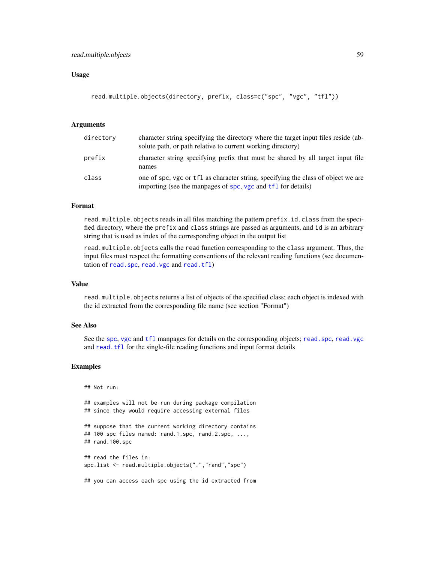## read.multiple.objects 59

### Usage

```
read.multiple.objects(directory, prefix, class=c("spc", "vgc", "tfl"))
```
## Arguments

| directory | character string specifying the directory where the target input files reside (ab-<br>solute path, or path relative to current working directory) |
|-----------|---------------------------------------------------------------------------------------------------------------------------------------------------|
| prefix    | character string specifying prefix that must be shared by all target input file<br>names                                                          |
| class     | one of spc, vgc or tfl as character string, specifying the class of object we are<br>importing (see the manpages of spc, vgc and tf1 for details) |

### Format

read.multiple.objects reads in all files matching the pattern prefix.id.class from the specified directory, where the prefix and class strings are passed as arguments, and id is an arbitrary string that is used as index of the corresponding object in the output list

read.multiple.objects calls the read function corresponding to the class argument. Thus, the input files must respect the formatting conventions of the relevant reading functions (see documentation of [read.spc](#page-59-0), [read.vgc](#page-63-0) and [read.tfl](#page-61-0))

#### Value

read.multiple.objects returns a list of objects of the specified class; each object is indexed with the id extracted from the corresponding file name (see section "Format")

### See Also

See the [spc](#page-67-0), [vgc](#page-79-0) and [tfl](#page-74-0) manpages for details on the corresponding objects; read. spc, read. vgc and [read.tfl](#page-61-0) for the single-file reading functions and input format details

#### Examples

## Not run: ## examples will not be run during package compilation ## since they would require accessing external files ## suppose that the current working directory contains ## 100 spc files named: rand.1.spc, rand.2.spc, ..., ## rand.100.spc ## read the files in: spc.list <- read.multiple.objects(".","rand","spc") ## you can access each spc using the id extracted from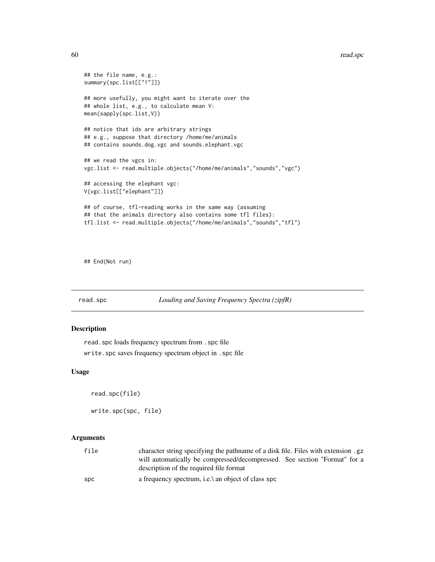```
## the file name, e.g.:
summary(spc.list[["1"]])
## more usefully, you might want to iterate over the
## whole list, e.g., to calculate mean V:
mean(sapply(spc.list,V))
## notice that ids are arbitrary strings
## e.g., suppose that directory /home/me/animals
## contains sounds.dog.vgc and sounds.elephant.vgc
## we read the vgcs in:
vgc.list <- read.multiple.objects("/home/me/animals","sounds","vgc")
## accessing the elephant vgc:
V(vgc.list[["elephant"]])
## of course, tfl-reading works in the same way (assuming
## that the animals directory also contains some tfl files):
tfl.list <- read.multiple.objects("/home/me/animals","sounds","tfl")
```
## End(Not run)

<span id="page-59-0"></span>read.spc *Loading and Saving Frequency Spectra (zipfR)*

#### <span id="page-59-1"></span>Description

read.spc loads frequency spectrum from .spc file write.spc saves frequency spectrum object in .spc file

#### Usage

read.spc(file)

write.spc(spc, file)

### Arguments

| file | character string specifying the pathname of a disk file. Files with extension .gz |  |  |
|------|-----------------------------------------------------------------------------------|--|--|
|      | will automatically be compressed/decompressed. See section "Format" for a         |  |  |
|      | description of the required file format                                           |  |  |
| spc  | a frequency spectrum, i.e., an object of class spc                                |  |  |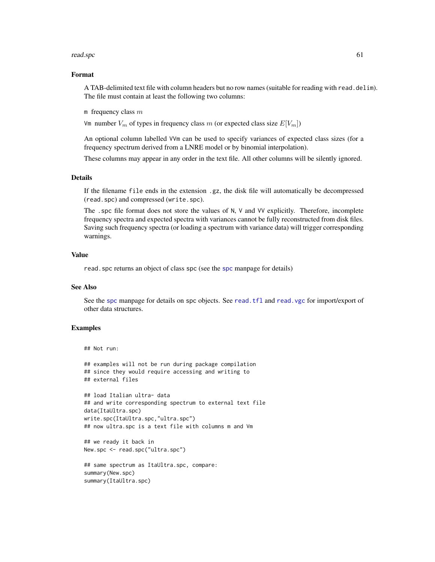#### read.spc 61

# Format

A TAB-delimited text file with column headers but no row names (suitable for reading with read.delim). The file must contain at least the following two columns:

m frequency class  $m$ 

Vm number  $V_m$  of types in frequency class m (or expected class size  $E[V_m]$ )

An optional column labelled VVm can be used to specify variances of expected class sizes (for a frequency spectrum derived from a LNRE model or by binomial interpolation).

These columns may appear in any order in the text file. All other columns will be silently ignored.

### Details

If the filename file ends in the extension .gz, the disk file will automatically be decompressed (read.spc) and compressed (write.spc).

The .spc file format does not store the values of N, V and VV explicitly. Therefore, incomplete frequency spectra and expected spectra with variances cannot be fully reconstructed from disk files. Saving such frequency spectra (or loading a spectrum with variance data) will trigger corresponding warnings.

## Value

read. [spc](#page-67-0) returns an object of class spc (see the spc manpage for details)

### See Also

See the [spc](#page-67-0) manpage for details on spc objects. See [read.tfl](#page-61-0) and [read.vgc](#page-63-0) for import/export of other data structures.

## Examples

```
## Not run:
```

```
## examples will not be run during package compilation
## since they would require accessing and writing to
## external files
## load Italian ultra- data
```

```
## and write corresponding spectrum to external text file
data(ItaUltra.spc)
write.spc(ItaUltra.spc,"ultra.spc")
## now ultra.spc is a text file with columns m and Vm
```

```
## we ready it back in
New.spc <- read.spc("ultra.spc")
```

```
## same spectrum as ItaUltra.spc, compare:
summary(New.spc)
summary(ItaUltra.spc)
```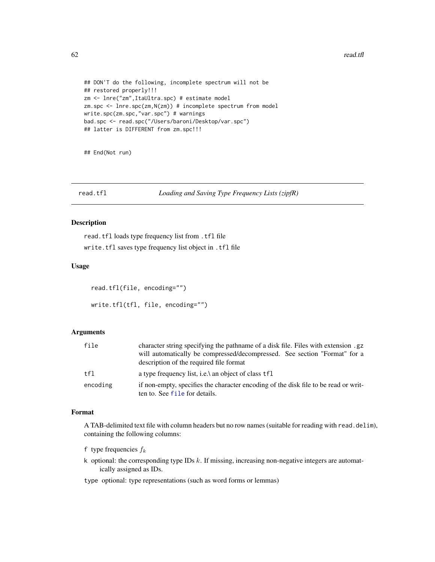62 read.tfl **62** read.tfl **62** read.tfl **62** read.tfl **6** read.tfl **6** read.tfl **6** read.tfl **6** read.tfl **6** read.tfl **6** read.tfl **6** read.tfl **6** read.tfl **6** read.tfl **6** read.tfl **6** read.tfl **6** read.tfl **6** read.tfl

```
## DON'T do the following, incomplete spectrum will not be
## restored properly!!!
zm <- lnre("zm",ItaUltra.spc) # estimate model
zm.spc <- lnre.spc(zm,N(zm)) # incomplete spectrum from model
write.spc(zm.spc,"var.spc") # warnings
bad.spc <- read.spc("/Users/baroni/Desktop/var.spc")
## latter is DIFFERENT from zm.spc!!!
```
## End(Not run)

<span id="page-61-0"></span>read.tfl *Loading and Saving Type Frequency Lists (zipfR)*

# Description

read.tfl loads type frequency list from .tfl file write.tfl saves type frequency list object in .tfl file

### Usage

```
read.tfl(file, encoding="")
write.tfl(tfl, file, encoding="")
```
# Arguments

| file     | character string specifying the pathname of a disk file. Files with extension .gz<br>will automatically be compressed/decompressed. See section "Format" for a<br>description of the required file format |
|----------|-----------------------------------------------------------------------------------------------------------------------------------------------------------------------------------------------------------|
| tf1      | a type frequency list, i.e.\ an object of class tfl                                                                                                                                                       |
| encoding | if non-empty, specifies the character encoding of the disk file to be read or writ-<br>ten to. See file for details.                                                                                      |

### Format

A TAB-delimited text file with column headers but no row names (suitable for reading with read.delim), containing the following columns:

f type frequencies  $f_k$ 

k optional: the corresponding type IDs  $k$ . If missing, increasing non-negative integers are automatically assigned as IDs.

type optional: type representations (such as word forms or lemmas)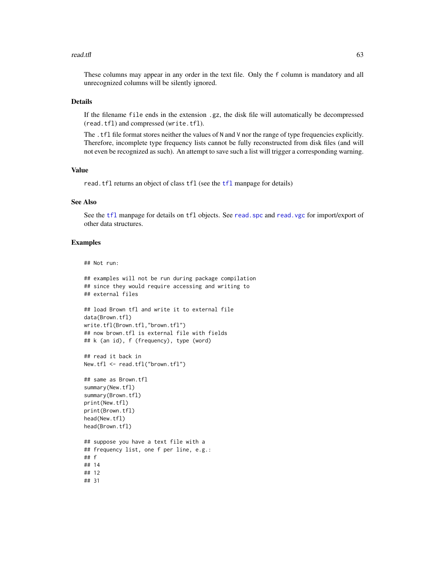#### read.tfl 63

These columns may appear in any order in the text file. Only the f column is mandatory and all unrecognized columns will be silently ignored.

### Details

If the filename file ends in the extension .gz, the disk file will automatically be decompressed (read.tfl) and compressed (write.tfl).

The . tfl file format stores neither the values of N and V nor the range of type frequencies explicitly. Therefore, incomplete type frequency lists cannot be fully reconstructed from disk files (and will not even be recognized as such). An attempt to save such a list will trigger a corresponding warning.

#### Value

read.[tfl](#page-74-0) returns an object of class tfl (see the tfl manpage for details)

### See Also

See the [tfl](#page-74-0) manpage for details on tfl objects. See read. spc and read. vgc for import/export of other data structures.

### Examples

## Not run:

```
## examples will not be run during package compilation
## since they would require accessing and writing to
## external files
## load Brown tfl and write it to external file
data(Brown.tfl)
write.tfl(Brown.tfl,"brown.tfl")
## now brown.tfl is external file with fields
## k (an id), f (frequency), type (word)
## read it back in
New.tfl <- read.tfl("brown.tfl")
## same as Brown.tfl
summary(New.tfl)
summary(Brown.tfl)
print(New.tfl)
print(Brown.tfl)
head(New.tfl)
head(Brown.tfl)
## suppose you have a text file with a
## frequency list, one f per line, e.g.:
## f
## 14
## 12
## 31
```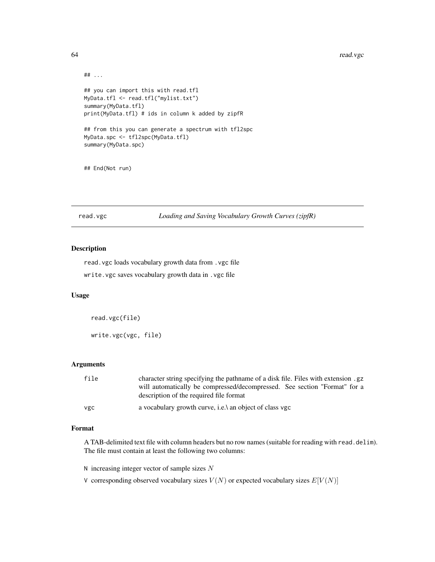#### 64 read.vgc

```
## ...
## you can import this with read.tfl
MyData.tfl <- read.tfl("mylist.txt")
summary(MyData.tfl)
print(MyData.tfl) # ids in column k added by zipfR
## from this you can generate a spectrum with tfl2spc
MyData.spc <- tfl2spc(MyData.tfl)
summary(MyData.spc)
```
## End(Not run)

<span id="page-63-0"></span>read.vgc *Loading and Saving Vocabulary Growth Curves (zipfR)*

## Description

read.vgc loads vocabulary growth data from .vgc file write.vgc saves vocabulary growth data in .vgc file

### Usage

read.vgc(file) write.vgc(vgc, file)

### Arguments

| file | character string specifying the pathname of a disk file. Files with extension .gz                                    |
|------|----------------------------------------------------------------------------------------------------------------------|
|      | will automatically be compressed/decompressed. See section "Format" for a<br>description of the required file format |
| vgc  | a vocabulary growth curve, i.e. \ an object of class vgc                                                             |

#### Format

A TAB-delimited text file with column headers but no row names (suitable for reading with read.delim). The file must contain at least the following two columns:

 $N$  increasing integer vector of sample sizes  $N$ 

V corresponding observed vocabulary sizes  $V(N)$  or expected vocabulary sizes  $E[V(N)]$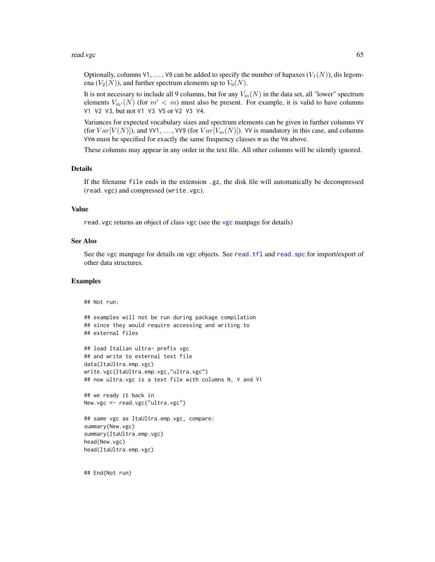#### read.vgc 65

Optionally, columns V1, ..., V9 can be added to specify the number of hapaxes  $(V_1(N))$ , dis legomena  $(V_2(N))$ , and further spectrum elements up to  $V_9(N)$ .

It is not necessary to include all 9 columns, but for any  $V_m(N)$  in the data set, all "lower" spectrum elements  $V_{m'}(N)$  (for  $m' < m$ ) must also be present. For example, it is valid to have columns V1 V2 V3, but not V1 V3 V5 or V2 V3 V4.

Variances for expected vocabulary sizes and spectrum elements can be given in further columns VV (for  $Var[V(N)]$ ), and VV1, ..., VV9 (for  $Var[V_m(N)]$ ). VV is mandatory in this case, and columns VVm must be specified for exactly the same frequency classes m as the Vm above.

These columns may appear in any order in the text file. All other columns will be silently ignored.

#### Details

If the filename file ends in the extension .gz, the disk file will automatically be decompressed (read.vgc) and compressed (write.vgc).

### Value

read.vgc returns an object of class vgc (see the [vgc](#page-79-0) manpage for details)

### See Also

See the [vgc](#page-79-0) manpage for details on vgc objects. See [read.tfl](#page-61-0) and [read.spc](#page-59-0) for import/export of other data structures.

# Examples

```
## Not run:
## examples will not be run during package compilation
## since they would require accessing and writing to
## external files
## load Italian ultra- prefix vgc
## and write to external text file
data(ItaUltra.emp.vgc)
write.vgc(ItaUltra.emp.vgc,"ultra.vgc")
## now ultra.vgc is a text file with columns N, V and V1
## we ready it back in
New.vgc <- read.vgc("ultra.vgc")
## same vgc as ItaUltra.emp.vgc, compare:
summary(New.vgc)
summary(ItaUltra.emp.vgc)
```
head(ItaUltra.emp.vgc)

## End(Not run)

head(New.vgc)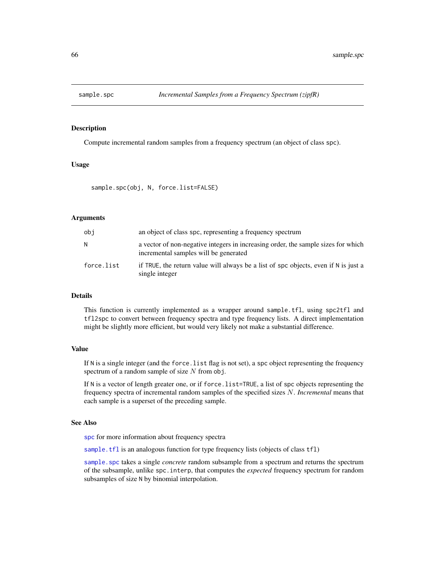<span id="page-65-0"></span>

# **Description**

Compute incremental random samples from a frequency spectrum (an object of class spc).

### Usage

sample.spc(obj, N, force.list=FALSE)

### Arguments

| obi        | an object of class spc, representing a frequency spectrum                                                                  |
|------------|----------------------------------------------------------------------------------------------------------------------------|
| N          | a vector of non-negative integers in increasing order, the sample sizes for which<br>incremental samples will be generated |
| force.list | if TRUE, the return value will always be a list of spc objects, even if N is just a<br>single integer                      |

#### Details

This function is currently implemented as a wrapper around sample.tfl, using spc2tfl and tfl2spc to convert between frequency spectra and type frequency lists. A direct implementation might be slightly more efficient, but would very likely not make a substantial difference.

# Value

If N is a single integer (and the force.list flag is not set), a spc object representing the frequency spectrum of a random sample of size  $N$  from obj.

If N is a vector of length greater one, or if force.list=TRUE, a list of spc objects representing the frequency spectra of incremental random samples of the specified sizes N. *Incremental* means that each sample is a superset of the preceding sample.

## See Also

[spc](#page-67-0) for more information about frequency spectra

[sample.tfl](#page-66-0) is an analogous function for type frequency lists (objects of class tfl)

sample. spc takes a single *concrete* random subsample from a spectrum and returns the spectrum of the subsample, unlike spc.interp, that computes the *expected* frequency spectrum for random subsamples of size N by binomial interpolation.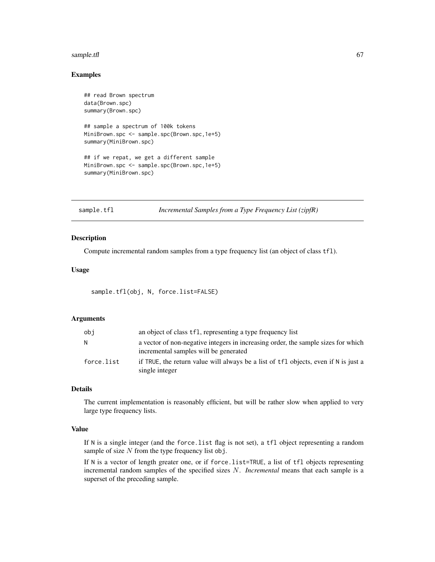#### sample.tfl 67

## Examples

```
## read Brown spectrum
data(Brown.spc)
summary(Brown.spc)
## sample a spectrum of 100k tokens
MiniBrown.spc <- sample.spc(Brown.spc,1e+5)
summary(MiniBrown.spc)
## if we repat, we get a different sample
MiniBrown.spc <- sample.spc(Brown.spc,1e+5)
summary(MiniBrown.spc)
```
<span id="page-66-0"></span>sample.tfl *Incremental Samples from a Type Frequency List (zipfR)*

# Description

Compute incremental random samples from a type frequency list (an object of class tfl).

### Usage

sample.tfl(obj, N, force.list=FALSE)

### Arguments

| obi        | an object of class tfl, representing a type frequency list                                                                 |
|------------|----------------------------------------------------------------------------------------------------------------------------|
| N          | a vector of non-negative integers in increasing order, the sample sizes for which<br>incremental samples will be generated |
| force.list | if TRUE, the return value will always be a list of tfl objects, even if N is just a<br>single integer                      |

## Details

The current implementation is reasonably efficient, but will be rather slow when applied to very large type frequency lists.

### Value

If N is a single integer (and the force.list flag is not set), a tfl object representing a random sample of size  $N$  from the type frequency list obj.

If N is a vector of length greater one, or if force.list=TRUE, a list of tfl objects representing incremental random samples of the specified sizes N. *Incremental* means that each sample is a superset of the preceding sample.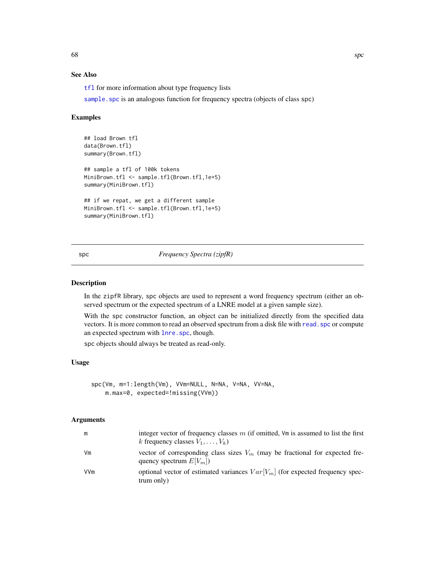# See Also

[tfl](#page-74-0) for more information about type frequency lists

sample. spc is an analogous function for frequency spectra (objects of class spc)

## Examples

```
## load Brown tfl
data(Brown.tfl)
summary(Brown.tfl)
## sample a tfl of 100k tokens
MiniBrown.tfl <- sample.tfl(Brown.tfl,1e+5)
summary(MiniBrown.tfl)
## if we repat, we get a different sample
MiniBrown.tfl <- sample.tfl(Brown.tfl,1e+5)
summary(MiniBrown.tfl)
```
## <span id="page-67-0"></span>spc *Frequency Spectra (zipfR)*

### Description

In the zipfR library, spc objects are used to represent a word frequency spectrum (either an observed spectrum or the expected spectrum of a LNRE model at a given sample size).

With the spc constructor function, an object can be initialized directly from the specified data vectors. It is more common to read an observed spectrum from a disk file with [read.spc](#page-59-0) or compute an expected spectrum with [lnre.spc](#page-34-0), though.

spc objects should always be treated as read-only.

# Usage

```
spc(Vm, m=1:length(Vm), VVm=NULL, N=NA, V=NA, VV=NA,
   m.max=0, expected=!missing(VVm))
```
#### Arguments

| m   | integer vector of frequency classes $m$ (if omitted, $Vm$ is assumed to list the first<br>k frequency classes $V_1, \ldots, V_k$ |
|-----|----------------------------------------------------------------------------------------------------------------------------------|
| Vm  | vector of corresponding class sizes $V_m$ (may be fractional for expected fre-<br>quency spectrum $E[V_m]$ )                     |
| VVm | optional vector of estimated variances $Var[V_m]$ (for expected frequency spec-<br>trum only)                                    |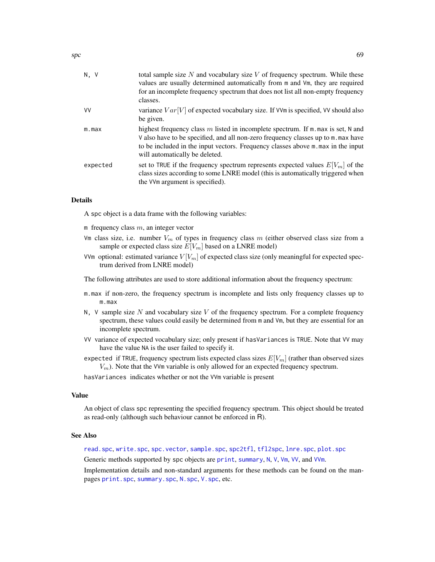| N, V     | total sample size $N$ and vocabulary size $V$ of frequency spectrum. While these<br>values are usually determined automatically from m and Vm, they are required<br>for an incomplete frequency spectrum that does not list all non-empty frequency<br>classes.                                |
|----------|------------------------------------------------------------------------------------------------------------------------------------------------------------------------------------------------------------------------------------------------------------------------------------------------|
| VV       | variance $Var[V]$ of expected vocabulary size. If VVm is specified, VV should also<br>be given.                                                                                                                                                                                                |
| m.max    | highest frequency class $m$ listed in incomplete spectrum. If $m$ max is set, N and<br>V also have to be specified, and all non-zero frequency classes up to m. max have<br>to be included in the input vectors. Frequency classes above m. max in the input<br>will automatically be deleted. |
| expected | set to TRUE if the frequency spectrum represents expected values $E[V_m]$ of the<br>class sizes according to some LNRE model (this is automatically triggered when<br>the VVm argument is specified).                                                                                          |
|          |                                                                                                                                                                                                                                                                                                |

## Details

A spc object is a data frame with the following variables:

m frequency class  $m$ , an integer vector

- Vm class size, i.e. number  $V_m$  of types in frequency class  $m$  (either observed class size from a sample or expected class size  $E[V_m]$  based on a LNRE model)
- VVm optional: estimated variance  $V[V_m]$  of expected class size (only meaningful for expected spectrum derived from LNRE model)

The following attributes are used to store additional information about the frequency spectrum:

- m.max if non-zero, the frequency spectrum is incomplete and lists only frequency classes up to m.max
- N,  $V$  sample size N and vocabulary size V of the frequency spectrum. For a complete frequency spectrum, these values could easily be determined from m and  $Vm$ , but they are essential for an incomplete spectrum.
- VV variance of expected vocabulary size; only present if hasVariances is TRUE. Note that VV may have the value NA is the user failed to specify it.
- expected if TRUE, frequency spectrum lists expected class sizes  $E[V_m]$  (rather than observed sizes  $V_m$ ). Note that the VVm variable is only allowed for an expected frequency spectrum.

hasVariances indicates whether or not the VVm variable is present

#### Value

An object of class spc representing the specified frequency spectrum. This object should be treated as read-only (although such behaviour cannot be enforced in R).

#### See Also

[read.spc](#page-59-0), [write.spc](#page-59-1), [spc.vector](#page-71-0), [sample.spc](#page-65-0), [spc2tfl](#page-72-0), [tfl2spc](#page-72-1), [lnre.spc](#page-34-0), [plot.spc](#page-45-0)

Generic methods supported by spc objects are [print](#page-0-0), [summary](#page-0-0), [N](#page-39-0), [V](#page-39-0), [Vm](#page-39-0), [VV](#page-83-0), and [VVm](#page-83-0).

Implementation details and non-standard arguments for these methods can be found on the manpages [print.spc](#page-53-0), [summary.spc](#page-53-1), [N.spc](#page-41-0), [V.spc](#page-41-0), etc.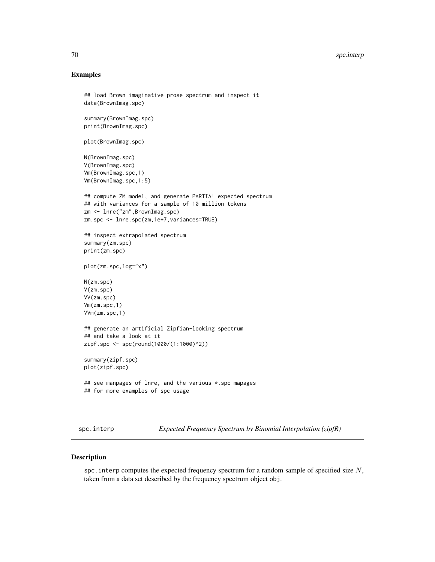# Examples

```
## load Brown imaginative prose spectrum and inspect it
data(BrownImag.spc)
summary(BrownImag.spc)
print(BrownImag.spc)
plot(BrownImag.spc)
N(BrownImag.spc)
V(BrownImag.spc)
Vm(BrownImag.spc,1)
Vm(BrownImag.spc,1:5)
## compute ZM model, and generate PARTIAL expected spectrum
## with variances for a sample of 10 million tokens
zm <- lnre("zm",BrownImag.spc)
zm.spc <- lnre.spc(zm,1e+7,variances=TRUE)
## inspect extrapolated spectrum
summary(zm.spc)
print(zm.spc)
plot(zm.spc,log="x")
N(zm.spc)
V(zm.spc)
VV(zm.spc)
Vm(zm.spc,1)
VVm(zm.spc,1)
## generate an artificial Zipfian-looking spectrum
## and take a look at it
zipf.spc <- spc(round(1000/(1:1000)^2))
summary(zipf.spc)
plot(zipf.spc)
## see manpages of lnre, and the various *.spc mapages
## for more examples of spc usage
```
spc.interp *Expected Frequency Spectrum by Binomial Interpolation (zipfR)*

# Description

spc. interp computes the expected frequency spectrum for a random sample of specified size  $N$ , taken from a data set described by the frequency spectrum object obj.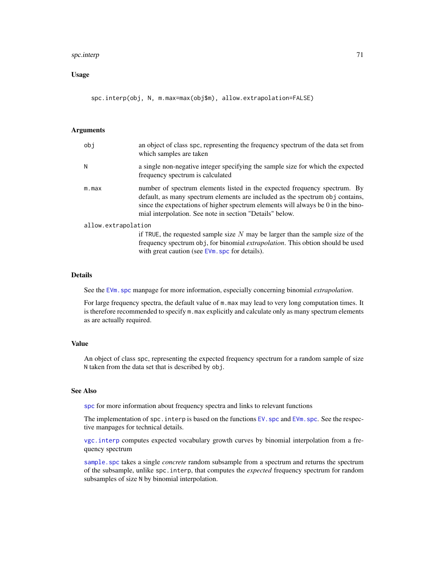#### spc.interp 71

## Usage

spc.interp(obj, N, m.max=max(obj\$m), allow.extrapolation=FALSE)

### Arguments

| obj                 | an object of class spc, representing the frequency spectrum of the data set from<br>which samples are taken                                                                                                                                                                                                |
|---------------------|------------------------------------------------------------------------------------------------------------------------------------------------------------------------------------------------------------------------------------------------------------------------------------------------------------|
| N                   | a single non-negative integer specifying the sample size for which the expected<br>frequency spectrum is calculated                                                                                                                                                                                        |
| m.max               | number of spectrum elements listed in the expected frequency spectrum. By<br>default, as many spectrum elements are included as the spectrum obj contains,<br>since the expectations of higher spectrum elements will always be 0 in the bino-<br>mial interpolation. See note in section "Details" below. |
| allow.extrapolation |                                                                                                                                                                                                                                                                                                            |
|                     | if TRUE, the requested sample size $N$ may be larger than the sample size of the<br>frequency spectrum obj, for binomial <i>extrapolation</i> . This obtion should be used<br>with great caution (see EVm. spc for details).                                                                               |

### Details

See the [EVm.spc](#page-13-0) manpage for more information, especially concerning binomial *extrapolation*.

For large frequency spectra, the default value of m.max may lead to very long computation times. It is therefore recommended to specify m.max explicitly and calculate only as many spectrum elements as are actually required.

# Value

An object of class spc, representing the expected frequency spectrum for a random sample of size N taken from the data set that is described by obj.

## See Also

[spc](#page-67-0) for more information about frequency spectra and links to relevant functions

The implementation of  $spc$ . interp is based on the functions  $EV$ . spc and  $EV$ m. spc. See the respective manpages for technical details.

[vgc.interp](#page-82-0) computes expected vocabulary growth curves by binomial interpolation from a frequency spectrum

sample. spc takes a single *concrete* random subsample from a spectrum and returns the spectrum of the subsample, unlike spc.interp, that computes the *expected* frequency spectrum for random subsamples of size N by binomial interpolation.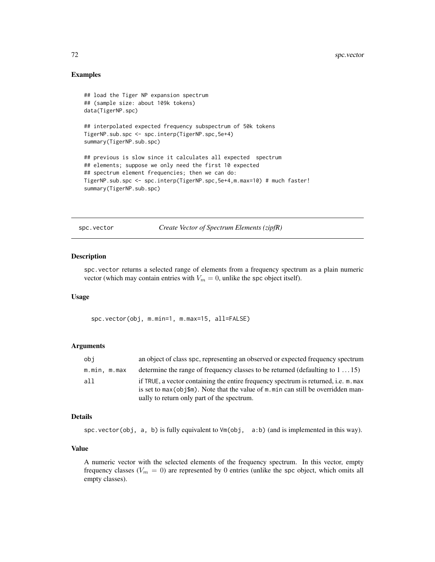## Examples

```
## load the Tiger NP expansion spectrum
## (sample size: about 109k tokens)
data(TigerNP.spc)
## interpolated expected frequency subspectrum of 50k tokens
TigerNP.sub.spc <- spc.interp(TigerNP.spc,5e+4)
summary(TigerNP.sub.spc)
## previous is slow since it calculates all expected spectrum
## elements; suppose we only need the first 10 expected
## spectrum element frequencies; then we can do:
TigerNP.sub.spc <- spc.interp(TigerNP.spc,5e+4,m.max=10) # much faster!
summary(TigerNP.sub.spc)
```
<span id="page-71-0"></span>spc.vector *Create Vector of Spectrum Elements (zipfR)*

### Description

spc.vector returns a selected range of elements from a frequency spectrum as a plain numeric vector (which may contain entries with  $V_m = 0$ , unlike the spc object itself).

### Usage

spc.vector(obj, m.min=1, m.max=15, all=FALSE)

### Arguments

| obj          | an object of class spc, representing an observed or expected frequency spectrum                                                                                                                                         |
|--------------|-------------------------------------------------------------------------------------------------------------------------------------------------------------------------------------------------------------------------|
| m.min, m.max | determine the range of frequency classes to be returned (defaulting to $1 \dots 15$ )                                                                                                                                   |
| all          | if TRUE, a vector containing the entire frequency spectrum is returned, i.e. m. max<br>is set to $max(obj\$ m). Note that the value of m min can still be overridden man-<br>ually to return only part of the spectrum. |

#### Details

spc.vector(obj, a, b) is fully equivalent to Vm(obj, a:b) (and is implemented in this way).

# Value

A numeric vector with the selected elements of the frequency spectrum. In this vector, empty frequency classes ( $V_m = 0$ ) are represented by 0 entries (unlike the spc object, which omits all empty classes).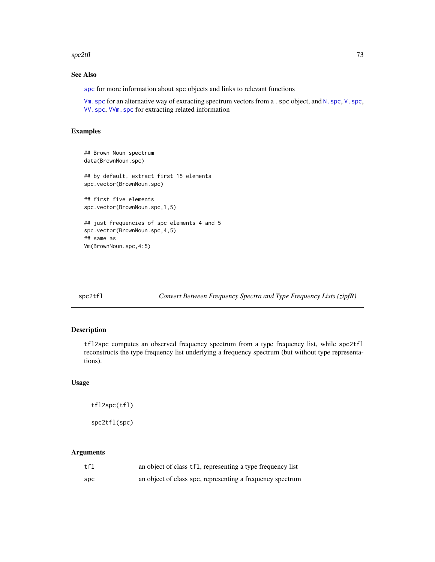#### <span id="page-72-2"></span> $\text{spc2tfl}$  73

# See Also

[spc](#page-67-0) for more information about spc objects and links to relevant functions

[Vm.spc](#page-41-0) for an alternative way of extracting spectrum vectors from a .spc object, and [N.spc](#page-41-0), [V.spc](#page-41-0), [VV.spc](#page-41-0), [VVm.spc](#page-41-0) for extracting related information

# Examples

```
## Brown Noun spectrum
data(BrownNoun.spc)
## by default, extract first 15 elements
spc.vector(BrownNoun.spc)
## first five elements
spc.vector(BrownNoun.spc,1,5)
## just frequencies of spc elements 4 and 5
spc.vector(BrownNoun.spc,4,5)
## same as
Vm(BrownNoun.spc,4:5)
```
<span id="page-72-0"></span>spc2tfl *Convert Between Frequency Spectra and Type Frequency Lists (zipfR)*

# <span id="page-72-1"></span>Description

tfl2spc computes an observed frequency spectrum from a type frequency list, while spc2tfl reconstructs the type frequency list underlying a frequency spectrum (but without type representations).

# Usage

```
tfl2spc(tfl)
```
spc2tfl(spc)

# Arguments

| tfl | an object of class tfl, representing a type frequency list |
|-----|------------------------------------------------------------|
| spc | an object of class spc, representing a frequency spectrum  |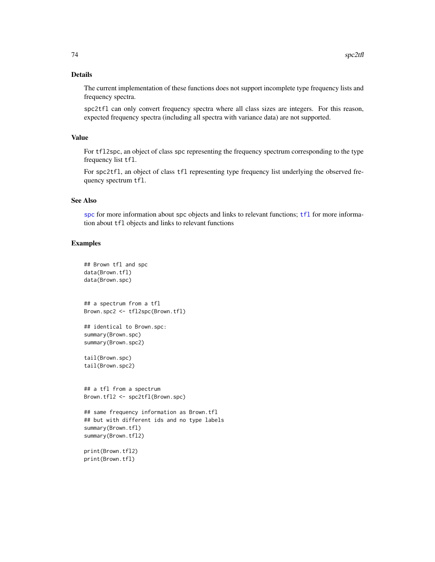# <span id="page-73-0"></span>Details

The current implementation of these functions does not support incomplete type frequency lists and frequency spectra.

spc2tfl can only convert frequency spectra where all class sizes are integers. For this reason, expected frequency spectra (including all spectra with variance data) are not supported.

# Value

For tfl2spc, an object of class spc representing the frequency spectrum corresponding to the type frequency list tfl.

For spc2tfl, an object of class tfl representing type frequency list underlying the observed frequency spectrum tfl.

# See Also

[spc](#page-67-0) for more information about spc objects and links to relevant functions; [tfl](#page-74-0) for more information about tfl objects and links to relevant functions

#### Examples

```
## Brown tfl and spc
data(Brown.tfl)
data(Brown.spc)
## a spectrum from a tfl
Brown.spc2 <- tfl2spc(Brown.tfl)
## identical to Brown.spc:
summary(Brown.spc)
summary(Brown.spc2)
tail(Brown.spc)
tail(Brown.spc2)
## a tfl from a spectrum
Brown.tfl2 <- spc2tfl(Brown.spc)
## same frequency information as Brown.tfl
## but with different ids and no type labels
summary(Brown.tfl)
summary(Brown.tfl2)
print(Brown.tfl2)
print(Brown.tfl)
```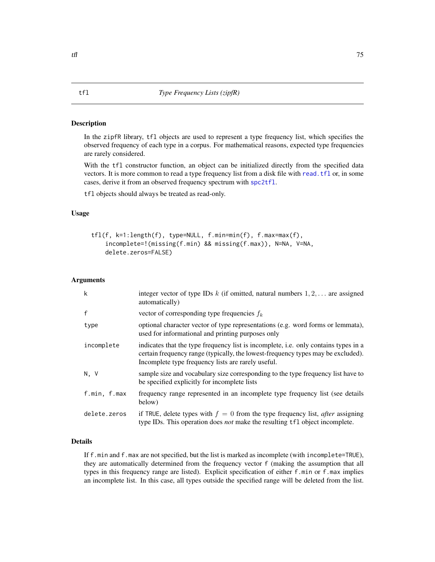# <span id="page-74-1"></span><span id="page-74-0"></span>Description

In the zipfR library, tfl objects are used to represent a type frequency list, which specifies the observed frequency of each type in a corpus. For mathematical reasons, expected type frequencies are rarely considered.

With the tfl constructor function, an object can be initialized directly from the specified data vectors. It is more common to read a type frequency list from a disk file with [read.tfl](#page-61-0) or, in some cases, derive it from an observed frequency spectrum with [spc2tfl](#page-72-0).

tfl objects should always be treated as read-only.

# Usage

```
tfl(f, k=1:length(f), type=NULL, f.min=min(f), f.max=max(f),
   incomplete=!(missing(f.min) && missing(f.max)), N=NA, V=NA,
   delete.zeros=FALSE)
```
## Arguments

| k            | integer vector of type IDs $k$ (if omitted, natural numbers $1, 2, \ldots$ are assigned<br>automatically)                                                                                                                     |
|--------------|-------------------------------------------------------------------------------------------------------------------------------------------------------------------------------------------------------------------------------|
| f            | vector of corresponding type frequencies $f_k$                                                                                                                                                                                |
| type         | optional character vector of type representations (e.g. word forms or lemmata),<br>used for informational and printing purposes only                                                                                          |
| incomplete   | indicates that the type frequency list is incomplete, i.e. only contains types in a<br>certain frequency range (typically, the lowest-frequency types may be excluded).<br>Incomplete type frequency lists are rarely useful. |
| N.V          | sample size and vocabulary size corresponding to the type frequency list have to<br>be specified explicitly for incomplete lists                                                                                              |
| f.min, f.max | frequency range represented in an incomplete type frequency list (see details)<br>below)                                                                                                                                      |
| delete.zeros | if TRUE, delete types with $f = 0$ from the type frequency list, <i>after</i> assigning<br>type IDs. This operation does <i>not</i> make the resulting tfl object incomplete.                                                 |

# Details

If f.min and f.max are not specified, but the list is marked as incomplete (with incomplete=TRUE), they are automatically determined from the frequency vector f (making the assumption that all types in this frequency range are listed). Explicit specification of either f.min or f.max implies an incomplete list. In this case, all types outside the specified range will be deleted from the list.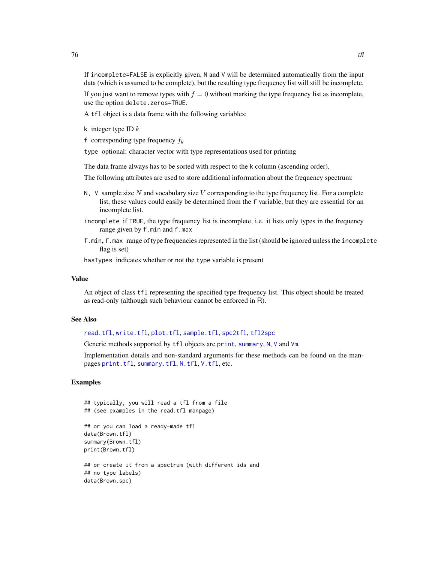<span id="page-75-0"></span>If incomplete=FALSE is explicitly given, N and V will be determined automatically from the input data (which is assumed to be complete), but the resulting type frequency list will still be incomplete. If you just want to remove types with  $f = 0$  without marking the type frequency list as incomplete,

use the option delete.zeros=TRUE.

A tfl object is a data frame with the following variables:

k integer type ID  $k$ 

f corresponding type frequency  $f_k$ 

type optional: character vector with type representations used for printing

The data frame always has to be sorted with respect to the k column (ascending order).

The following attributes are used to store additional information about the frequency spectrum:

- $N$ ,  $V$  sample size N and vocabulary size V corresponding to the type frequency list. For a complete list, these values could easily be determined from the f variable, but they are essential for an incomplete list.
- incomplete if TRUE, the type frequency list is incomplete, i.e. it lists only types in the frequency range given by f.min and f.max
- f.min, f.max range of type frequencies represented in the list (should be ignored unless the incomplete flag is set)

hasTypes indicates whether or not the type variable is present

#### Value

An object of class tfl representing the specified type frequency list. This object should be treated as read-only (although such behaviour cannot be enforced in R).

# See Also

[read.tfl](#page-61-0), [write.tfl](#page-61-1), [plot.tfl](#page-47-0), [sample.tfl](#page-66-0), [spc2tfl](#page-72-0), [tfl2spc](#page-72-1)

Generic methods supported by tfl objects are [print](#page-0-0), [summary](#page-0-0), [N](#page-39-0), [V](#page-39-0) and [Vm](#page-39-0).

Implementation details and non-standard arguments for these methods can be found on the manpages [print.tfl](#page-55-0), [summary.tfl](#page-55-1), [N.tfl](#page-42-0), [V.tfl](#page-42-0), etc.

# Examples

```
## typically, you will read a tfl from a file
## (see examples in the read.tfl manpage)
## or you can load a ready-made tfl
data(Brown.tfl)
summary(Brown.tfl)
print(Brown.tfl)
## or create it from a spectrum (with different ids and
## no type labels)
data(Brown.spc)
```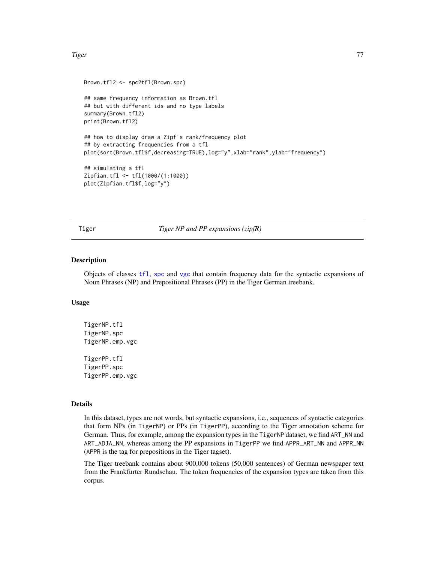#### <span id="page-76-0"></span>Tiger 77

```
Brown.tfl2 <- spc2tfl(Brown.spc)
## same frequency information as Brown.tfl
## but with different ids and no type labels
summary(Brown.tfl2)
print(Brown.tfl2)
## how to display draw a Zipf's rank/frequency plot
## by extracting frequencies from a tfl
plot(sort(Brown.tfl$f,decreasing=TRUE),log="y",xlab="rank",ylab="frequency")
## simulating a tfl
Zipfian.tfl <- tfl(1000/(1:1000))
plot(Zipfian.tfl$f,log="y")
```
Tiger *Tiger NP and PP expansions (zipfR)*

#### Description

Objects of classes [tfl](#page-74-0), [spc](#page-67-0) and [vgc](#page-79-0) that contain frequency data for the syntactic expansions of Noun Phrases (NP) and Prepositional Phrases (PP) in the Tiger German treebank.

# Usage

TigerNP.tfl TigerNP.spc TigerNP.emp.vgc TigerPP.tfl TigerPP.spc TigerPP.emp.vgc

# Details

In this dataset, types are not words, but syntactic expansions, i.e., sequences of syntactic categories that form NPs (in TigerNP) or PPs (in TigerPP), according to the Tiger annotation scheme for German. Thus, for example, among the expansion types in the TigerNP dataset, we find ART\_NN and ART\_ADJA\_NN, whereas among the PP expansions in TigerPP we find APPR\_ART\_NN and APPR\_NN (APPR is the tag for prepositions in the Tiger tagset).

The Tiger treebank contains about 900,000 tokens (50,000 sentences) of German newspaper text from the Frankfurter Rundschau. The token frequencies of the expansion types are taken from this corpus.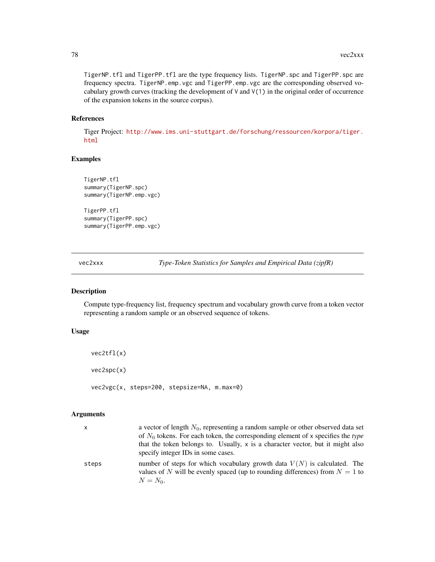<span id="page-77-0"></span>TigerNP.tfl and TigerPP.tfl are the type frequency lists. TigerNP.spc and TigerPP.spc are frequency spectra. TigerNP.emp.vgc and TigerPP.emp.vgc are the corresponding observed vocabulary growth curves (tracking the development of  $V$  and  $V(1)$  in the original order of occurrence of the expansion tokens in the source corpus).

# References

Tiger Project: [http://www.ims.uni-stuttgart.de/forschung/ressourcen/korpora/tiger.](http://www.ims.uni-stuttgart.de/forschung/ressourcen/korpora/tiger.html) [html](http://www.ims.uni-stuttgart.de/forschung/ressourcen/korpora/tiger.html)

# Examples

```
TigerNP.tfl
summary(TigerNP.spc)
summary(TigerNP.emp.vgc)
```
TigerPP.tfl summary(TigerPP.spc) summary(TigerPP.emp.vgc)

vec2xxx *Type-Token Statistics for Samples and Empirical Data (zipfR)*

# Description

Compute type-frequency list, frequency spectrum and vocabulary growth curve from a token vector representing a random sample or an observed sequence of tokens.

# Usage

```
vec2tfl(x)
vec2spc(x)
vec2vgc(x, steps=200, stepsize=NA, m.max=0)
```
# Arguments

| x     | a vector of length $N_0$ , representing a random sample or other observed data set<br>of $N_0$ tokens. For each token, the corresponding element of x specifies the type<br>that the token belongs to. Usually, $x$ is a character vector, but it might also<br>specify integer IDs in some cases. |
|-------|----------------------------------------------------------------------------------------------------------------------------------------------------------------------------------------------------------------------------------------------------------------------------------------------------|
| steps | number of steps for which vocabulary growth data $V(N)$ is calculated. The<br>values of N will be evenly spaced (up to rounding differences) from $N = 1$ to<br>$N = N_0$ .                                                                                                                        |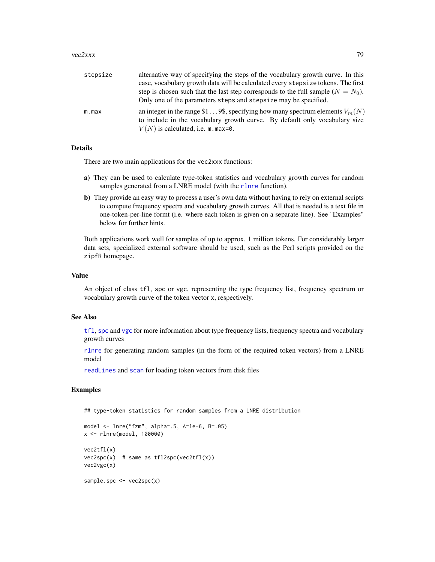#### <span id="page-78-0"></span> $vec2xxx$  79

| stepsize | alternative way of specifying the steps of the vocabulary growth curve. In this                                                                                                                      |
|----------|------------------------------------------------------------------------------------------------------------------------------------------------------------------------------------------------------|
|          | case, vocabulary growth data will be calculated every stepsize tokens. The first                                                                                                                     |
|          | step is chosen such that the last step corresponds to the full sample $(N = N_0)$ .                                                                                                                  |
|          | Only one of the parameters steps and stepsize may be specified.                                                                                                                                      |
| m.max    | an integer in the range \$19\$, specifying how many spectrum elements $V_m(N)$<br>to include in the vocabulary growth curve. By default only vocabulary size<br>$V(N)$ is calculated, i.e. m. max=0. |

# Details

There are two main applications for the vec2xxx functions:

- a) They can be used to calculate type-token statistics and vocabulary growth curves for random samples generated from a LNRE model (with the [rlnre](#page-16-0) function).
- b) They provide an easy way to process a user's own data without having to rely on external scripts to compute frequency spectra and vocabulary growth curves. All that is needed is a text file in one-token-per-line formt (i.e. where each token is given on a separate line). See "Examples" below for further hints.

Both applications work well for samples of up to approx. 1 million tokens. For considerably larger data sets, specialized external software should be used, such as the Perl scripts provided on the zipfR homepage.

#### Value

An object of class tfl, spc or vgc, representing the type frequency list, frequency spectrum or vocabulary growth curve of the token vector x, respectively.

# See Also

[tfl](#page-74-0), [spc](#page-67-0) and [vgc](#page-79-0) for more information about type frequency lists, frequency spectra and vocabulary growth curves

[rlnre](#page-16-0) for generating random samples (in the form of the required token vectors) from a LNRE model

[readLines](#page-0-0) and [scan](#page-0-0) for loading token vectors from disk files

# Examples

## type-token statistics for random samples from a LNRE distribution

```
model <- lnre("fzm", alpha=.5, A=1e-6, B=.05)
x <- rlnre(model, 100000)
vec2tfl(x)
vec2spc(x) # same as tf12spc(vec2tf1(x))vec2vgc(x)
sample.spc <- vec2spc(x)
```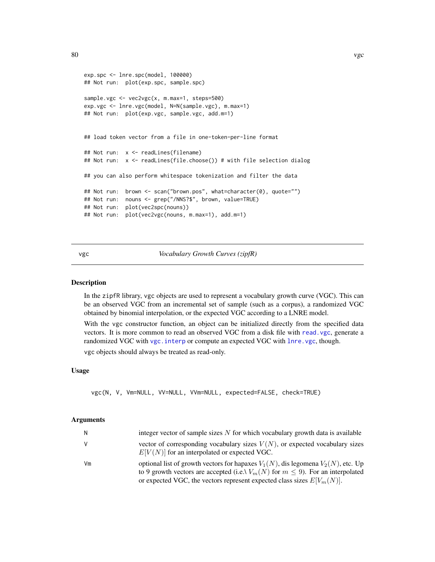```
exp.spc <- lnre.spc(model, 100000)
## Not run: plot(exp.spc, sample.spc)
sample.vgc <- vec2vgc(x, m.max=1, steps=500)
exp.vgc <- lnre.vgc(model, N=N(sample.vgc), m.max=1)
## Not run: plot(exp.vgc, sample.vgc, add.m=1)
## load token vector from a file in one-token-per-line format
## Not run: x <- readLines(filename)
## Not run: x <- readLines(file.choose()) # with file selection dialog
## you can also perform whitespace tokenization and filter the data
## Not run: brown <- scan("brown.pos", what=character(0), quote="")
## Not run: nouns <- grep("/NNS?$", brown, value=TRUE)
## Not run: plot(vec2spc(nouns))
## Not run: plot(vec2vgc(nouns, m.max=1), add.m=1)
```
#### <span id="page-79-0"></span>vgc *Vocabulary Growth Curves (zipfR)*

#### Description

In the zipfR library, vgc objects are used to represent a vocabulary growth curve (VGC). This can be an observed VGC from an incremental set of sample (such as a corpus), a randomized VGC obtained by binomial interpolation, or the expected VGC according to a LNRE model.

With the vgc constructor function, an object can be initialized directly from the specified data vectors. It is more common to read an observed VGC from a disk file with [read.vgc](#page-63-0), generate a randomized VGC with vgc. interp or compute an expected VGC with [lnre.vgc](#page-35-0), though.

vgc objects should always be treated as read-only.

# Usage

```
vgc(N, V, Vm=NULL, VV=NULL, VVm=NULL, expected=FALSE, check=TRUE)
```
#### Arguments

| N  | integer vector of sample sizes $N$ for which vocabulary growth data is available                                                                                                                                                                             |
|----|--------------------------------------------------------------------------------------------------------------------------------------------------------------------------------------------------------------------------------------------------------------|
| V  | vector of corresponding vocabulary sizes $V(N)$ , or expected vocabulary sizes<br>$E[V(N)]$ for an interpolated or expected VGC.                                                                                                                             |
| Vm | optional list of growth vectors for hapaxes $V_1(N)$ , dis legomena $V_2(N)$ , etc. Up<br>to 9 growth vectors are accepted (i.e. $V_m(N)$ for $m \leq 9$ ). For an interpolated<br>or expected VGC, the vectors represent expected class sizes $E[V_m(N)]$ . |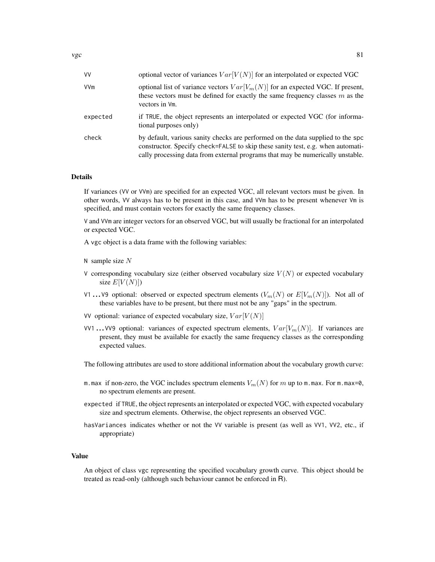| ٧V       | optional vector of variances $Var[V(N)]$ for an interpolated or expected VGC                                                                                                                                                                         |
|----------|------------------------------------------------------------------------------------------------------------------------------------------------------------------------------------------------------------------------------------------------------|
| VVm      | optional list of variance vectors $Var[V_m(N)]$ for an expected VGC. If present,<br>these vectors must be defined for exactly the same frequency classes $m$ as the<br>vectors in Vm.                                                                |
| expected | if TRUE, the object represents an interpolated or expected VGC (for informa-<br>tional purposes only)                                                                                                                                                |
| check    | by default, various sanity checks are performed on the data supplied to the spc<br>constructor. Specify check=FALSE to skip these sanity test, e.g. when automati-<br>cally processing data from external programs that may be numerically unstable. |

# Details

If variances (VV or VVm) are specified for an expected VGC, all relevant vectors must be given. In other words, VV always has to be present in this case, and VVm has to be present whenever Vm is specified, and must contain vectors for exactly the same frequency classes.

V and VVm are integer vectors for an observed VGC, but will usually be fractional for an interpolated or expected VGC.

A vgc object is a data frame with the following variables:

- N sample size  $N$
- V corresponding vocabulary size (either observed vocabulary size  $V(N)$ ) or expected vocabulary size  $E[V(N)]$
- V1 ... V9 optional: observed or expected spectrum elements  $(V_m(N))$  or  $E[V_m(N)]$ ). Not all of these variables have to be present, but there must not be any "gaps" in the spectrum.
- VV optional: variance of expected vocabulary size,  $Var[V(N)]$
- VV1 ... VV9 optional: variances of expected spectrum elements,  $Var[V_m(N)]$ . If variances are present, they must be available for exactly the same frequency classes as the corresponding expected values.

The following attributes are used to store additional information about the vocabulary growth curve:

- m.max if non-zero, the VGC includes spectrum elements  $V_m(N)$  for m up to m.max. For m.max=0, no spectrum elements are present.
- expected if TRUE, the object represents an interpolated or expected VGC, with expected vocabulary size and spectrum elements. Otherwise, the object represents an observed VGC.
- hasVariances indicates whether or not the VV variable is present (as well as VV1, VV2, etc., if appropriate)

# Value

An object of class vgc representing the specified vocabulary growth curve. This object should be treated as read-only (although such behaviour cannot be enforced in R).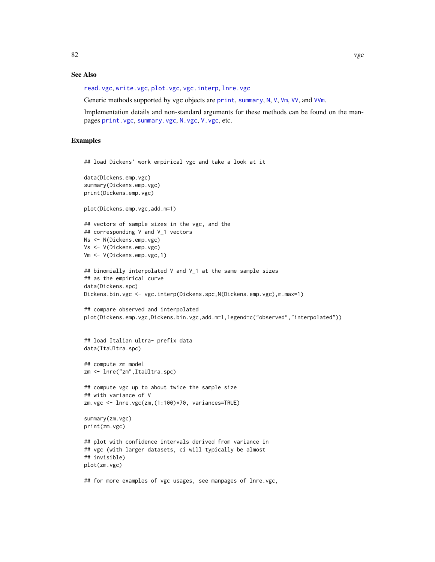# <span id="page-81-0"></span>See Also

[read.vgc](#page-63-0), [write.vgc](#page-63-1), [plot.vgc](#page-49-0), [vgc.interp](#page-82-0), [lnre.vgc](#page-35-0)

Generic methods supported by vgc objects are [print](#page-0-0), [summary](#page-0-0), [N](#page-39-0), [V](#page-39-0), [Vm](#page-39-0), [VV](#page-83-0), and [VVm](#page-83-0).

Implementation details and non-standard arguments for these methods can be found on the manpages [print.vgc](#page-56-0), [summary.vgc](#page-56-1), [N.vgc](#page-43-0), [V.vgc](#page-43-0), etc.

# Examples

```
## load Dickens' work empirical vgc and take a look at it
data(Dickens.emp.vgc)
summary(Dickens.emp.vgc)
print(Dickens.emp.vgc)
plot(Dickens.emp.vgc,add.m=1)
## vectors of sample sizes in the vgc, and the
## corresponding V and V_1 vectors
Ns <- N(Dickens.emp.vgc)
Vs <- V(Dickens.emp.vgc)
Vm <- V(Dickens.emp.vgc,1)
## binomially interpolated V and V_1 at the same sample sizes
## as the empirical curve
data(Dickens.spc)
Dickens.bin.vgc <- vgc.interp(Dickens.spc,N(Dickens.emp.vgc),m.max=1)
## compare observed and interpolated
plot(Dickens.emp.vgc,Dickens.bin.vgc,add.m=1,legend=c("observed","interpolated"))
## load Italian ultra- prefix data
data(ItaUltra.spc)
## compute zm model
zm <- lnre("zm",ItaUltra.spc)
## compute vgc up to about twice the sample size
## with variance of V
zm.vgc <- lnre.vgc(zm,(1:100)*70, variances=TRUE)
summary(zm.vgc)
print(zm.vgc)
## plot with confidence intervals derived from variance in
## vgc (with larger datasets, ci will typically be almost
## invisible)
plot(zm.vgc)
```
## for more examples of vgc usages, see manpages of lnre.vgc,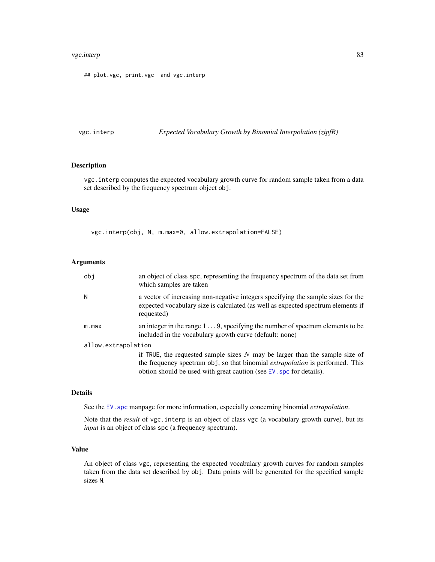#### <span id="page-82-1"></span>vgc.interp 83

## plot.vgc, print.vgc and vgc.interp

<span id="page-82-0"></span>vgc.interp *Expected Vocabulary Growth by Binomial Interpolation (zipfR)*

# Description

vgc.interp computes the expected vocabulary growth curve for random sample taken from a data set described by the frequency spectrum object obj.

# Usage

vgc.interp(obj, N, m.max=0, allow.extrapolation=FALSE)

#### Arguments

| obj                 | an object of class spc, representing the frequency spectrum of the data set from<br>which samples are taken                                                                                                                                  |
|---------------------|----------------------------------------------------------------------------------------------------------------------------------------------------------------------------------------------------------------------------------------------|
| Ν                   | a vector of increasing non-negative integers specifying the sample sizes for the<br>expected vocabulary size is calculated (as well as expected spectrum elements if<br>requested)                                                           |
| m.max               | an integer in the range $1 \dots 9$ , specifying the number of spectrum elements to be<br>included in the vocabulary growth curve (default: none)                                                                                            |
| allow.extrapolation |                                                                                                                                                                                                                                              |
|                     | if TRUE, the requested sample sizes $N$ may be larger than the sample size of<br>the frequency spectrum obj, so that binomial <i>extrapolation</i> is performed. This<br>obtion should be used with great caution (see EV, spc for details). |

#### Details

See the EV. spc manpage for more information, especially concerning binomial *extrapolation*.

Note that the *result* of vgc.interp is an object of class vgc (a vocabulary growth curve), but its *input* is an object of class spc (a frequency spectrum).

# Value

An object of class vgc, representing the expected vocabulary growth curves for random samples taken from the data set described by obj. Data points will be generated for the specified sample sizes N.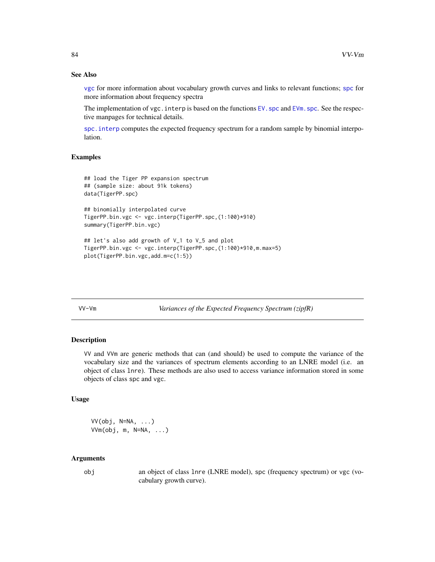# See Also

[vgc](#page-79-0) for more information about vocabulary growth curves and links to relevant functions; [spc](#page-67-0) for more information about frequency spectra

The implementation of vgc. interp is based on the functions  $EV$ , spc and  $EV$ m. spc. See the respective manpages for technical details.

[spc.interp](#page-69-0) computes the expected frequency spectrum for a random sample by binomial interpolation.

# Examples

```
## load the Tiger PP expansion spectrum
## (sample size: about 91k tokens)
data(TigerPP.spc)
```

```
## binomially interpolated curve
TigerPP.bin.vgc <- vgc.interp(TigerPP.spc,(1:100)*910)
summary(TigerPP.bin.vgc)
```
## let's also add growth of V\_1 to V\_5 and plot TigerPP.bin.vgc <- vgc.interp(TigerPP.spc,(1:100)\*910,m.max=5) plot(TigerPP.bin.vgc,add.m=c(1:5))

VV-Vm *Variances of the Expected Frequency Spectrum (zipfR)*

# <span id="page-83-0"></span>Description

VV and VVm are generic methods that can (and should) be used to compute the variance of the vocabulary size and the variances of spectrum elements according to an LNRE model (i.e. an object of class lnre). These methods are also used to access variance information stored in some objects of class spc and vgc.

# Usage

 $VV(obj, N=NA, ...)$ VVm(obj, m, N=NA, ...)

# Arguments

obj an object of class lnre (LNRE model), spc (frequency spectrum) or vgc (vocabulary growth curve).

<span id="page-83-1"></span>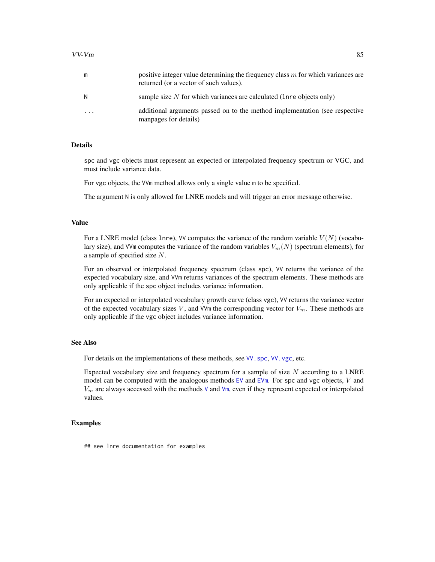<span id="page-84-0"></span>

| m       | positive integer value determining the frequency class $m$ for which variances are<br>returned (or a vector of such values). |
|---------|------------------------------------------------------------------------------------------------------------------------------|
| N       | sample size $N$ for which variances are calculated (lnre objects only)                                                       |
| $\cdot$ | additional arguments passed on to the method implementation (see respective<br>manpages for details)                         |

# Details

spc and vgc objects must represent an expected or interpolated frequency spectrum or VGC, and must include variance data.

For vgc objects, the VVm method allows only a single value m to be specified.

The argument N is only allowed for LNRE models and will trigger an error message otherwise.

#### Value

For a LNRE model (class lnre), VV computes the variance of the random variable  $V(N)$  (vocabulary size), and VVm computes the variance of the random variables  $V_m(N)$  (spectrum elements), for a sample of specified size N.

For an observed or interpolated frequency spectrum (class spc), VV returns the variance of the expected vocabulary size, and VVm returns variances of the spectrum elements. These methods are only applicable if the spc object includes variance information.

For an expected or interpolated vocabulary growth curve (class vgc), VV returns the variance vector of the expected vocabulary sizes V, and VVm the corresponding vector for  $V_m$ . These methods are only applicable if the vgc object includes variance information.

# See Also

For details on the implementations of these methods, see [VV.spc](#page-41-0), [VV.vgc](#page-43-0), etc.

Expected vocabulary size and frequency spectrum for a sample of size  $N$  according to a LNRE model can be computed with the analogous methods [EV](#page-12-0) and [EVm](#page-12-0). For spc and vgc objects,  $V$  and  $V_m$  $V_m$  are always accessed with the methods V and [Vm](#page-39-0), even if they represent expected or interpolated values.

# Examples

## see lnre documentation for examples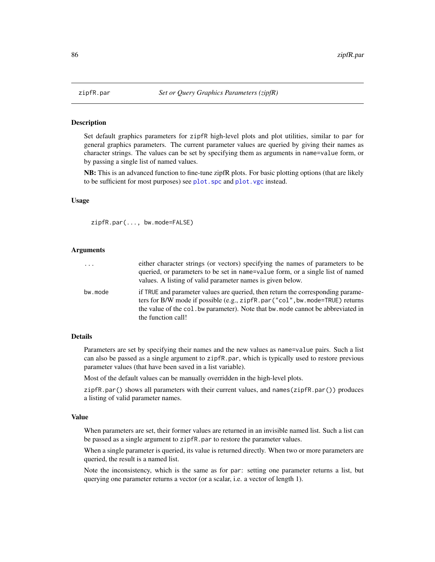<span id="page-85-1"></span><span id="page-85-0"></span>

# Description

Set default graphics parameters for zipfR high-level plots and plot utilities, similar to par for general graphics parameters. The current parameter values are queried by giving their names as character strings. The values can be set by specifying them as arguments in name=value form, or by passing a single list of named values.

NB: This is an advanced function to fine-tune zipfR plots. For basic plotting options (that are likely to be sufficient for most purposes) see plot. spc and plot. vgc instead.

#### Usage

zipfR.par(..., bw.mode=FALSE)

# Arguments

| $\ddots$ | either character strings (or vectors) specifying the names of parameters to be<br>queried, or parameters to be set in name=value form, or a single list of named<br>values. A listing of valid parameter names is given below.                                           |
|----------|--------------------------------------------------------------------------------------------------------------------------------------------------------------------------------------------------------------------------------------------------------------------------|
| bw.mode  | if TRUE and parameter values are queried, then return the corresponding parame-<br>ters for B/W mode if possible (e.g., zipfR.par("col", bw.mode=TRUE) returns<br>the value of the col. bw parameter). Note that bw. mode cannot be abbreviated in<br>the function call! |

# Details

Parameters are set by specifying their names and the new values as name=value pairs. Such a list can also be passed as a single argument to zipfR.par, which is typically used to restore previous parameter values (that have been saved in a list variable).

Most of the default values can be manually overridden in the high-level plots.

zipfR.par() shows all parameters with their current values, and names(zipfR.par()) produces a listing of valid parameter names.

# Value

When parameters are set, their former values are returned in an invisible named list. Such a list can be passed as a single argument to zipfR.par to restore the parameter values.

When a single parameter is queried, its value is returned directly. When two or more parameters are queried, the result is a named list.

Note the inconsistency, which is the same as for par: setting one parameter returns a list, but querying one parameter returns a vector (or a scalar, i.e. a vector of length 1).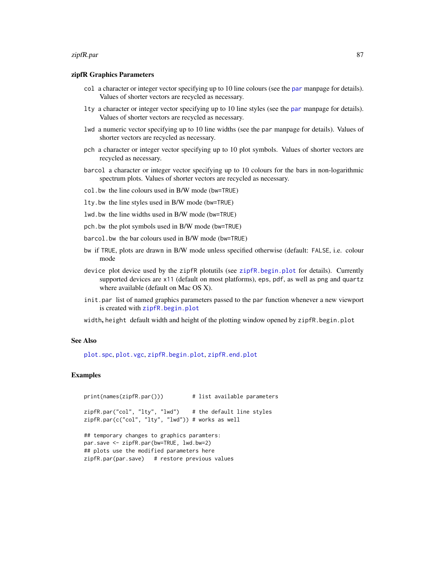#### <span id="page-86-0"></span>zipfR.par 87

# zipfR Graphics Parameters

- col a character or integer vector specifying up to 10 line colours (see the [par](#page-0-0) manpage for details). Values of shorter vectors are recycled as necessary.
- lty a character or integer vector specifying up to 10 line styles (see the [par](#page-0-0) manpage for details). Values of shorter vectors are recycled as necessary.
- lwd a numeric vector specifying up to 10 line widths (see the par manpage for details). Values of shorter vectors are recycled as necessary.
- pch a character or integer vector specifying up to 10 plot symbols. Values of shorter vectors are recycled as necessary.
- barcol a character or integer vector specifying up to 10 colours for the bars in non-logarithmic spectrum plots. Values of shorter vectors are recycled as necessary.
- col.bw the line colours used in B/W mode (bw=TRUE)
- lty.bw the line styles used in B/W mode (bw=TRUE)
- lwd.bw the line widths used in B/W mode (bw=TRUE)
- pch.bw the plot symbols used in B/W mode (bw=TRUE)
- barcol.bw the bar colours used in B/W mode (bw=TRUE)
- bw if TRUE, plots are drawn in B/W mode unless specified otherwise (default: FALSE, i.e. colour mode
- device plot device used by the zipfR plotutils (see [zipfR.begin.plot](#page-87-0) for details). Currently supported devices are x11 (default on most platforms), eps, pdf, as well as png and quartz where available (default on Mac OS X).
- init.par list of named graphics parameters passed to the par function whenever a new viewport is created with [zipfR.begin.plot](#page-87-0)
- width, height default width and height of the plotting window opened by zipfR.begin.plot

#### See Also

[plot.spc](#page-45-0), [plot.vgc](#page-49-0), [zipfR.begin.plot](#page-87-0), [zipfR.end.plot](#page-87-0)

# Examples

```
print(names(zipfR.par())) # list available parameters
zipfR.par("col", "lty", "lwd") # the default line styles
zipfR.par(c("col", "lty", "lwd")) # works as well
## temporary changes to graphics paramters:
par.save <- zipfR.par(bw=TRUE, lwd.bw=2)
## plots use the modified parameters here
zipfR.par(par.save) # restore previous values
```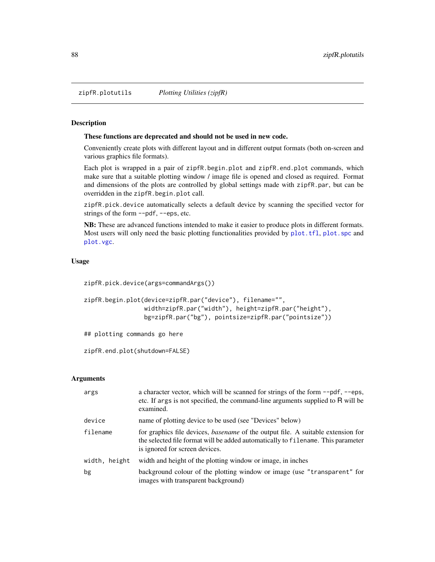<span id="page-87-1"></span>zipfR.plotutils *Plotting Utilities (zipfR)*

# <span id="page-87-0"></span>Description

# These functions are deprecated and should not be used in new code.

Conveniently create plots with different layout and in different output formats (both on-screen and various graphics file formats).

Each plot is wrapped in a pair of zipfR.begin.plot and zipfR.end.plot commands, which make sure that a suitable plotting window / image file is opened and closed as required. Format and dimensions of the plots are controlled by global settings made with zipfR.par, but can be overridden in the zipfR.begin.plot call.

zipfR.pick.device automatically selects a default device by scanning the specified vector for strings of the form  $\neg$ -pdf,  $\neg$ -eps, etc.

NB: These are advanced functions intended to make it easier to produce plots in different formats. Most users will only need the basic plotting functionalities provided by [plot.tfl](#page-47-0), [plot.spc](#page-45-0) and [plot.vgc](#page-49-0).

# Usage

```
zipfR.pick.device(args=commandArgs())
```

```
zipfR.begin.plot(device=zipfR.par("device"), filename="",
                 width=zipfR.par("width"), height=zipfR.par("height"),
                 bg=zipfR.par("bg"), pointsize=zipfR.par("pointsize"))
```
## plotting commands go here

```
zipfR.end.plot(shutdown=FALSE)
```
# Arguments

| args          | a character vector, which will be scanned for strings of the form --pdf, --eps,<br>etc. If args is not specified, the command-line arguments supplied to R will be<br>examined.                               |
|---------------|---------------------------------------------------------------------------------------------------------------------------------------------------------------------------------------------------------------|
| device        | name of plotting device to be used (see "Devices" below)                                                                                                                                                      |
| filename      | for graphics file devices, <i>basename</i> of the output file. A suitable extension for<br>the selected file format will be added automatically to filename. This parameter<br>is ignored for screen devices. |
| width, height | width and height of the plotting window or image, in inches                                                                                                                                                   |
| bg            | background colour of the plotting window or image (use "transparent" for<br>images with transparent background)                                                                                               |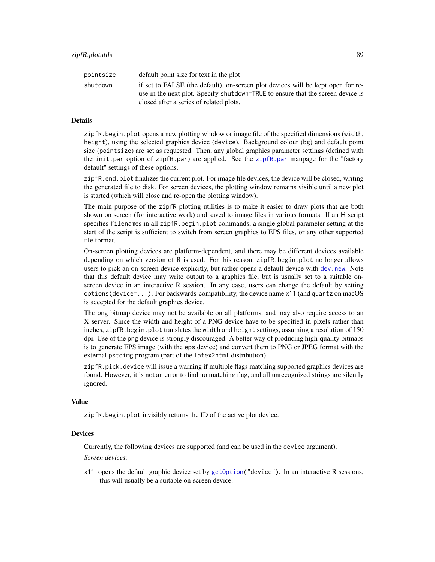<span id="page-88-0"></span>

| pointsize | default point size for text in the plot                                                                                                                            |
|-----------|--------------------------------------------------------------------------------------------------------------------------------------------------------------------|
| shutdown  | if set to FALSE (the default), on-screen plot devices will be kept open for re-<br>use in the next plot. Specify shutdown=TRUE to ensure that the screen device is |
|           | closed after a series of related plots.                                                                                                                            |

# Details

zipfR.begin.plot opens a new plotting window or image file of the specified dimensions (width, height), using the selected graphics device (device). Background colour (bg) and default point size (pointsize) are set as requested. Then, any global graphics parameter settings (defined with the init.par option of zipfR.par) are applied. See the [zipfR.par](#page-85-0) manpage for the "factory default" settings of these options.

zipfR.end.plot finalizes the current plot. For image file devices, the device will be closed, writing the generated file to disk. For screen devices, the plotting window remains visible until a new plot is started (which will close and re-open the plotting window).

The main purpose of the zipfR plotting utilities is to make it easier to draw plots that are both shown on screen (for interactive work) and saved to image files in various formats. If an R script specifies filenames in all zipfR.begin.plot commands, a single global parameter setting at the start of the script is sufficient to switch from screen graphics to EPS files, or any other supported file format.

On-screen plotting devices are platform-dependent, and there may be different devices available depending on which version of R is used. For this reason, zipfR.begin.plot no longer allows users to pick an on-screen device explicitly, but rather opens a default device with [dev.new](#page-0-0). Note that this default device may write output to a graphics file, but is usually set to a suitable onscreen device in an interactive R session. In any case, users can change the default by setting options(device=...). For backwards-compatibility, the device name x11 (and quartz on macOS is accepted for the default graphics device.

The png bitmap device may not be available on all platforms, and may also require access to an X server. Since the width and height of a PNG device have to be specified in pixels rather than inches, zipfR.begin.plot translates the width and height settings, assuming a resolution of 150 dpi. Use of the png device is strongly discouraged. A better way of producing high-quality bitmaps is to generate EPS image (with the eps device) and convert them to PNG or JPEG format with the external pstoimg program (part of the latex2html distribution).

zipfR.pick.device will issue a warning if multiple flags matching supported graphics devices are found. However, it is not an error to find no matching flag, and all unrecognized strings are silently ignored.

# Value

zipfR.begin.plot invisibly returns the ID of the active plot device.

# Devices

Currently, the following devices are supported (and can be used in the device argument).

# *Screen devices:*

x11 opens the default graphic device set by [getOption\(](#page-0-0)"device"). In an interactive R sessions, this will usually be a suitable on-screen device.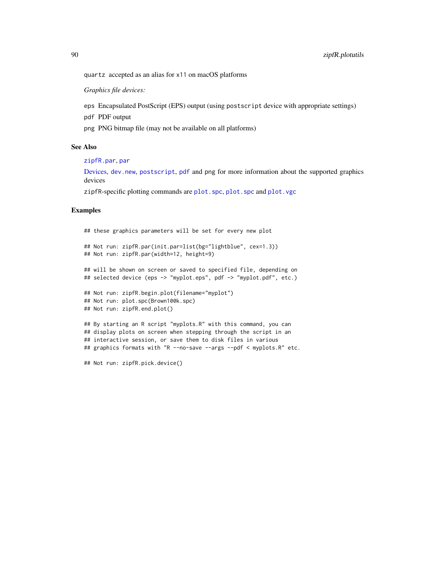<span id="page-89-0"></span>quartz accepted as an alias for x11 on macOS platforms

*Graphics file devices:*

eps Encapsulated PostScript (EPS) output (using postscript device with appropriate settings)

pdf PDF output

png PNG bitmap file (may not be available on all platforms)

#### See Also

[zipfR.par](#page-85-0), [par](#page-0-0)

[Devices,](#page-0-0) [dev.new](#page-0-0), [postscript](#page-0-0), [pdf](#page-0-0) and png for more information about the supported graphics devices

zipfR-specific plotting commands are [plot.spc](#page-45-0), [plot.spc](#page-45-0) and [plot.vgc](#page-49-0)

# Examples

```
## these graphics parameters will be set for every new plot
## Not run: zipfR.par(init.par=list(bg="lightblue", cex=1.3))
## Not run: zipfR.par(width=12, height=9)
## will be shown on screen or saved to specified file, depending on
## selected device (eps -> "myplot.eps", pdf -> "myplot.pdf", etc.)
## Not run: zipfR.begin.plot(filename="myplot")
## Not run: plot.spc(Brown100k.spc)
## Not run: zipfR.end.plot()
## By starting an R script "myplots.R" with this command, you can
## display plots on screen when stepping through the script in an
## interactive session, or save them to disk files in various
## graphics formats with "R --no-save --args --pdf < myplots.R" etc.
```
## Not run: zipfR.pick.device()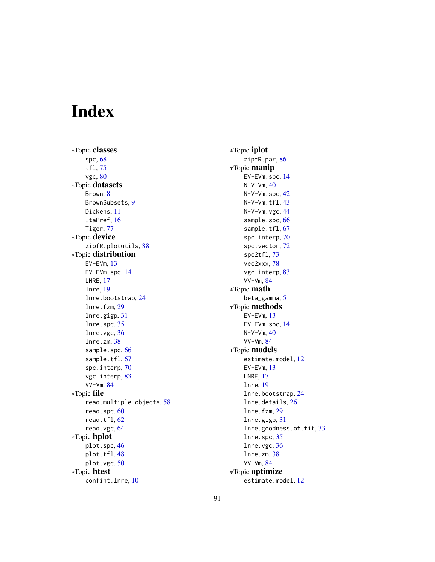# Index

∗Topic classes spc, [68](#page-67-1) tfl, [75](#page-74-1) vgc, [80](#page-79-1) ∗Topic datasets Brown, [8](#page-7-0) BrownSubsets, [9](#page-8-0) Dickens, [11](#page-10-0) ItaPref, [16](#page-15-0) Tiger, [77](#page-76-0) ∗Topic device zipfR.plotutils, [88](#page-87-1) ∗Topic distribution EV-EVm, [13](#page-12-1) EV-EVm.spc, [14](#page-13-1) LNRE, [17](#page-16-1) lnre, [19](#page-18-0) lnre.bootstrap, [24](#page-23-0) lnre.fzm, [29](#page-28-0) lnre.gigp, [31](#page-30-0) lnre.spc, [35](#page-34-0) lnre.vgc, [36](#page-35-1) lnre.zm, [38](#page-37-0) sample.spc, [66](#page-65-0) sample.tfl, [67](#page-66-1) spc.interp, [70](#page-69-1) vgc.interp, [83](#page-82-1) VV-Vm, [84](#page-83-1) ∗Topic file read.multiple.objects, [58](#page-57-0) read.spc, [60](#page-59-0) read.tfl, [62](#page-61-2) read.vgc, [64](#page-63-2) ∗Topic hplot plot.spc, [46](#page-45-1) plot.tfl, [48](#page-47-1) plot.vgc, [50](#page-49-1) ∗Topic htest confint.lnre, [10](#page-9-0)

∗Topic iplot zipfR.par, [86](#page-85-1) ∗Topic manip EV-EVm.spc, [14](#page-13-1)  $N-V-Vm$ ,  $40$ N-V-Vm.spc, [42](#page-41-1) N-V-Vm.tfl, [43](#page-42-1) N-V-Vm.vgc, [44](#page-43-1) sample.spc, [66](#page-65-0) sample.tfl, [67](#page-66-1) spc.interp, [70](#page-69-1) spc.vector, [72](#page-71-0) spc2tfl, [73](#page-72-2) vec2xxx, [78](#page-77-0) vgc.interp, [83](#page-82-1) VV-Vm, [84](#page-83-1) ∗Topic math beta\_gamma, [5](#page-4-0) ∗Topic methods EV-EVm, [13](#page-12-1) EV-EVm.spc, [14](#page-13-1)  $N-V-Vm, 40$  $N-V-Vm, 40$ VV-Vm, [84](#page-83-1) ∗Topic models estimate.model, [12](#page-11-0) EV-EVm, [13](#page-12-1) LNRE, [17](#page-16-1) lnre, [19](#page-18-0) lnre.bootstrap, [24](#page-23-0) lnre.details, [26](#page-25-0) lnre.fzm, [29](#page-28-0) lnre.gigp, [31](#page-30-0) lnre.goodness.of.fit, [33](#page-32-0) lnre.spc, [35](#page-34-0) lnre.vgc, [36](#page-35-1) lnre.zm, [38](#page-37-0) VV-Vm, [84](#page-83-1) ∗Topic optimize estimate.model, [12](#page-11-0)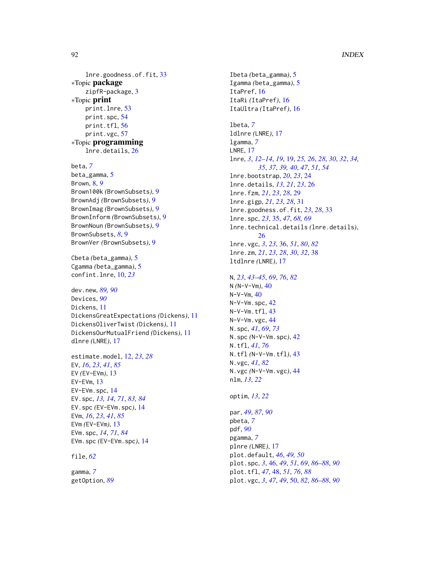lnre.goodness.of.fit, [33](#page-32-0) ∗Topic package zipfR-package, [3](#page-2-0) ∗Topic print print.lnre, [53](#page-52-0) print.spc, [54](#page-53-0) print.tfl, [56](#page-55-2) print.vgc, [57](#page-56-2) ∗Topic programming lnre.details, [26](#page-25-0)

beta, *[7](#page-6-0)* beta\_gamma, [5](#page-4-0) Brown, [8,](#page-7-0) *[9](#page-8-0)* Brown100k *(*BrownSubsets*)*, [9](#page-8-0) BrownAdj *(*BrownSubsets*)*, [9](#page-8-0) BrownImag *(*BrownSubsets*)*, [9](#page-8-0) BrownInform *(*BrownSubsets*)*, [9](#page-8-0) BrownNoun *(*BrownSubsets*)*, [9](#page-8-0) BrownSubsets, *[8](#page-7-0)*, [9](#page-8-0) BrownVer *(*BrownSubsets*)*, [9](#page-8-0)

Cbeta *(*beta\_gamma*)*, [5](#page-4-0) Cgamma *(*beta\_gamma*)*, [5](#page-4-0) confint.lnre, [10,](#page-9-0) *[23](#page-22-0)*

dev.new, *[89,](#page-88-0) [90](#page-89-0)* Devices, *[90](#page-89-0)* Dickens, [11](#page-10-0) DickensGreatExpectations *(*Dickens*)*, [11](#page-10-0) DickensOliverTwist *(*Dickens*)*, [11](#page-10-0) DickensOurMutualFriend *(*Dickens*)*, [11](#page-10-0) dlnre *(*LNRE*)*, [17](#page-16-1)

estimate.model, [12,](#page-11-0) *[23](#page-22-0)*, *[28](#page-27-0)* EV, *[16](#page-15-0)*, *[23](#page-22-0)*, *[41](#page-40-0)*, *[85](#page-84-0)* EV *(*EV-EVm*)*, [13](#page-12-1) EV-EVm, [13](#page-12-1) EV-EVm.spc, [14](#page-13-1) EV.spc, *[13,](#page-12-1) [14](#page-13-1)*, *[71](#page-70-0)*, *[83,](#page-82-1) [84](#page-83-1)* EV.spc *(*EV-EVm.spc*)*, [14](#page-13-1) EVm, *[16](#page-15-0)*, *[23](#page-22-0)*, *[41](#page-40-0)*, *[85](#page-84-0)* EVm *(*EV-EVm*)*, [13](#page-12-1) EVm.spc, *[14](#page-13-1)*, *[71](#page-70-0)*, *[84](#page-83-1)* EVm.spc *(*EV-EVm.spc*)*, [14](#page-13-1)

file, *[62](#page-61-2)*

gamma, *[7](#page-6-0)* getOption, *[89](#page-88-0)* Ibeta *(*beta\_gamma*)*, [5](#page-4-0) Igamma *(*beta\_gamma*)*, [5](#page-4-0) ItaPref, [16](#page-15-0) ItaRi *(*ItaPref*)*, [16](#page-15-0) ItaUltra *(*ItaPref*)*, [16](#page-15-0) lbeta, *[7](#page-6-0)* ldlnre *(*LNRE*)*, [17](#page-16-1) lgamma, *[7](#page-6-0)* LNRE, [17](#page-16-1) lnre, *[3](#page-2-0)*, *[12](#page-11-0)[–14](#page-13-1)*, *[19](#page-18-0)*, [19,](#page-18-0) *[25,](#page-24-0) [26](#page-25-0)*, *[28](#page-27-0)*, *[30](#page-29-0)*, *[32](#page-31-0)*, *[34,](#page-33-0) [35](#page-34-0)*, *[37](#page-36-0)*, *[39,](#page-38-0) [40](#page-39-1)*, *[47](#page-46-0)*, *[51](#page-50-0)*, *[54](#page-53-0)* lnre.bootstrap, *[20](#page-19-0)*, *[23](#page-22-0)*, [24](#page-23-0) lnre.details, *[13](#page-12-1)*, *[21](#page-20-0)*, *[23](#page-22-0)*, [26](#page-25-0) lnre.fzm, *[21](#page-20-0)*, *[23](#page-22-0)*, *[28](#page-27-0)*, [29](#page-28-0) lnre.gigp, *[21](#page-20-0)*, *[23](#page-22-0)*, *[28](#page-27-0)*, [31](#page-30-0) lnre.goodness.of.fit, *[23](#page-22-0)*, *[28](#page-27-0)*, [33](#page-32-0) lnre.spc, *[23](#page-22-0)*, [35,](#page-34-0) *[47](#page-46-0)*, *[68,](#page-67-1) [69](#page-68-0)* lnre.technical.details *(*lnre.details*)*, [26](#page-25-0) lnre.vgc, *[3](#page-2-0)*, *[23](#page-22-0)*, [36,](#page-35-1) *[51](#page-50-0)*, *[80](#page-79-1)*, *[82](#page-81-0)* lnre.zm, *[21](#page-20-0)*, *[23](#page-22-0)*, *[28](#page-27-0)*, *[30](#page-29-0)*, *[32](#page-31-0)*, [38](#page-37-0) ltdlnre *(*LNRE*)*, [17](#page-16-1) N, *[23](#page-22-0)*, *[43–](#page-42-1)[45](#page-44-0)*, *[69](#page-68-0)*, *[76](#page-75-0)*, *[82](#page-81-0)* N *(*N-V-Vm*)*, [40](#page-39-1)  $N-V-Vm, 40$  $N-V-Vm, 40$ N-V-Vm.spc, [42](#page-41-1) N-V-Vm.tfl, [43](#page-42-1) N-V-Vm.vgc, [44](#page-43-1) N.spc, *[41](#page-40-0)*, *[69](#page-68-0)*, *[73](#page-72-2)* N.spc *(*N-V-Vm.spc*)*, [42](#page-41-1) N.tfl, *[41](#page-40-0)*, *[76](#page-75-0)* N.tfl *(*N-V-Vm.tfl*)*, [43](#page-42-1) N.vgc, *[41](#page-40-0)*, *[82](#page-81-0)* N.vgc *(*N-V-Vm.vgc*)*, [44](#page-43-1) nlm, *[13](#page-12-1)*, *[22](#page-21-0)* optim, *[13](#page-12-1)*, *[22](#page-21-0)* par, *[49](#page-48-0)*, *[87](#page-86-0)*, *[90](#page-89-0)* pbeta, *[7](#page-6-0)* pdf, *[90](#page-89-0)* pgamma, *[7](#page-6-0)* plnre *(*LNRE*)*, [17](#page-16-1) plot.default, *[46](#page-45-1)*, *[49,](#page-48-0) [50](#page-49-1)* plot.spc, *[3](#page-2-0)*, [46,](#page-45-1) *[49](#page-48-0)*, *[51](#page-50-0)*, *[69](#page-68-0)*, *[86](#page-85-1)[–88](#page-87-1)*, *[90](#page-89-0)* plot.tfl, *[47](#page-46-0)*, [48,](#page-47-1) *[51](#page-50-0)*, *[76](#page-75-0)*, *[88](#page-87-1)* plot.vgc, *[3](#page-2-0)*, *[47](#page-46-0)*, *[49](#page-48-0)*, [50,](#page-49-1) *[82](#page-81-0)*, *[86](#page-85-1)[–88](#page-87-1)*, *[90](#page-89-0)*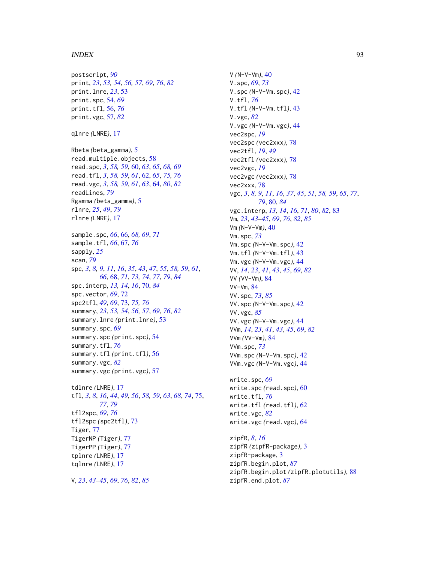#### INDEX  $\sim$  93

postscript, *[90](#page-89-0)* print, *[23](#page-22-0)*, *[53,](#page-52-0) [54](#page-53-0)*, *[56,](#page-55-2) [57](#page-56-2)*, *[69](#page-68-0)*, *[76](#page-75-0)*, *[82](#page-81-0)* print.lnre, *[23](#page-22-0)*, [53](#page-52-0) print.spc, [54,](#page-53-0) *[69](#page-68-0)* print.tfl, [56,](#page-55-2) *[76](#page-75-0)* print.vgc, [57,](#page-56-2) *[82](#page-81-0)* qlnre *(*LNRE*)*, [17](#page-16-1) Rbeta *(*beta\_gamma*)*, [5](#page-4-0) read.multiple.objects, [58](#page-57-0) read.spc, *[3](#page-2-0)*, *[58,](#page-57-0) [59](#page-58-0)*, [60,](#page-59-0) *[63](#page-62-0)*, *[65](#page-64-0)*, *[68,](#page-67-1) [69](#page-68-0)* read.tfl, *[3](#page-2-0)*, *[58,](#page-57-0) [59](#page-58-0)*, *[61](#page-60-0)*, [62,](#page-61-2) *[65](#page-64-0)*, *[75,](#page-74-1) [76](#page-75-0)* read.vgc, *[3](#page-2-0)*, *[58,](#page-57-0) [59](#page-58-0)*, *[61](#page-60-0)*, *[63](#page-62-0)*, [64,](#page-63-2) *[80](#page-79-1)*, *[82](#page-81-0)* readLines, *[79](#page-78-0)* Rgamma *(*beta\_gamma*)*, [5](#page-4-0) rlnre, *[25](#page-24-0)*, *[49](#page-48-0)*, *[79](#page-78-0)* rlnre *(*LNRE*)*, [17](#page-16-1) sample.spc, *[66](#page-65-0)*, [66,](#page-65-0) *[68,](#page-67-1) [69](#page-68-0)*, *[71](#page-70-0)* sample.tfl, *[66](#page-65-0)*, [67,](#page-66-1) *[76](#page-75-0)* sapply, *[25](#page-24-0)* scan, *[79](#page-78-0)* spc, *[3](#page-2-0)*, *[8,](#page-7-0) [9](#page-8-0)*, *[11](#page-10-0)*, *[16](#page-15-0)*, *[35](#page-34-0)*, *[43](#page-42-1)*, *[47](#page-46-0)*, *[55](#page-54-0)*, *[58,](#page-57-0) [59](#page-58-0)*, *[61](#page-60-0)*, *[66](#page-65-0)*, [68,](#page-67-1) *[71](#page-70-0)*, *[73,](#page-72-2) [74](#page-73-0)*, *[77](#page-76-0)*, *[79](#page-78-0)*, *[84](#page-83-1)* spc.interp, *[13,](#page-12-1) [14](#page-13-1)*, *[16](#page-15-0)*, [70,](#page-69-1) *[84](#page-83-1)* spc.vector, *[69](#page-68-0)*, [72](#page-71-0) spc2tfl, *[49](#page-48-0)*, *[69](#page-68-0)*, [73,](#page-72-2) *[75,](#page-74-1) [76](#page-75-0)* summary, *[23](#page-22-0)*, *[53,](#page-52-0) [54](#page-53-0)*, *[56,](#page-55-2) [57](#page-56-2)*, *[69](#page-68-0)*, *[76](#page-75-0)*, *[82](#page-81-0)* summary.lnre *(*print.lnre*)*, [53](#page-52-0) summary.spc, *[69](#page-68-0)* summary.spc *(*print.spc*)*, [54](#page-53-0) summary.tfl, *[76](#page-75-0)* summary.tfl *(*print.tfl*)*, [56](#page-55-2) summary.vgc, *[82](#page-81-0)* summary.vgc *(*print.vgc*)*, [57](#page-56-2) tdlnre *(*LNRE*)*, [17](#page-16-1) tfl, *[3](#page-2-0)*, *[8](#page-7-0)*, *[16](#page-15-0)*, *[44](#page-43-1)*, *[49](#page-48-0)*, *[56](#page-55-2)*, *[58,](#page-57-0) [59](#page-58-0)*, *[63](#page-62-0)*, *[68](#page-67-1)*, *[74](#page-73-0)*, [75,](#page-74-1) *[77](#page-76-0)*, *[79](#page-78-0)* tfl2spc, *[69](#page-68-0)*, *[76](#page-75-0)* tfl2spc *(*spc2tfl*)*, [73](#page-72-2) Tiger, [77](#page-76-0) TigerNP *(*Tiger*)*, [77](#page-76-0) TigerPP *(*Tiger*)*, [77](#page-76-0) tplnre *(*LNRE*)*, [17](#page-16-1) tqlnre *(*LNRE*)*, [17](#page-16-1)

V, *[23](#page-22-0)*, *[43](#page-42-1)[–45](#page-44-0)*, *[69](#page-68-0)*, *[76](#page-75-0)*, *[82](#page-81-0)*, *[85](#page-84-0)*

V *(*N-V-Vm*)*, [40](#page-39-1) V.spc, *[69](#page-68-0)*, *[73](#page-72-2)* V.spc *(*N-V-Vm.spc*)*, [42](#page-41-1) V.tfl, *[76](#page-75-0)* V.tfl *(*N-V-Vm.tfl*)*, [43](#page-42-1) V.vgc, *[82](#page-81-0)* V.vgc *(*N-V-Vm.vgc*)*, [44](#page-43-1) vec2spc, *[19](#page-18-0)* vec2spc *(*vec2xxx*)*, [78](#page-77-0) vec2tfl, *[19](#page-18-0)*, *[49](#page-48-0)* vec2tfl *(*vec2xxx*)*, [78](#page-77-0) vec2vgc, *[19](#page-18-0)* vec2vgc *(*vec2xxx*)*, [78](#page-77-0) vec2xxx, [78](#page-77-0) vgc, *[3](#page-2-0)*, *[8,](#page-7-0) [9](#page-8-0)*, *[11](#page-10-0)*, *[16](#page-15-0)*, *[37](#page-36-0)*, *[45](#page-44-0)*, *[51](#page-50-0)*, *[58,](#page-57-0) [59](#page-58-0)*, *[65](#page-64-0)*, *[77](#page-76-0)*, *[79](#page-78-0)*, [80,](#page-79-1) *[84](#page-83-1)* vgc.interp, *[13,](#page-12-1) [14](#page-13-1)*, *[16](#page-15-0)*, *[71](#page-70-0)*, *[80](#page-79-1)*, *[82](#page-81-0)*, [83](#page-82-1) Vm, *[23](#page-22-0)*, *[43](#page-42-1)[–45](#page-44-0)*, *[69](#page-68-0)*, *[76](#page-75-0)*, *[82](#page-81-0)*, *[85](#page-84-0)* Vm *(*N-V-Vm*)*, [40](#page-39-1) Vm.spc, *[73](#page-72-2)* Vm.spc *(*N-V-Vm.spc*)*, [42](#page-41-1) Vm.tfl *(*N-V-Vm.tfl*)*, [43](#page-42-1) Vm.vgc *(*N-V-Vm.vgc*)*, [44](#page-43-1) VV, *[14](#page-13-1)*, *[23](#page-22-0)*, *[41](#page-40-0)*, *[43](#page-42-1)*, *[45](#page-44-0)*, *[69](#page-68-0)*, *[82](#page-81-0)* VV *(*VV-Vm*)*, [84](#page-83-1) VV-Vm, [84](#page-83-1) VV.spc, *[73](#page-72-2)*, *[85](#page-84-0)* VV.spc *(*N-V-Vm.spc*)*, [42](#page-41-1) VV.vgc, *[85](#page-84-0)* VV.vgc *(*N-V-Vm.vgc*)*, [44](#page-43-1) VVm, *[14](#page-13-1)*, *[23](#page-22-0)*, *[41](#page-40-0)*, *[43](#page-42-1)*, *[45](#page-44-0)*, *[69](#page-68-0)*, *[82](#page-81-0)* VVm *(*VV-Vm*)*, [84](#page-83-1) VVm.spc, *[73](#page-72-2)* VVm.spc *(*N-V-Vm.spc*)*, [42](#page-41-1) VVm.vgc *(*N-V-Vm.vgc*)*, [44](#page-43-1) write.spc, *[69](#page-68-0)* write.spc *(*read.spc*)*, [60](#page-59-0) write.tfl, *[76](#page-75-0)* write.tfl *(*read.tfl*)*, [62](#page-61-2) write.vgc, *[82](#page-81-0)* write.vgc *(*read.vgc*)*, [64](#page-63-2)

```
zipfR, 8, 16
zipfR (zipfR-package), 3
zipfR-package, 3
zipfR.begin.plot, 87
zipfR.begin.plot (zipfR.plotutils), 88
zipfR.end.plot, 87
```